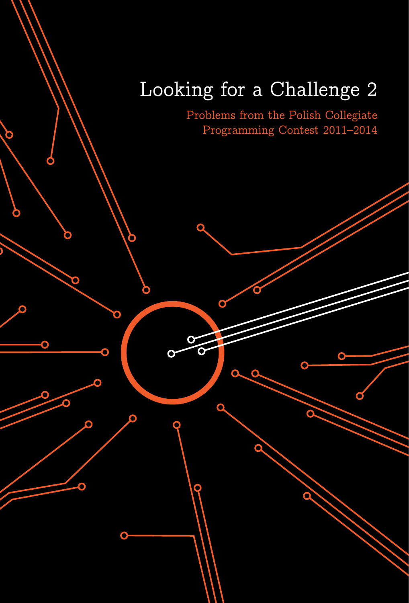# Looking for a Challenge 2

Q

 $\mathbf Q$ 

O

O

Q

O

O

O

 $\overline{O}$ 

O

n

Ò

 $\delta$ 

Ō

 $\overline{O}$ 

Problems from the Polish Collegiate Programming Contest 2011–2014

O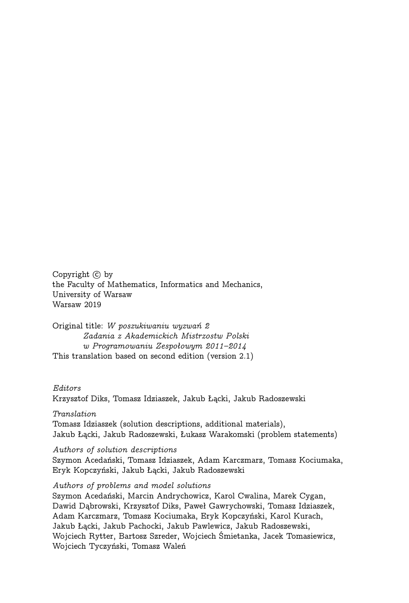Copyright (c) by the Faculty of Mathematics, Informatics and Mechanics, University of Warsaw Warsaw 2019

Original title: W poszukiwaniu wyzwań 2 Zadania z Akademickich Mistrzostw Polski w Programowaniu Zespołowym 2011–2014 This translation based on second edition (version 2.1)

#### Editors

Krzysztof Diks, Tomasz Idziaszek, Jakub Łącki, Jakub Radoszewski

Translation

Tomasz Idziaszek (solution descriptions, additional materials), Jakub Łącki, Jakub Radoszewski, Łukasz Warakomski (problem statements)

Authors of solution descriptions

Szymon Acedański, Tomasz Idziaszek, Adam Karczmarz, Tomasz Kociumaka, Eryk Kopczyński, Jakub Łącki, Jakub Radoszewski

#### Authors of problems and model solutions

Szymon Acedański, Marcin Andrychowicz, Karol Cwalina, Marek Cygan, Dawid Dąbrowski, Krzysztof Diks, Paweł Gawrychowski, Tomasz Idziaszek, Adam Karczmarz, Tomasz Kociumaka, Eryk Kopczyński, Karol Kurach, Jakub Łącki, Jakub Pachocki, Jakub Pawlewicz, Jakub Radoszewski, Wojciech Rytter, Bartosz Szreder, Wojciech Śmietanka, Jacek Tomasiewicz, Wojciech Tyczyński, Tomasz Waleń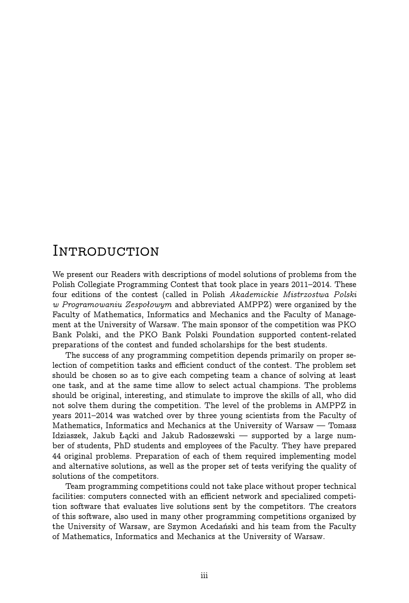# INTRODUCTION

We present our Readers with descriptions of model solutions of problems from the Polish Collegiate Programming Contest that took place in years 2011–2014. These four editions of the contest (called in Polish Akademickie Mistrzostwa Polski w Programowaniu Zespołowym and abbreviated AMPPZ) were organized by the Faculty of Mathematics, Informatics and Mechanics and the Faculty of Management at the University of Warsaw. The main sponsor of the competition was PKO Bank Polski, and the PKO Bank Polski Foundation supported content-related preparations of the contest and funded scholarships for the best students.

The success of any programming competition depends primarily on proper selection of competition tasks and efficient conduct of the contest. The problem set should be chosen so as to give each competing team a chance of solving at least one task, and at the same time allow to select actual champions. The problems should be original, interesting, and stimulate to improve the skills of all, who did not solve them during the competition. The level of the problems in AMPPZ in years 2011–2014 was watched over by three young scientists from the Faculty of Mathematics, Informatics and Mechanics at the University of Warsaw — Tomasz Idziaszek, Jakub Łącki and Jakub Radoszewski — supported by a large number of students, PhD students and employees of the Faculty. They have prepared 44 original problems. Preparation of each of them required implementing model and alternative solutions, as well as the proper set of tests verifying the quality of solutions of the competitors.

Team programming competitions could not take place without proper technical facilities: computers connected with an efficient network and specialized competition software that evaluates live solutions sent by the competitors. The creators of this software, also used in many other programming competitions organized by the University of Warsaw, are Szymon Acedański and his team from the Faculty of Mathematics, Informatics and Mechanics at the University of Warsaw.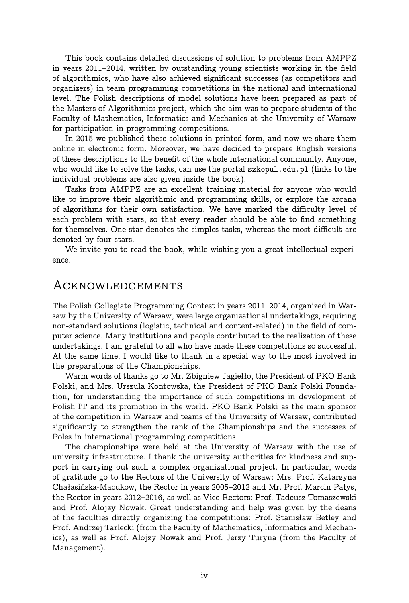This book contains detailed discussions of solution to problems from AMPPZ in years 2011–2014, written by outstanding young scientists working in the field of algorithmics, who have also achieved significant successes (as competitors and organizers) in team programming competitions in the national and international level. The Polish descriptions of model solutions have been prepared as part of the Masters of Algorithmics project, which the aim was to prepare students of the Faculty of Mathematics, Informatics and Mechanics at the University of Warsaw for participation in programming competitions.

In 2015 we published these solutions in printed form, and now we share them online in electronic form. Moreover, we have decided to prepare English versions of these descriptions to the benefit of the whole international community. Anyone, who would like to solve the tasks, can use the portal szkopul.edu.pl (links to the individual problems are also given inside the book).

Tasks from AMPPZ are an excellent training material for anyone who would like to improve their algorithmic and programming skills, or explore the arcana of algorithms for their own satisfaction. We have marked the difficulty level of each problem with stars, so that every reader should be able to find something for themselves. One star denotes the simples tasks, whereas the most difficult are denoted by four stars.

We invite you to read the book, while wishing you a great intellectual experience.

#### Acknowledgements

The Polish Collegiate Programming Contest in years 2011–2014, organized in Warsaw by the University of Warsaw, were large organizational undertakings, requiring non-standard solutions (logistic, technical and content-related) in the field of computer science. Many institutions and people contributed to the realization of these undertakings. I am grateful to all who have made these competitions so successful. At the same time, I would like to thank in a special way to the most involved in the preparations of the Championships.

Warm words of thanks go to Mr. Zbigniew Jagiełło, the President of PKO Bank Polski, and Mrs. Urszula Kontowska, the President of PKO Bank Polski Foundation, for understanding the importance of such competitions in development of Polish IT and its promotion in the world. PKO Bank Polski as the main sponsor of the competition in Warsaw and teams of the University of Warsaw, contributed significantly to strengthen the rank of the Championships and the successes of Poles in international programming competitions.

The championships were held at the University of Warsaw with the use of university infrastructure. I thank the university authorities for kindness and support in carrying out such a complex organizational project. In particular, words of gratitude go to the Rectors of the University of Warsaw: Mrs. Prof. Katarzyna Chałasińska-Macukow, the Rector in years 2005–2012 and Mr. Prof. Marcin Pałys, the Rector in years 2012–2016, as well as Vice-Rectors: Prof. Tadeusz Tomaszewski and Prof. Alojzy Nowak. Great understanding and help was given by the deans of the faculties directly organizing the competitions: Prof. Stanisław Betley and Prof. Andrzej Tarlecki (from the Faculty of Mathematics, Informatics and Mechanics), as well as Prof. Alojzy Nowak and Prof. Jerzy Turyna (from the Faculty of Management).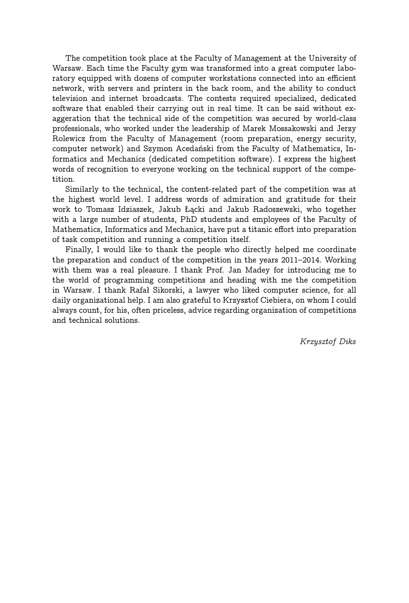The competition took place at the Faculty of Management at the University of Warsaw. Each time the Faculty gym was transformed into a great computer laboratory equipped with dozens of computer workstations connected into an efficient network, with servers and printers in the back room, and the ability to conduct television and internet broadcasts. The contests required specialized, dedicated software that enabled their carrying out in real time. It can be said without exaggeration that the technical side of the competition was secured by world-class professionals, who worked under the leadership of Marek Mossakowski and Jerzy Rolewicz from the Faculty of Management (room preparation, energy security, computer network) and Szymon Acedański from the Faculty of Mathematics, Informatics and Mechanics (dedicated competition software). I express the highest words of recognition to everyone working on the technical support of the competition.

Similarly to the technical, the content-related part of the competition was at the highest world level. I address words of admiration and gratitude for their work to Tomasz Idziaszek, Jakub Łącki and Jakub Radoszewski, who together with a large number of students, PhD students and employees of the Faculty of Mathematics, Informatics and Mechanics, have put a titanic effort into preparation of task competition and running a competition itself.

Finally, I would like to thank the people who directly helped me coordinate the preparation and conduct of the competition in the years 2011–2014. Working with them was a real pleasure. I thank Prof. Jan Madey for introducing me to the world of programming competitions and heading with me the competition in Warsaw. I thank Rafał Sikorski, a lawyer who liked computer science, for all daily organizational help. I am also grateful to Krzysztof Ciebiera, on whom I could always count, for his, often priceless, advice regarding organization of competitions and technical solutions.

Krzysztof Diks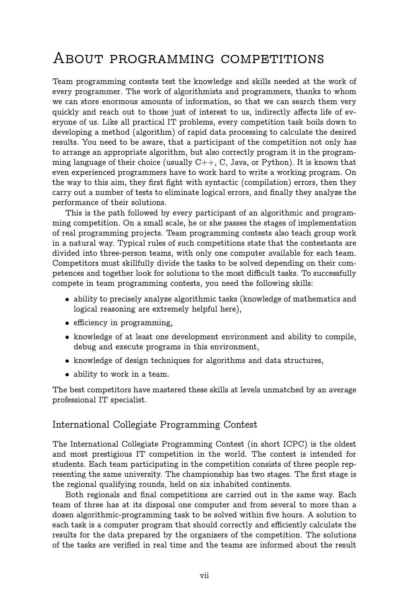# ABOUT PROGRAMMING COMPETITIONS

Team programming contests test the knowledge and skills needed at the work of every programmer. The work of algorithmists and programmers, thanks to whom we can store enormous amounts of information, so that we can search them very quickly and reach out to those just of interest to us, indirectly affects life of everyone of us. Like all practical IT problems, every competition task boils down to developing a method (algorithm) of rapid data processing to calculate the desired results. You need to be aware, that a participant of the competition not only has to arrange an appropriate algorithm, but also correctly program it in the programming language of their choice (usually  $C++$ , C, Java, or Python). It is known that even experienced programmers have to work hard to write a working program. On the way to this aim, they first fight with syntactic (compilation) errors, then they carry out a number of tests to eliminate logical errors, and finally they analyze the performance of their solutions.

This is the path followed by every participant of an algorithmic and programming competition. On a small scale, he or she passes the stages of implementation of real programming projects. Team programming contests also teach group work in a natural way. Typical rules of such competitions state that the contestants are divided into three-person teams, with only one computer available for each team. Competitors must skillfully divide the tasks to be solved depending on their competences and together look for solutions to the most difficult tasks. To successfully compete in team programming contests, you need the following skills:

- ability to precisely analyze algorithmic tasks (knowledge of mathematics and logical reasoning are extremely helpful here),
- efficiency in programming,
- knowledge of at least one development environment and ability to compile, debug and execute programs in this environment,
- knowledge of design techniques for algorithms and data structures,
- ability to work in a team.

The best competitors have mastered these skills at levels unmatched by an average professional IT specialist.

#### International Collegiate Programming Contest

The International Collegiate Programming Contest (in short ICPC) is the oldest and most prestigious IT competition in the world. The contest is intended for students. Each team participating in the competition consists of three people representing the same university. The championship has two stages. The first stage is the regional qualifying rounds, held on six inhabited continents.

Both regionals and final competitions are carried out in the same way. Each team of three has at its disposal one computer and from several to more than a dozen algorithmic-programming task to be solved within five hours. A solution to each task is a computer program that should correctly and efficiently calculate the results for the data prepared by the organizers of the competition. The solutions of the tasks are verified in real time and the teams are informed about the result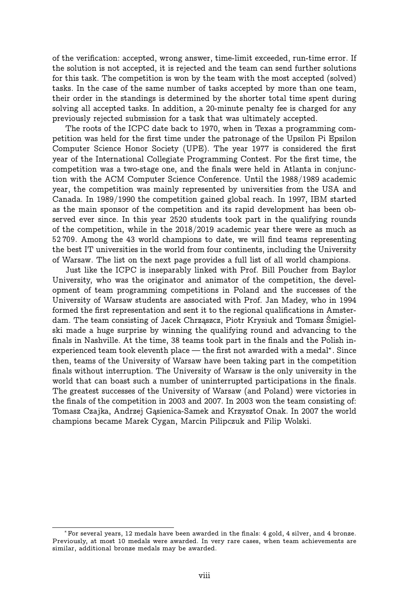of the verification: accepted, wrong answer, time-limit exceeded, run-time error. If the solution is not accepted, it is rejected and the team can send further solutions for this task. The competition is won by the team with the most accepted (solved) tasks. In the case of the same number of tasks accepted by more than one team, their order in the standings is determined by the shorter total time spent during solving all accepted tasks. In addition, a 20-minute penalty fee is charged for any previously rejected submission for a task that was ultimately accepted.

The roots of the ICPC date back to 1970, when in Texas a programming competition was held for the first time under the patronage of the Upsilon Pi Epsilon Computer Science Honor Society (UPE). The year 1977 is considered the first year of the International Collegiate Programming Contest. For the first time, the competition was a two-stage one, and the finals were held in Atlanta in conjunction with the ACM Computer Science Conference. Until the 1988/1989 academic year, the competition was mainly represented by universities from the USA and Canada. In 1989/1990 the competition gained global reach. In 1997, IBM started as the main sponsor of the competition and its rapid development has been observed ever since. In this year 2520 students took part in the qualifying rounds of the competition, while in the 2018/2019 academic year there were as much as 52 709. Among the 43 world champions to date, we will find teams representing the best IT universities in the world from four continents, including the University of Warsaw. The list on the next page provides a full list of all world champions.

Just like the ICPC is inseparably linked with Prof. Bill Poucher from Baylor University, who was the originator and animator of the competition, the development of team programming competitions in Poland and the successes of the University of Warsaw students are associated with Prof. Jan Madey, who in 1994 formed the first representation and sent it to the regional qualifications in Amsterdam. The team consisting of Jacek Chrząszcz, Piotr Krysiuk and Tomasz Śmigielski made a huge surprise by winning the qualifying round and advancing to the finals in Nashville. At the time, 38 teams took part in the finals and the Polish inexperienced team took eleventh place — the first not awarded with a medal $^\star$  . Since then, teams of the University of Warsaw have been taking part in the competition finals without interruption. The University of Warsaw is the only university in the world that can boast such a number of uninterrupted participations in the finals. The greatest successes of the University of Warsaw (and Poland) were victories in the finals of the competition in 2003 and 2007. In 2003 won the team consisting of: Tomasz Czajka, Andrzej Gąsienica-Samek and Krzysztof Onak. In 2007 the world champions became Marek Cygan, Marcin Pilipczuk and Filip Wolski.

<sup>?</sup>For several years, 12 medals have been awarded in the finals: 4 gold, 4 silver, and 4 bronze. Previously, at most 10 medals were awarded. In very rare cases, when team achievements are similar, additional bronze medals may be awarded.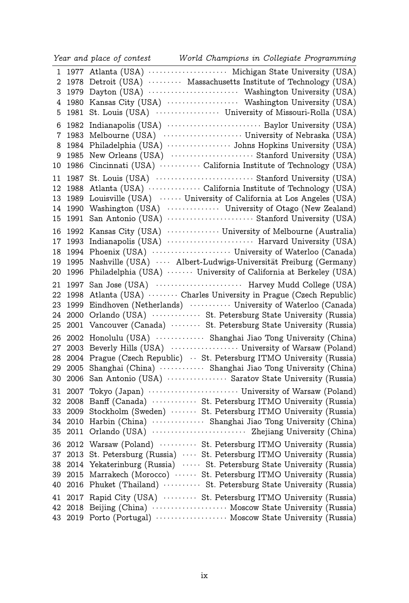Year and place of contest World Champions in Collegiate Programming

| 1<br>2<br>3<br>4<br>5      |                                      | 1977 Atlanta (USA)  Michigan State University (USA)<br>1978 Detroit (USA)  Massachusetts Institute of Technology (USA)<br>1979 Dayton (USA)  Washington University (USA)<br>1980 Kansas City (USA)  Washington University (USA)                                                                                                           |
|----------------------------|--------------------------------------|-------------------------------------------------------------------------------------------------------------------------------------------------------------------------------------------------------------------------------------------------------------------------------------------------------------------------------------------|
| 6<br>7<br>8<br>9<br>10     |                                      | 1982 Indianapolis (USA)  Baylor University (USA)<br>1983 Melbourne (USA)  University of Nebraska (USA)<br>1984 Philadelphia (USA)  Johns Hopkins University (USA)<br>1985 New Orleans (USA)  Stanford University (USA)<br>1986 Cincinnati (USA)  California Institute of Technology (USA)                                                 |
| 11<br>12<br>13<br>14<br>15 |                                      | 1987 St. Louis (USA)  Stanford University (USA)<br>1988 Atlanta (USA)  California Institute of Technology (USA)<br>1989 Louisville (USA)  University of California at Los Angeles (USA)<br>1990 Washington (USA)  University of Otago (New Zealand)<br>1991 San Antonio (USA)  Stanford University (USA)                                  |
| 16<br>17<br>18<br>19<br>20 | 1995                                 | 1992 Kansas City (USA)  University of Melbourne (Australia)<br>1993 Indianapolis (USA)  Harvard University (USA)<br>1994 Phoenix (USA)  University of Waterloo (Canada)<br>Nashville (USA)  Albert-Ludwigs-Universität Freiburg (Germany)<br>1996 Philadelphia (USA)  University of California at Berkeley (USA)                          |
| 21<br>22<br>23<br>24<br>25 | 1999<br>2001                         | 1997 San Jose (USA)  Harvey Mudd College (USA)<br>1998 Atlanta (USA)  Charles University in Prague (Czech Republic)<br>Eindhoven (Netherlands)  University of Waterloo (Canada)<br>2000 Orlando (USA)  St. Petersburg State University (Russia)<br>Vancouver (Canada)  St. Petersburg State University (Russia)                           |
| 26<br>27<br>28<br>29<br>30 | 2002<br>2003<br>2004<br>2005<br>2006 | Honolulu (USA)  Shanghai Jiao Tong University (China)<br>Beverly Hills (USA)  University of Warsaw (Poland)<br>Prague (Czech Republic) ·· St. Petersburg ITMO University (Russia)<br>Shanghai (China) ············· Shanghai Jiao Tong University (China)<br>San Antonio (USA) ·················· Saratov State University (Russia)       |
| 31<br>32<br>33<br>34<br>35 | 2007<br>2008<br>2009<br>2010<br>2011 | Tokyo (Japan)  University of Warsaw (Poland)<br>Banff (Canada)  St. Petersburg ITMO University (Russia)<br>Stockholm (Sweden)  St. Petersburg ITMO University (Russia)<br>Harbin (China)  Shanghai Jiao Tong University (China)                                                                                                           |
| 36<br>37<br>38<br>39<br>40 | 2012<br>2013<br>2015                 | Warsaw (Poland)  St. Petersburg ITMO University (Russia)<br>St. Petersburg (Russia)  St. Petersburg ITMO University (Russia)<br>2014 Yekaterinburg (Russia)  St. Petersburg State University (Russia)<br>Marrakech (Morocco)  St. Petersburg ITMO University (Russia)<br>2016 Phuket (Thailand)  St. Petersburg State University (Russia) |
| 41<br>42                   | 2017<br>2018                         | Rapid City (USA)  St. Petersburg ITMO University (Russia)<br>Beijing (China)  Moscow State University (Russia)<br>43 2019 Porto (Portugal)  Moscow State University (Russia)                                                                                                                                                              |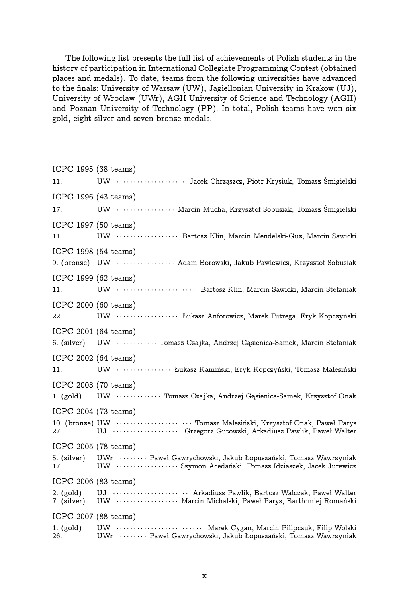The following list presents the full list of achievements of Polish students in the history of participation in International Collegiate Programming Contest (obtained places and medals). To date, teams from the following universities have advanced to the finals: University of Warsaw (UW), Jagiellonian University in Krakow (UJ), University of Wroclaw (UWr), AGH University of Science and Technology (AGH) and Poznan University of Technology (PP). In total, Polish teams have won six gold, eight silver and seven bronze medals.

| ICPC 1995 (38 teams)           |                                                                                                                                     |
|--------------------------------|-------------------------------------------------------------------------------------------------------------------------------------|
| 11.                            |                                                                                                                                     |
| ICPC 1996 (43 teams)           |                                                                                                                                     |
| 17.                            | UW ·················· Marcin Mucha, Krzysztof Sobusiak, Tomasz Śmigielski                                                           |
| ICPC 1997 (50 teams)<br>11.    | UW  Bartosz Klin, Marcin Mendelski-Guz, Marcin Sawicki                                                                              |
| ICPC 1998 (54 teams)           | 9. (bronze) UW ················· Adam Borowski, Jakub Pawlewicz, Krzysztof Sobusiak                                                 |
| ICPC 1999 (62 teams)<br>11.    |                                                                                                                                     |
| ICPC 2000 (60 teams)<br>22.    | UW  Lukasz Anforowicz, Marek Futrega, Eryk Kopczyński                                                                               |
| ICPC 2001 $(64 \text{ teams})$ | 6. (silver) UW ··············· Tomasz Czajka, Andrzej Gąsienica-Samek, Marcin Stefaniak                                             |
| ICPC 2002 (64 teams)<br>11.    | UW ················· Łukasz Kamiński, Eryk Kopczyński, Tomasz Malesiński                                                            |
| ICPC 2003 (70 teams)           | 1. (gold) UW  Tomasz Czajka, Andrzej Gąsienica-Samek, Krzysztof Onak                                                                |
| ICPC 2004 (73 teams)           |                                                                                                                                     |
| 27.                            | 10. (bronze) UW ··························· Tomasz Malesiński, Krzysztof Onak, Paweł Parys                                          |
| ICPC 2005 (78 teams)           |                                                                                                                                     |
| 5. (silver)<br>17.             | UWr ········ Paweł Gawrychowski, Jakub Łopuszański, Tomasz Wawrzyniak<br>UW  Szymon Acedański, Tomasz Idziaszek, Jacek Jurewicz     |
| ICPC 2006 (83 teams)           |                                                                                                                                     |
| $2.$ (gold)<br>7. (silver)     | UJ ······················ Arkadiusz Pawlik, Bartosz Walczak, Paweł Walter<br>UW  Marcin Michalski, Paweł Parys, Bartłomiej Romański |
| ICPC 2007 (88 teams)           |                                                                                                                                     |
| $1.$ (gold)<br>26.             | UW  Marek Cygan, Marcin Pilipczuk, Filip Wolski<br>UWr  Paweł Gawrychowski, Jakub Łopuszański, Tomasz Wawrzyniak                    |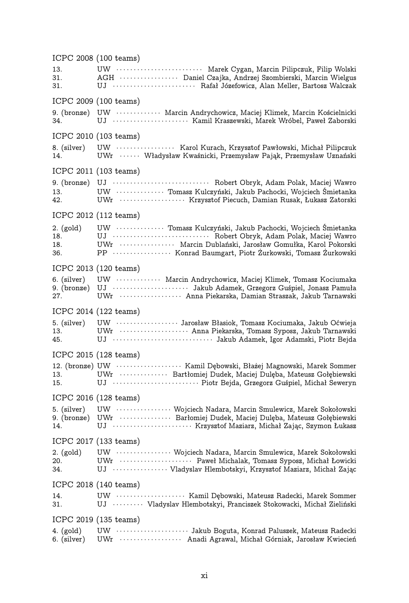ICPC 2008 (100 teams) 13. UW *· · · · · · · · · · · · · · · · · · · · · · · · ·* Marek Cygan, Marcin Pilipczuk, Filip Wolski 31. AGH *· · · · · · · · · · · · · · · · ·* Daniel Czajka, Andrzej Szombierski, Marcin Wielgus 31. UJ *· · · · · · · · · · · · · · · · · · · · · · · ·* Rafał Józefowicz, Alan Meller, Bartosz Walczak ICPC 2009 (100 teams) 9. (bronze) UW *· · · · · · · · · · · · ·* Marcin Andrychowicz, Maciej Klimek, Marcin Kościelnicki 34. UJ *· · · · · · · · · · · · · · · · · · · · · ·* Kamil Kraszewski, Marek Wróbel, Paweł Zaborski ICPC 2010 (103 teams) 8. (silver) UW *· · · · · · · · · · · · · · · · ·* Karol Kurach, Krzysztof Pawłowski, Michał Pilipczuk 14. UWr *· · · · · ·* Władysław Kwaśnicki, Przemysław Pająk, Przemysław Uznański ICPC 2011 (103 teams) 9. (bronze) UJ *· · · · · · · · · · · · · · · · · · · · · · · · · · · ·* Robert Obryk, Adam Polak, Maciej Wawro 13. UW *· · · · · · · · · · · · · ·* Tomasz Kulczyński, Jakub Pachocki, Wojciech Śmietanka 42. UWr *· · · · · · · · · · · · · · · · · · ·* Krzysztof Piecuch, Damian Rusak, Łukasz Zatorski ICPC 2012 (112 teams) 2. (gold) UW *· · · · · · · · · · · · · ·* Tomasz Kulczyński, Jakub Pachocki, Wojciech Śmietanka 18. UJ *· · · · · · · · · · · · · · · · · · · · · · · · · · · ·* Robert Obryk, Adam Polak, Maciej Wawro 18. UWr *· · · · · · · · · · · · · · · ·* Marcin Dublański, Jarosław Gomułka, Karol Pokorski 36. PP *· · · · · · · · · · · · · · · · ·* Konrad Baumgart, Piotr Żurkowski, Tomasz Żurkowski ICPC 2013 (120 teams) 6. (silver) UW *· · · · · · · · · · · · ·* Marcin Andrychowicz, Maciej Klimek, Tomasz Kociumaka 9. (bronze) UJ *· · · · · · · · · · · · · · · · · · · · · ·* Jakub Adamek, Grzegorz Guśpiel, Jonasz Pamuła 27. UWr *· · · · · · · · · · · · · · · · · ·* Anna Piekarska, Damian Straszak, Jakub Tarnawski ICPC 2014 (122 teams) 5. (silver) UW *· · · · · · · · · · · · · · · · · ·* Jarosław Błasiok, Tomasz Kociumaka, Jakub Oćwieja 13. UWr *· · · · · · · · · · · · · · · · · · · ·* Anna Piekarska, Tomasz Syposz, Jakub Tarnawski 45. UJ *· · · · · · · · · · · · · · · · · · · · · · · · · · · · ·* Jakub Adamek, Igor Adamski, Piotr Bejda ICPC 2015 (128 teams) 12. (bronze) UW *· · · · · · · · · · · · · · · · · · ·* Kamil Dębowski, Błażej Magnowski, Marek Sommer 13. UWr *· · · · · · · · · · · · · ·* Bartłomiej Dudek, Maciej Dulęba, Mateusz Gołębiewski 15. UJ *· · · · · · · · · · · · · · · · · · · · · · · · ·* Piotr Bejda, Grzegorz Guśpiel, Michał Seweryn ICPC 2016 (128 teams) 5. (silver) UW *· · · · · · · · · · · · · · · ·* Wojciech Nadara, Marcin Smulewicz, Marek Sokołowski 9. (bronze) UWr *· · · · · · · · · · · · · · ·* Barłomiej Dudek, Maciej Dulęba, Mateusz Gołębiewski 14. UJ *· · · · · · · · · · · · · · · · · · · · · · ·* Krzysztof Maziarz, Michał Zając, Szymon Łukasz ICPC 2017 (133 teams) 2. (gold) UW *· · · · · · · · · · · · · · · ·* Wojciech Nadara, Marcin Smulewicz, Marek Sokołowski 20. UWr *· · · · · · · · · · · · · · · · · · · · ·* Paweł Michalak, Tomasz Syposz, Michał Łowicki 34. UJ *· · · · · · · · · · · · · · · ·* Vladyslav Hlembotskyi, Krzysztof Maziarz, Michał Zając ICPC 2018 (140 teams) 14. UW *· · · · · · · · · · · · · · · · · · · ·* Kamil Dębowski, Mateusz Radecki, Marek Sommer 31. UJ *· · · · · · · · ·* Vladyslav Hlembotskyi, Franciszek Stokowacki, Michał Zieliński ICPC 2019 (135 teams) 4. (gold) UW *· · · · · · · · · · · · · · · · · · · · ·* Jakub Boguta, Konrad Paluszek, Mateusz Radecki 6. (silver) UWr *· · · · · · · · · · · · · · · · · ·* Anadi Agrawal, Michał Górniak, Jarosław Kwiecień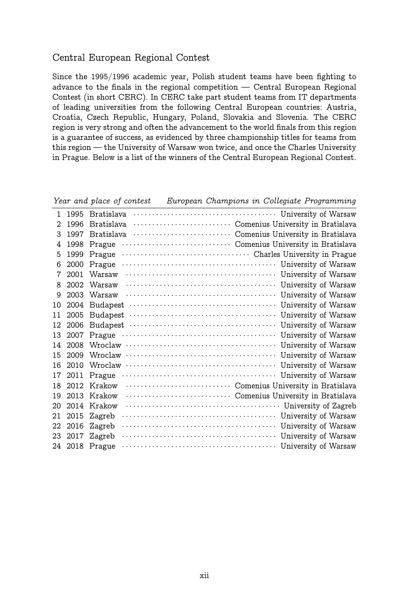#### Central European Regional Contest

Since the 1995/1996 academic year, Polish student teams have been fighting to advance to the finals in the regional competition — Central European Regional Contest (in short CERC). In CERC take part student teams from IT departments of leading universities from the following Central European countries: Austria, Croatia, Czech Republic, Hungary, Poland, Slovakia and Slovenia. The CERC region is very strong and often the advancement to the world finals from this region is a guarantee of success, as evidenced by three championship titles for teams from this region — the University of Warsaw won twice, and once the Charles University in Prague. Below is a list of the winners of the Central European Regional Contest.

Year and place of contest European Champions in Collegiate Programming

| 1  | 1995 | Bratislava                                       |
|----|------|--------------------------------------------------|
| 2  | 1996 | Comenius University in Bratislava<br>Bratislava  |
| 3  | 1997 | Bratislava  Comenius University in Bratislava    |
| 4  | 1998 | Comenius University in Bratislava<br>Prague      |
| 5. | 1999 | Charles University in Prague<br>Prague           |
| 6  | 2000 | Prague                                           |
| 7  | 2001 | Warsaw                                           |
| 8  | 2002 | Warsaw<br>University of Warsaw                   |
| 9  | 2003 | Warsaw<br>University of Warsaw                   |
| 10 | 2004 | University of Warsaw                             |
| 11 | 2005 | University of Warsaw                             |
| 12 | 2006 | University of Warsaw                             |
| 13 | 2007 | University of Warsaw                             |
| 14 | 2008 | University of Warsaw                             |
| 15 | 2009 | University of Warsaw<br>Wroclaw                  |
| 16 | 2010 | University of Warsaw                             |
| 17 | 2011 | Prague                                           |
| 18 | 2012 | Comenius University in Bratislava<br>Krakow      |
| 19 |      | Comenius University in Bratislava<br>2013 Krakow |
| 20 |      | 2014 Krakow                                      |
| 21 | 2015 | University of Warsaw<br>Zagreb                   |
| 22 |      | 2016 Zagreb<br>University of Warsaw              |
|    |      | 23 2017 Zagreb<br>University of Warsaw           |
|    |      | 24 2018 Prague<br>University of Warsaw           |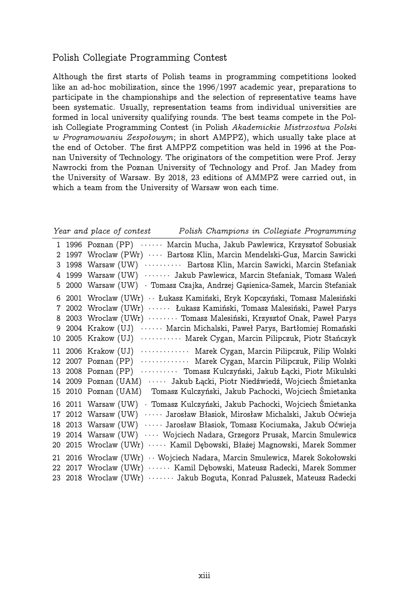#### Polish Collegiate Programming Contest

Although the first starts of Polish teams in programming competitions looked like an ad-hoc mobilization, since the 1996/1997 academic year, preparations to participate in the championships and the selection of representative teams have been systematic. Usually, representation teams from individual universities are formed in local university qualifying rounds. The best teams compete in the Polish Collegiate Programming Contest (in Polish Akademickie Mistrzostwa Polski w Programowaniu Zespołowym; in short AMPPZ), which usually take place at the end of October. The first AMPPZ competition was held in 1996 at the Poznan University of Technology. The originators of the competition were Prof. Jerzy Nawrocki from the Poznan University of Technology and Prof. Jan Madey from the University of Warsaw. By 2018, 23 editions of AMMPZ were carried out, in which a team from the University of Warsaw won each time.

#### Year and place of contest Polish Champions in Collegiate Programming

|   | 1 1996 Poznan (PP)  Marcin Mucha, Jakub Pawlewicz, Krzysztof Sobusiak            |
|---|----------------------------------------------------------------------------------|
| 2 | 1997 Wroclaw (PWr)  Bartosz Klin, Marcin Mendelski-Guz, Marcin Sawicki           |
|   | 3 1998 Warsaw (UW) ·········· Bartosz Klin, Marcin Sawicki, Marcin Stefaniak     |
| 4 | 1999 Warsaw (UW) ······· Jakub Pawlewicz, Marcin Stefaniak, Tomasz Waleń         |
|   | 5 2000 Warsaw (UW)<br>· Tomasz Czajka, Andrzej Gąsienica-Samek, Marcin Stefaniak |
| 6 | 2001 Wroclaw (UWr) · Lukasz Kamiński, Eryk Kopczyński, Tomasz Malesiński         |
| 7 | 2002 Wroclaw (UWr)  Lukasz Kamiński, Tomasz Malesiński, Paweł Parys              |
|   | 8 2003 Wroclaw (UWr) ········ Tomasz Malesiński, Krzysztof Onak, Paweł Parys     |
|   | 9 2004 Krakow (UJ)  Marcin Michalski, Paweł Parys, Bartłomiej Romański           |
|   | 10 2005 Krakow (UJ)<br>Marek Cygan, Marcin Pilipczuk, Piotr Stańczyk             |
|   | 11 2006 Krakow (UJ)<br>Marek Cygan, Marcin Pilipczuk, Filip Wolski               |
|   | Marek Cygan, Marcin Pilipczuk, Filip Wolski<br>12 2007 Poznan (PP)               |
|   | Tomasz Kulczyński, Jakub Łącki, Piotr Mikulski<br>13 2008 Poznan (PP)            |
|   | 14 2009 Poznan (UAM)<br>Jakub Łącki, Piotr Niedźwiedź, Wojciech Smietanka        |
|   | 15 2010 Poznan (UAM)<br>Tomasz Kulczyński, Jakub Pachocki, Wojciech Smietanka    |
|   | · Tomasz Kulczyński, Jakub Pachocki, Wojciech Smietanka<br>16 2011 Warsaw (UW)   |
|   | 17 2012 Warsaw (UW)<br>Jarosław Błasiok, Mirosław Michalski, Jakub Oćwieja       |
|   | 18 2013 Warsaw (UW)<br>Jarosław Błasiok, Tomasz Kociumaka, Jakub Oćwieja         |
|   | 19 2014 Warsaw (UW)  Wojciech Nadara, Grzegorz Prusak, Marcin Smulewicz          |
|   | 20 2015 Wroclaw (UWr)  Kamil Dębowski, Błażej Magnowski, Marek Sommer            |
|   | 21 2016 Wroclaw (UWr) · · Wojciech Nadara, Marcin Smulewicz, Marek Sokołowski    |
|   | 22 2017 Wroclaw (UWr)  Kamil Dębowski, Mateusz Radecki, Marek Sommer             |
|   | 23 2018 Wroclaw (UWr) ······· Jakub Boguta, Konrad Paluszek, Mateusz Radecki     |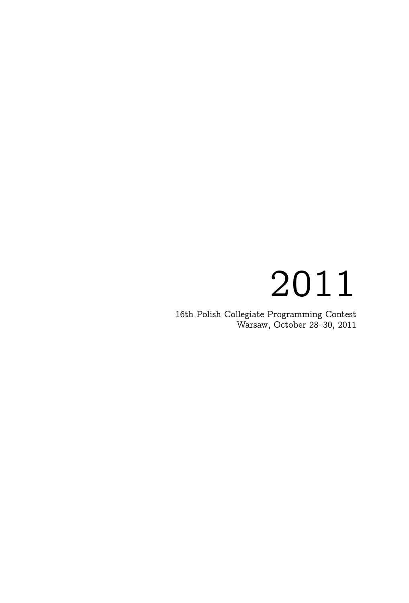# 2011

16th Polish Collegiate Programming Contest Warsaw, October 28–30, 2011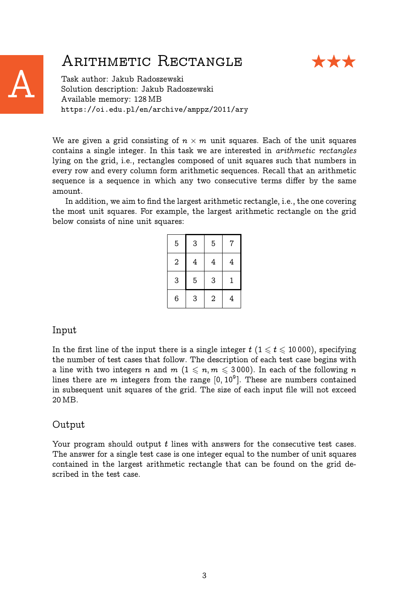# A

# ARITHMETIC RECTANGLE  $\bullet$



Task author: Jakub Radoszewski Solution description: Jakub Radoszewski Available memory: 128 MB <https://oi.edu.pl/en/archive/amppz/2011/ary>

We are given a grid consisting of  $n \times m$  unit squares. Each of the unit squares contains a single integer. In this task we are interested in arithmetic rectangles lying on the grid, i.e., rectangles composed of unit squares such that numbers in every row and every column form arithmetic sequences. Recall that an arithmetic sequence is a sequence in which any two consecutive terms differ by the same amount.

In addition, we aim to find the largest arithmetic rectangle, i.e., the one covering the most unit squares. For example, the largest arithmetic rectangle on the grid below consists of nine unit squares:

| 5              | 3 | 5              | 7 |
|----------------|---|----------------|---|
| $\overline{c}$ | 4 | 4              | 4 |
| 3              | 5 | 3              | 1 |
| 6              | 3 | $\overline{2}$ | 4 |

#### Input

In the first line of the input there is a single integer  $t$  ( $1 \le t \le 10000$ ), specifying the number of test cases that follow. The description of each test case begins with a line with two integers n and  $m$  ( $1 \leq n, m \leq 3000$ ). In each of the following n lines there are  $m$  integers from the range  $[0, 10^9]$ . These are numbers contained in subsequent unit squares of the grid. The size of each input file will not exceed 20 MB.

#### Output

Your program should output  $t$  lines with answers for the consecutive test cases. The answer for a single test case is one integer equal to the number of unit squares contained in the largest arithmetic rectangle that can be found on the grid described in the test case.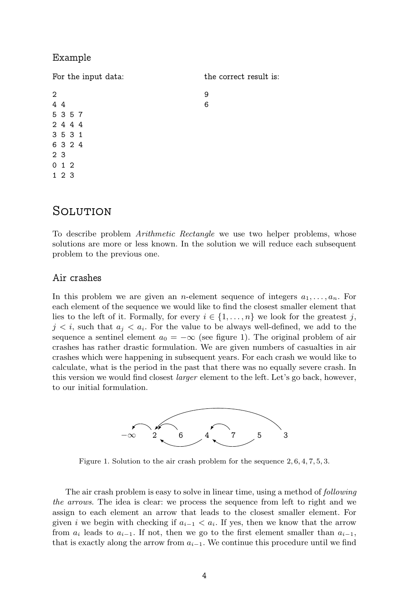#### Example

For the input data:  $\mathcal{D}$ 4 4 5 3 5 7 2 4 4 4 3 5 3 1 6 3 2 4 2 3 0 1 2 the correct result is: 9 6

## Solution

1 2 3

To describe problem *Arithmetic Rectangle* we use two helper problems, whose solutions are more or less known. In the solution we will reduce each subsequent problem to the previous one.

#### Air crashes

In this problem we are given an *n*-element sequence of integers  $a_1, \ldots, a_n$ . For each element of the sequence we would like to find the closest smaller element that lies to the left of it. Formally, for every  $i \in \{1, \ldots, n\}$  we look for the greatest j,  $j < i$ , such that  $a_j < a_i$ . For the value to be always well-defined, we add to the sequence a sentinel element  $a_0 = -\infty$  (see figure [1\)](#page-17-0). The original problem of air crashes has rather drastic formulation. We are given numbers of casualties in air crashes which were happening in subsequent years. For each crash we would like to calculate, what is the period in the past that there was no equally severe crash. In this version we would find closest *larger* element to the left. Let's go back, however, to our initial formulation.



<span id="page-17-0"></span>Figure 1. Solution to the air crash problem for the sequence 2, 6, 4, 7, 5, 3.

The air crash problem is easy to solve in linear time, using a method of *following the arrows*. The idea is clear: we process the sequence from left to right and we assign to each element an arrow that leads to the closest smaller element. For given *i* we begin with checking if  $a_{i-1} < a_i$ . If yes, then we know that the arrow from  $a_i$  leads to  $a_{i-1}$ . If not, then we go to the first element smaller than  $a_{i-1}$ , that is exactly along the arrow from ai*−*1. We continue this procedure until we find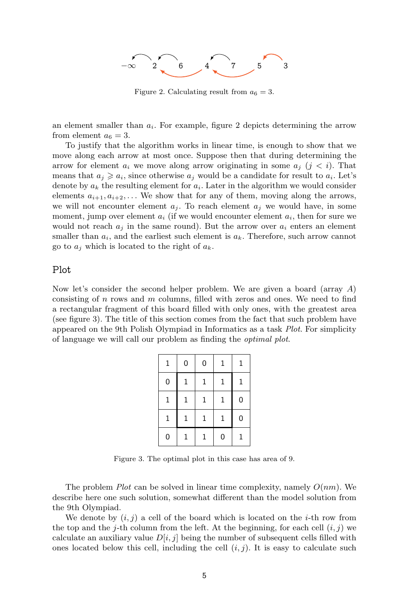

<span id="page-18-0"></span>Figure 2. Calculating result from  $a_6 = 3$ .

an element smaller than  $a_i$ . For example, figure [2](#page-18-0) depicts determining the arrow from element  $a_6 = 3$ .

To justify that the algorithm works in linear time, is enough to show that we move along each arrow at most once. Suppose then that during determining the arrow for element  $a_i$  we move along arrow originating in some  $a_j$   $(j < i)$ . That means that  $a_j \geq a_i$ , since otherwise  $a_j$  would be a candidate for result to  $a_i$ . Let's denote by  $a_k$  the resulting element for  $a_i$ . Later in the algorithm we would consider elements  $a_{i+1}, a_{i+2}, \ldots$  We show that for any of them, moving along the arrows, we will not encounter element  $a_i$ . To reach element  $a_i$  we would have, in some moment, jump over element  $a_i$  (if we would encounter element  $a_i$ , then for sure we would not reach  $a_j$  in the same round). But the arrow over  $a_i$  enters an element smaller than  $a_i$ , and the earliest such element is  $a_k$ . Therefore, such arrow cannot go to  $a_i$  which is located to the right of  $a_k$ .

#### Plot

Now let's consider the second helper problem. We are given a board (array  $A$ ) consisting of  $n$  rows and  $m$  columns, filled with zeros and ones. We need to find a rectangular fragment of this board filled with only ones, with the greatest area (see figure [3\)](#page-18-1). The title of this section comes from the fact that such problem have appeared on the 9th Polish Olympiad in Informatics as a task *Plot*. For simplicity of language we will call our problem as finding the *optimal plot*.

| $\mathbf 1$ | 0            | 0            | 1 | $\mathbf 1$ |
|-------------|--------------|--------------|---|-------------|
| 0           | $\mathbf{1}$ | $\mathbf{1}$ | 1 | $\mathbf 1$ |
| $\mathbf 1$ | $\mathbf{1}$ | $\,1\,$      | 1 | 0           |
| 1           | 1            | $\mathbf 1$  | 1 | 0           |
| 0           | 1            | $\mathbf 1$  | 0 | $\mathbf 1$ |

<span id="page-18-1"></span>Figure 3. The optimal plot in this case has area of 9.

The problem *Plot* can be solved in linear time complexity, namely  $O(nm)$ . We describe here one such solution, somewhat different than the model solution from the 9th Olympiad.

We denote by  $(i, j)$  a cell of the board which is located on the *i*-th row from the top and the j-th column from the left. At the beginning, for each cell  $(i, j)$  we calculate an auxiliary value  $D[i, j]$  being the number of subsequent cells filled with ones located below this cell, including the cell  $(i, j)$ . It is easy to calculate such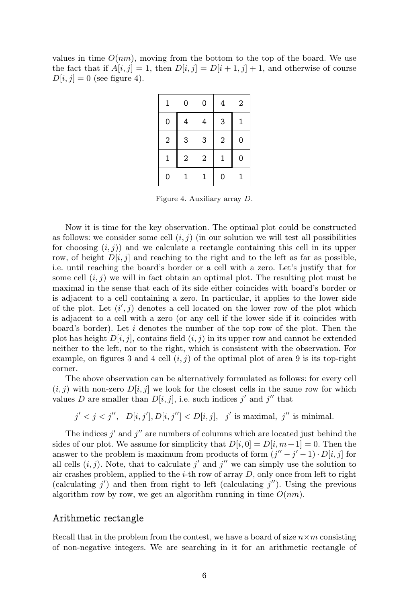values in time  $O(nm)$ , moving from the bottom to the top of the board. We use the fact that if  $A[i, j] = 1$ , then  $D[i, j] = D[i + 1, j] + 1$ , and otherwise of course  $D[i, j] = 0$  (see figure [4\)](#page-19-0).

| 1              | 0              | 0                | 4              | $\boldsymbol{2}$ |
|----------------|----------------|------------------|----------------|------------------|
| 0              | 4              | 4                | 3              | 1                |
| $\overline{c}$ | 3              | 3                | $\overline{c}$ | 0                |
| 1              | $\overline{c}$ | $\boldsymbol{2}$ | 1              | 0                |
| 0              | 1              | 1                | 0              | 1                |

<span id="page-19-0"></span>Figure 4. Auxiliary array D.

Now it is time for the key observation. The optimal plot could be constructed as follows: we consider some cell  $(i, j)$  (in our solution we will test all possibilities for choosing  $(i, j)$  and we calculate a rectangle containing this cell in its upper row, of height  $D[i, j]$  and reaching to the right and to the left as far as possible, i.e. until reaching the board's border or a cell with a zero. Let's justify that for some cell  $(i, j)$  we will in fact obtain an optimal plot. The resulting plot must be maximal in the sense that each of its side either coincides with board's border or is adjacent to a cell containing a zero. In particular, it applies to the lower side of the plot. Let  $(i', j)$  denotes a cell located on the lower row of the plot which is adjacent to a cell with a zero (or any cell if the lower side if it coincides with board's border). Let  $i$  denotes the number of the top row of the plot. Then the plot has height  $D[i, j]$ , contains field  $(i, j)$  in its upper row and cannot be extended neither to the left, nor to the right, which is consistent with the observation. For example, on figures [3](#page-18-1) and [4](#page-19-0) cell  $(i, j)$  of the optimal plot of area 9 is its top-right corner.

The above observation can be alternatively formulated as follows: for every cell  $(i, j)$  with non-zero  $D[i, j]$  we look for the closest cells in the same row for which values D are smaller than  $D[i, j]$ , i.e. such indices  $j'$  and  $j''$  that

 $j' < j < j''$ ,  $D[i, j'], D[i, j''] < D[i, j], j'$  is maximal, j'' is minimal.

The indices  $j'$  and  $j''$  are numbers of columns which are located just behind the sides of our plot. We assume for simplicity that  $D[i, 0] = D[i, m+1] = 0$ . Then the answer to the problem is maximum from products of form  $(j'' - j' - 1) \cdot D[i, j]$  for all cells  $(i, j)$ . Note, that to calculate  $j'$  and  $j''$  we can simply use the solution to air crashes problem, applied to the  $i$ -th row of array  $D$ , only once from left to right (calculating  $j'$ ) and then from right to left (calculating  $j''$ ). Using the previous algorithm row by row, we get an algorithm running in time  $O(nm)$ .

#### Arithmetic rectangle

Recall that in the problem from the contest, we have a board of size  $n \times m$  consisting of non-negative integers. We are searching in it for an arithmetic rectangle of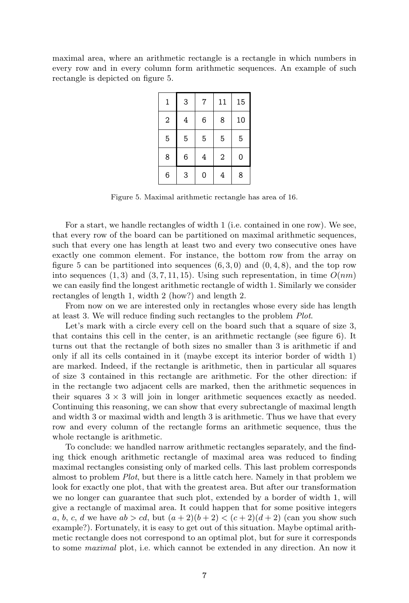maximal area, where an arithmetic rectangle is a rectangle in which numbers in every row and in every column form arithmetic sequences. An example of such rectangle is depicted on figure [5.](#page-20-0)

| 1              | 3              | 7 | 11               | 15 |
|----------------|----------------|---|------------------|----|
| $\overline{c}$ | 4              | 6 | 8                | 10 |
| 5              | $\overline{5}$ | 5 | 5                | 5  |
| 8              | 6              | 4 | $\boldsymbol{2}$ | 0  |
| 6              | 3              | 0 | 4                | 8  |

<span id="page-20-0"></span>Figure 5. Maximal arithmetic rectangle has area of 16.

For a start, we handle rectangles of width 1 (i.e. contained in one row). We see, that every row of the board can be partitioned on maximal arithmetic sequences, such that every one has length at least two and every two consecutive ones have exactly one common element. For instance, the bottom row from the array on figure [5](#page-20-0) can be partitioned into sequences  $(6, 3, 0)$  and  $(0, 4, 8)$ , and the top row into sequences  $(1, 3)$  and  $(3, 7, 11, 15)$ . Using such representation, in time  $O(nm)$ we can easily find the longest arithmetic rectangle of width 1. Similarly we consider rectangles of length 1, width 2 (how?) and length 2.

From now on we are interested only in rectangles whose every side has length at least 3. We will reduce finding such rectangles to the problem *Plot*.

Let's mark with a circle every cell on the board such that a square of size 3, that contains this cell in the center, is an arithmetic rectangle (see figure [6\)](#page-21-0). It turns out that the rectangle of both sizes no smaller than 3 is arithmetic if and only if all its cells contained in it (maybe except its interior border of width 1) are marked. Indeed, if the rectangle is arithmetic, then in particular all squares of size 3 contained in this rectangle are arithmetic. For the other direction: if in the rectangle two adjacent cells are marked, then the arithmetic sequences in their squares  $3 \times 3$  will join in longer arithmetic sequences exactly as needed. Continuing this reasoning, we can show that every subrectangle of maximal length and width 3 or maximal width and length 3 is arithmetic. Thus we have that every row and every column of the rectangle forms an arithmetic sequence, thus the whole rectangle is arithmetic.

To conclude: we handled narrow arithmetic rectangles separately, and the finding thick enough arithmetic rectangle of maximal area was reduced to finding maximal rectangles consisting only of marked cells. This last problem corresponds almost to problem *Plot*, but there is a little catch here. Namely in that problem we look for exactly one plot, that with the greatest area. But after our transformation we no longer can guarantee that such plot, extended by a border of width 1, will give a rectangle of maximal area. It could happen that for some positive integers a, b, c, d we have  $ab > cd$ , but  $(a+2)(b+2) < (c+2)(d+2)$  (can you show such example?). Fortunately, it is easy to get out of this situation. Maybe optimal arithmetic rectangle does not correspond to an optimal plot, but for sure it corresponds to some *maximal* plot, i.e. which cannot be extended in any direction. An now it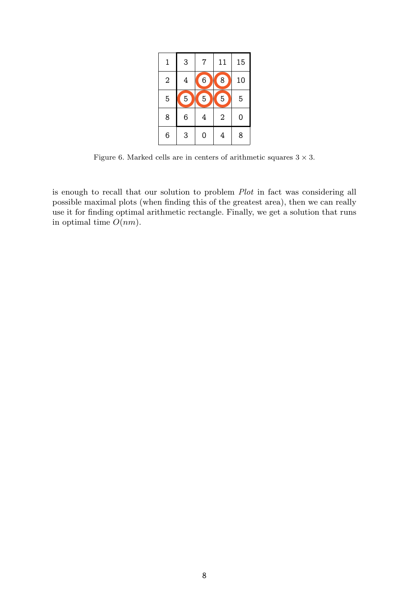| 1              | 3              | 7              | 11             | 15 |
|----------------|----------------|----------------|----------------|----|
| $\overline{c}$ | 4              | 6              | 8              | 10 |
| 5              | $\overline{5}$ | $\overline{5}$ | 5              | 5  |
| 8              | 6              | 4              | $\overline{c}$ | 0  |
| 6              | 3              | 0              | 4              | 8  |

<span id="page-21-0"></span>Figure 6. Marked cells are in centers of arithmetic squares 3 *×* 3.

is enough to recall that our solution to problem *Plot* in fact was considering all possible maximal plots (when finding this of the greatest area), then we can really use it for finding optimal arithmetic rectangle. Finally, we get a solution that runs in optimal time  $O(nm)$ .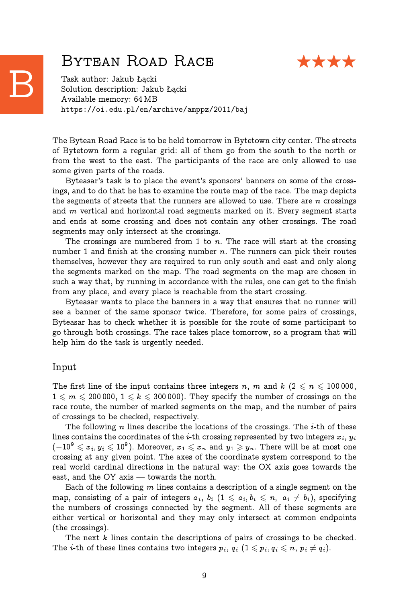# BYTEAN ROAD RACE  $\star \star \star$



Task author: Jakub Łącki Solution description: Jakub Łącki Available memory: 64 MB <https://oi.edu.pl/en/archive/amppz/2011/baj>

The Bytean Road Race is to be held tomorrow in Bytetown city center. The streets of Bytetown form a regular grid: all of them go from the south to the north or from the west to the east. The participants of the race are only allowed to use some given parts of the roads.

Byteasar's task is to place the event's sponsors' banners on some of the crossings, and to do that he has to examine the route map of the race. The map depicts the segments of streets that the runners are allowed to use. There are  $n$  crossings and  $m$  vertical and horizontal road segments marked on it. Every segment starts and ends at some crossing and does not contain any other crossings. The road segments may only intersect at the crossings.

The crossings are numbered from 1 to  $n$ . The race will start at the crossing number 1 and finish at the crossing number  $n$ . The runners can pick their routes themselves, however they are required to run only south and east and only along the segments marked on the map. The road segments on the map are chosen in such a way that, by running in accordance with the rules, one can get to the finish from any place, and every place is reachable from the start crossing.

Byteasar wants to place the banners in a way that ensures that no runner will see a banner of the same sponsor twice. Therefore, for some pairs of crossings, Byteasar has to check whether it is possible for the route of some participant to go through both crossings. The race takes place tomorrow, so a program that will help him do the task is urgently needed.

#### Input

B

The first line of the input contains three integers n, m and  $k$  ( $2 \le n \le 100000$ ,  $1 \leqslant m \leqslant 200\,000$ ,  $1 \leqslant k \leqslant 300\,000$ . They specify the number of crossings on the race route, the number of marked segments on the map, and the number of pairs of crossings to be checked, respectively.

The following n lines describe the locations of the crossings. The  $i$ -th of these lines contains the coordinates of the *i*-th crossing represented by two integers  $x_i$ ,  $y_i$  $(-{10}^9 \leqslant {x_i},{y_i} \leqslant {10}^9).$  Moreover,  ${x_1} \leqslant {x_n}$  and  ${y_1} \geqslant {y_n}.$  There will be at most one crossing at any given point. The axes of the coordinate system correspond to the real world cardinal directions in the natural way: the OX axis goes towards the east, and the OY axis — towards the north.

Each of the following  $m$  lines contains a description of a single segment on the map, consisting of a pair of integers  $a_i$ ,  $b_i$   $(1 \leq a_i, b_i \leq n, a_i \neq b_i)$ , specifying the numbers of crossings connected by the segment. All of these segments are either vertical or horizontal and they may only intersect at common endpoints (the crossings).

The next k lines contain the descriptions of pairs of crossings to be checked. The *i*-th of these lines contains two integers  $p_i$ ,  $q_i$   $(1 \leq p_i, q_i \leq n, p_i \neq q_i)$ .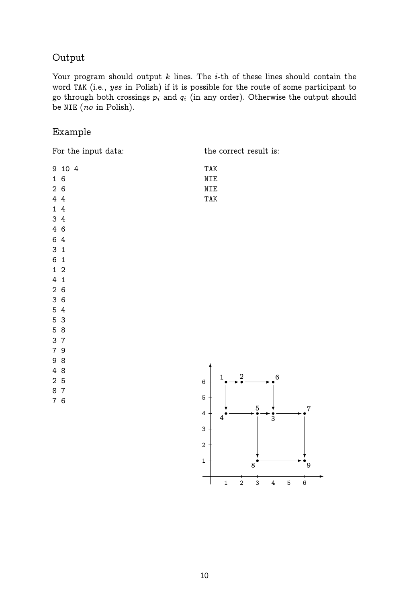### Output

Your program should output  $k$  lines. The  $i$ -th of these lines should contain the word TAK (i.e., yes in Polish) if it is possible for the route of some participant to go through both crossings  $p_i$  and  $q_i$  (in any order). Otherwise the output should be NIE (no in Polish).

#### Example

| For the input data:        | the correct result is:                         |
|----------------------------|------------------------------------------------|
| 9 10 4<br>16               | TAK<br>$\verb+NIE+$                            |
| 26                         | NIE                                            |
| 44                         | TAK                                            |
| $\sqrt{4}$<br>$\mathbf{1}$ |                                                |
| 3 4                        |                                                |
| 4 6                        |                                                |
| 6 4                        |                                                |
| 3 <sub>1</sub>             |                                                |
| 6 1                        |                                                |
| $1\quad2$                  |                                                |
| $\mathbf 1$<br>4           |                                                |
| 26                         |                                                |
| 36                         |                                                |
| 5 4                        |                                                |
| 5 3                        |                                                |
| 5 8                        |                                                |
| 3 7                        |                                                |
| 79                         |                                                |
| 98                         |                                                |
| 4 8                        | $\overline{a}$<br>$\mathbf{1}$<br>6            |
| 2 <sub>5</sub>             | 6                                              |
| 8 7                        | 5                                              |
| 7 6                        | 5                                              |
|                            | $\overline{\mathbf{4}}$<br>$\overline{3}$<br>4 |
|                            | 3                                              |
|                            |                                                |
|                            | $\,2$                                          |

1

1

2

3

7

8 9

5

6

4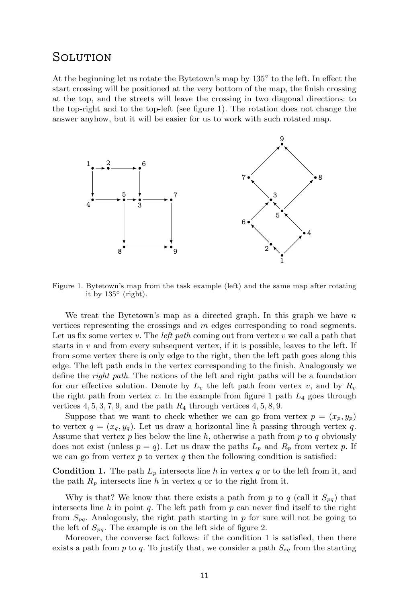### Solution

At the beginning let us rotate the Bytetown's map by 135*◦* to the left. In effect the start crossing will be positioned at the very bottom of the map, the finish crossing at the top, and the streets will leave the crossing in two diagonal directions: to the top-right and to the top-left (see figure [1\)](#page-24-0). The rotation does not change the answer anyhow, but it will be easier for us to work with such rotated map.



<span id="page-24-0"></span>Figure 1. Bytetown's map from the task example (left) and the same map after rotating it by 135*◦* (right).

We treat the Bytetown's map as a directed graph. In this graph we have  $n$ vertices representing the crossings and m edges corresponding to road segments. Let us fix some vertex v. The *left path* coming out from vertex v we call a path that starts in  $v$  and from every subsequent vertex, if it is possible, leaves to the left. If from some vertex there is only edge to the right, then the left path goes along this edge. The left path ends in the vertex corresponding to the finish. Analogously we define the *right path*. The notions of the left and right paths will be a foundation for our effective solution. Denote by  $L_v$  the left path from vertex v, and by  $R_v$ the right path from vertex v. In the example from figure [1](#page-24-0) path  $L_4$  goes through vertices  $4, 5, 3, 7, 9$ , and the path  $R_4$  through vertices  $4, 5, 8, 9$ .

Suppose that we want to check whether we can go from vertex  $p = (x_p, y_p)$ to vertex  $q = (x_q, y_q)$ . Let us draw a horizontal line h passing through vertex q. Assume that vertex  $p$  lies below the line  $h$ , otherwise a path from  $p$  to  $q$  obviously does not exist (unless  $p = q$ ). Let us draw the paths  $L_p$  and  $R_p$  from vertex p. If we can go from vertex  $p$  to vertex  $q$  then the following condition is satisfied:

<span id="page-24-1"></span>**Condition 1.** The path  $L_p$  intersects line h in vertex q or to the left from it, and the path  $R_p$  intersects line h in vertex q or to the right from it.

Why is that? We know that there exists a path from p to q (call it  $S_{pq}$ ) that intersects line  $h$  in point  $q$ . The left path from  $p$  can never find itself to the right from  $S_{pq}$ . Analogously, the right path starting in p for sure will not be going to the left of  $S_{pq}$ . The example is on the left side of figure [2.](#page-25-0)

Moreover, the converse fact follows: if the condition [1](#page-24-1) is satisfied, then there exists a path from  $p$  to  $q$ . To justify that, we consider a path  $S_{sq}$  from the starting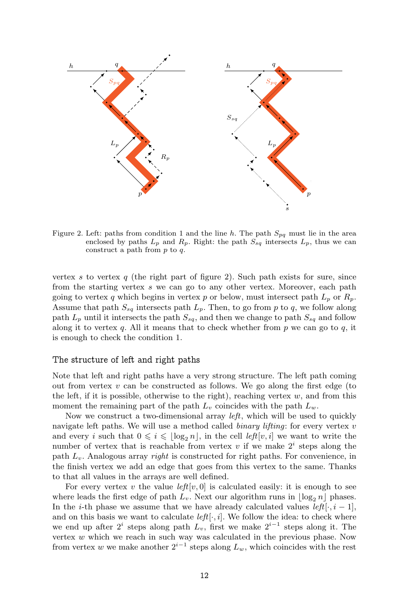

<span id="page-25-0"></span>Figure 2. Left: paths from condition [1](#page-24-1) and the line h. The path  $S_{pq}$  must lie in the area enclosed by paths  $L_p$  and  $R_p$ . Right: the path  $S_{sq}$  intersects  $L_p$ , thus we can construct a path from  $p$  to  $q$ .

vertex s to vertex q (the right part of figure [2\)](#page-25-0). Such path exists for sure, since from the starting vertex s we can go to any other vertex. Moreover, each path going to vertex q which begins in vertex p or below, must intersect path  $L_p$  or  $R_p$ . Assume that path  $S_{sq}$  intersects path  $L_p$ . Then, to go from p to q, we follow along path  $L_p$  until it intersects the path  $S_{sq}$ , and then we change to path  $S_{sq}$  and follow along it to vertex q. All it means that to check whether from  $p$  we can go to  $q$ , it is enough to check the condition [1.](#page-24-1)

#### The structure of left and right paths

Note that left and right paths have a very strong structure. The left path coming out from vertex  $v$  can be constructed as follows. We go along the first edge (to the left, if it is possible, otherwise to the right), reaching vertex  $w$ , and from this moment the remaining part of the path  $L_v$  coincides with the path  $L_w$ .

Now we construct a two-dimensional array *left*, which will be used to quickly navigate left paths. We will use a method called *binary lifting*: for every vertex v and every i such that  $0 \leq i \leq |\log_2 n|$ , in the cell left[v, i] we want to write the number of vertex that is reachable from vertex  $v$  if we make  $2<sup>i</sup>$  steps along the path  $L_v$ . Analogous array *right* is constructed for right paths. For convenience, in the finish vertex we add an edge that goes from this vertex to the same. Thanks to that all values in the arrays are well defined.

For every vertex v the value left  $[v, 0]$  is calculated easily: it is enough to see where leads the first edge of path  $L_v$ . Next our algorithm runs in  $\log_2 n$  phases. In the *i*-th phase we assume that we have already calculated values  $left[·, i - 1\right]$ , and on this basis we want to calculate *left*[ $\cdot$ , *i*]. We follow the idea: to check where we end up after  $2^i$  steps along path  $L_v$ , first we make  $2^{i-1}$  steps along it. The vertex  $w$  which we reach in such way was calculated in the previous phase. Now from vertex w we make another  $2^{i-1}$  steps along  $L_w$ , which coincides with the rest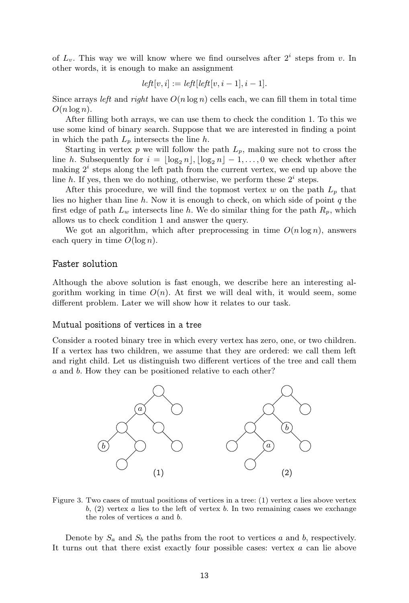of  $L_v$ . This way we will know where we find ourselves after  $2^i$  steps from v. In other words, it is enough to make an assignment

$$
left[v, i] := left[left[v, i-1], i-1].
$$

Since arrays left and right have  $O(n \log n)$  cells each, we can fill them in total time  $O(n \log n)$ .

After filling both arrays, we can use them to check the condition [1.](#page-24-1) To this we use some kind of binary search. Suppose that we are interested in finding a point in which the path  $L_p$  intersects the line h.

Starting in vertex  $p$  we will follow the path  $L_p$ , making sure not to cross the line h. Subsequently for  $i = \log_2 n |, \log_2 n | - 1, \ldots, 0$  we check whether after making  $2^i$  steps along the left path from the current vertex, we end up above the line h. If yes, then we do nothing, otherwise, we perform these  $2^i$  steps.

After this procedure, we will find the topmost vertex w on the path  $L_p$  that lies no higher than line  $h$ . Now it is enough to check, on which side of point  $q$  the first edge of path  $L_w$  intersects line h. We do similar thing for the path  $R_p$ , which allows us to check condition [1](#page-24-1) and answer the query.

We got an algorithm, which after preprocessing in time  $O(n \log n)$ , answers each query in time  $O(\log n)$ .

#### Faster solution

Although the above solution is fast enough, we describe here an interesting algorithm working in time  $O(n)$ . At first we will deal with, it would seem, some different problem. Later we will show how it relates to our task.

#### Mutual positions of vertices in a tree

Consider a rooted binary tree in which every vertex has zero, one, or two children. If a vertex has two children, we assume that they are ordered: we call them left and right child. Let us distinguish two different vertices of the tree and call them a and b. How they can be positioned relative to each other?



<span id="page-26-0"></span>Figure 3. Two cases of mutual positions of vertices in a tree:  $(1)$  vertex a lies above vertex b,  $(2)$  vertex a lies to the left of vertex b. In two remaining cases we exchange the roles of vertices a and b.

Denote by  $S_a$  and  $S_b$  the paths from the root to vertices a and b, respectively. It turns out that there exist exactly four possible cases: vertex  $a$  can lie above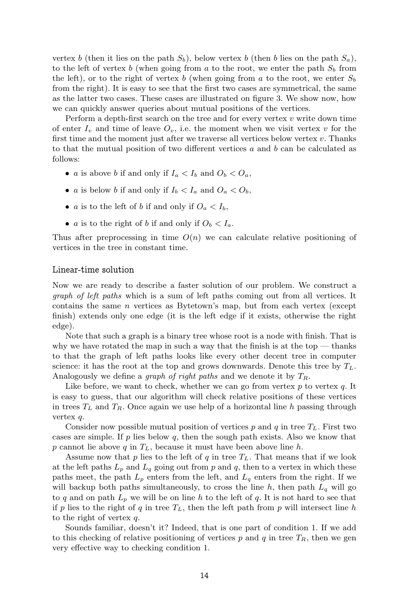vertex b (then it lies on the path  $S_b$ ), below vertex b (then b lies on the path  $S_a$ ), to the left of vertex b (when going from a to the root, we enter the path  $S_b$  from the left), or to the right of vertex b (when going from a to the root, we enter  $S_b$ from the right). It is easy to see that the first two cases are symmetrical, the same as the latter two cases. These cases are illustrated on figure [3.](#page-26-0) We show now, how we can quickly answer queries about mutual positions of the vertices.

Perform a depth-first search on the tree and for every vertex  $v$  write down time of enter  $I_v$  and time of leave  $O_v$ , i.e. the moment when we visit vertex v for the first time and the moment just after we traverse all vertices below vertex  $v$ . Thanks to that the mutual position of two different vertices  $a$  and  $b$  can be calculated as follows:

- a is above b if and only if  $I_a < I_b$  and  $O_b < O_a$ .
- a is below b if and only if  $I_b < I_a$  and  $O_a < O_b$ ,
- a is to the left of b if and only if  $O_a < I_b$ ,
- a is to the right of b if and only if  $O_b < I_a$ .

Thus after preprocessing in time  $O(n)$  we can calculate relative positioning of vertices in the tree in constant time.

#### Linear-time solution

Now we are ready to describe a faster solution of our problem. We construct a *graph of left paths* which is a sum of left paths coming out from all vertices. It contains the same  $n$  vertices as Bytetown's map, but from each vertex (except finish) extends only one edge (it is the left edge if it exists, otherwise the right edge).

Note that such a graph is a binary tree whose root is a node with finish. That is why we have rotated the map in such a way that the finish is at the top  $-$  thanks to that the graph of left paths looks like every other decent tree in computer science: it has the root at the top and grows downwards. Denote this tree by  $T_L$ . Analogously we define a *graph of right paths* and we denote it by TR.

Like before, we want to check, whether we can go from vertex  $p$  to vertex  $q$ . It is easy to guess, that our algorithm will check relative positions of these vertices in trees  $T_L$  and  $T_R$ . Once again we use help of a horizontal line h passing through vertex q.

Consider now possible mutual position of vertices  $p$  and  $q$  in tree  $T_L$ . First two cases are simple. If  $p$  lies below  $q$ , then the sough path exists. Also we know that p cannot lie above q in  $T_L$ , because it must have been above line h.

Assume now that p lies to the left of q in tree  $T_L$ . That means that if we look at the left paths  $L_p$  and  $L_q$  going out from p and q, then to a vertex in which these paths meet, the path  $L_p$  enters from the left, and  $L_q$  enters from the right. If we will backup both paths simultaneously, to cross the line h, then path  $L_q$  will go to q and on path  $L_p$  we will be on line h to the left of q. It is not hard to see that if p lies to the right of q in tree  $T<sub>L</sub>$ , then the left path from p will intersect line h to the right of vertex q.

Sounds familiar, doesn't it? Indeed, that is one part of condition [1.](#page-24-1) If we add to this checking of relative positioning of vertices  $p$  and  $q$  in tree  $T_R$ , then we gen very effective way to checking condition [1.](#page-24-1)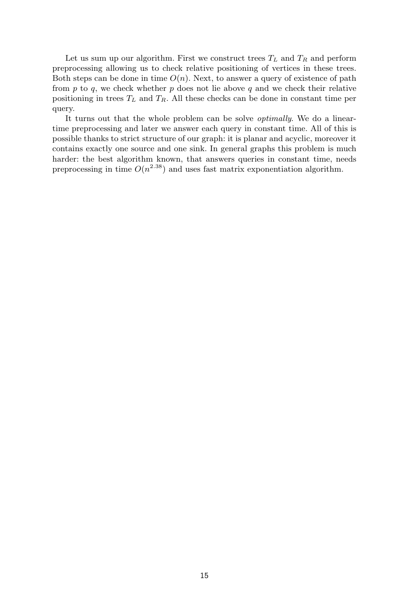Let us sum up our algorithm. First we construct trees  $T_L$  and  $T_R$  and perform preprocessing allowing us to check relative positioning of vertices in these trees. Both steps can be done in time  $O(n)$ . Next, to answer a query of existence of path from p to q, we check whether p does not lie above q and we check their relative positioning in trees  $T_L$  and  $T_R$ . All these checks can be done in constant time per query.

It turns out that the whole problem can be solve *optimally*. We do a lineartime preprocessing and later we answer each query in constant time. All of this is possible thanks to strict structure of our graph: it is planar and acyclic, moreover it contains exactly one source and one sink. In general graphs this problem is much harder: the best algorithm known, that answers queries in constant time, needs preprocessing in time  $O(n^{2.38})$  and uses fast matrix exponentiation algorithm.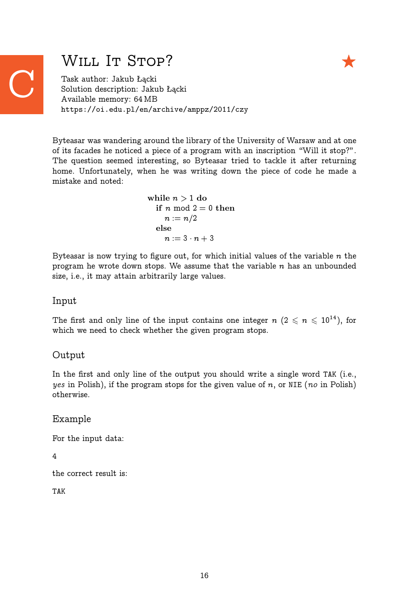# WILL IT STOP?

 $\bigcirc$ 

Task author: Jakub Łącki Solution description: Jakub Łącki Available memory: 64 MB <https://oi.edu.pl/en/archive/amppz/2011/czy>

Byteasar was wandering around the library of the University of Warsaw and at one of its facades he noticed a piece of a program with an inscription "Will it stop?". The question seemed interesting, so Byteasar tried to tackle it after returning home. Unfortunately, when he was writing down the piece of code he made a mistake and noted:

```
while n > 1 do
  if n \mod 2 = 0 then
    n := n/2else
    n := 3 \cdot n + 3
```
Byteasar is now trying to figure out, for which initial values of the variable  $n$  the program he wrote down stops. We assume that the variable  $n$  has an unbounded size, i.e., it may attain arbitrarily large values.

#### Input

The first and only line of the input contains one integer  $n (2 \leq n \leq 10^{14})$ , for which we need to check whether the given program stops.

#### Output

In the first and only line of the output you should write a single word TAK (i.e., *yes* in Polish), if the program stops for the given value of  $n$ , or NIE (no in Polish) otherwise.

#### Example

For the input data:

#### 4

the correct result is:

TAK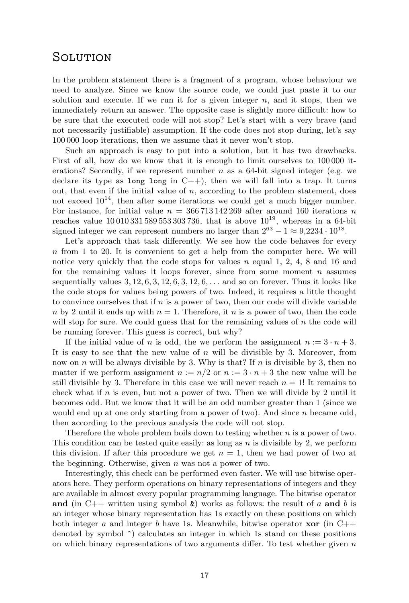#### Solution

In the problem statement there is a fragment of a program, whose behaviour we need to analyze. Since we know the source code, we could just paste it to our solution and execute. If we run it for a given integer  $n$ , and it stops, then we immediately return an answer. The opposite case is slightly more difficult: how to be sure that the executed code will not stop? Let's start with a very brave (and not necessarily justifiable) assumption. If the code does not stop during, let's say 100 000 loop iterations, then we assume that it never won't stop.

Such an approach is easy to put into a solution, but it has two drawbacks. First of all, how do we know that it is enough to limit ourselves to 100 000 iterations? Secondly, if we represent number n as a 64-bit signed integer (e.g. we declare its type as long long in  $C++$ ), then we will fall into a trap. It turns out, that even if the initial value of  $n$ , according to the problem statement, does not exceed  $10^{14}$ , then after some iterations we could get a much bigger number. For instance, for initial value  $n = 366713142269$  after around 160 iterations n reaches value  $10\,010\,331\,589\,553\,303\,736$ , that is above  $10^{19}$ , whereas in a 64-bit signed integer we can represent numbers no larger than  $2^{63} - 1 \approx 9,2234 \cdot 10^{18}$ .

Let's approach that task differently. We see how the code behaves for every n from 1 to 20. It is convenient to get a help from the computer here. We will notice very quickly that the code stops for values  $n$  equal 1, 2, 4, 8 and 16 and for the remaining values it loops forever, since from some moment  $n$  assumes sequentially values  $3, 12, 6, 3, 12, 6, 3, 12, 6, \ldots$  and so on forever. Thus it looks like the code stops for values being powers of two. Indeed, it requires a little thought to convince ourselves that if  $n$  is a power of two, then our code will divide variable n by 2 until it ends up with  $n = 1$ . Therefore, it n is a power of two, then the code will stop for sure. We could guess that for the remaining values of  $n$  the code will be running forever. This guess is correct, but why?

If the initial value of n is odd, the we perform the assignment  $n := 3 \cdot n + 3$ . It is easy to see that the new value of  $n$  will be divisible by 3. Moreover, from now on n will be always divisible by 3. Why is that? If n is divisible by 3, then no matter if we perform assignment  $n := n/2$  or  $n := 3 \cdot n + 3$  the new value will be still divisible by 3. Therefore in this case we will never reach  $n = 1!$  It remains to check what if n is even, but not a power of two. Then we will divide by 2 until it becomes odd. But we know that it will be an odd number greater than 1 (since we would end up at one only starting from a power of two). And since n became odd, then according to the previous analysis the code will not stop.

Therefore the whole problem boils down to testing whether  $n$  is a power of two. This condition can be tested quite easily: as long as  $n$  is divisible by 2, we perform this division. If after this procedure we get  $n = 1$ , then we had power of two at the beginning. Otherwise, given  $n$  was not a power of two.

Interestingly, this check can be performed even faster. We will use bitwise operators here. They perform operations on binary representations of integers and they are available in almost every popular programming language. The bitwise operator **and** (in C++ written using symbol **k**) works as follows: the result of a **and** b is an integer whose binary representation has 1s exactly on these positions on which both integer a and integer b have 1s. Meanwhile, bitwise operator **xor** (in C++ denoted by symbol ^) calculates an integer in which 1s stand on these positions on which binary representations of two arguments differ. To test whether given  $n$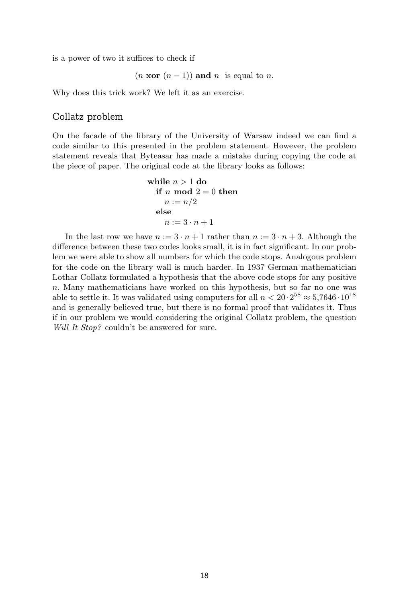is a power of two it suffices to check if

 $(n \times \textbf{or} (n-1))$  and n is equal to n.

Why does this trick work? We left it as an exercise.

#### Collatz problem

On the facade of the library of the University of Warsaw indeed we can find a code similar to this presented in the problem statement. However, the problem statement reveals that Byteasar has made a mistake during copying the code at the piece of paper. The original code at the library looks as follows:

$$
\begin{array}{l}\n\textbf{while } n > 1 \textbf{ do} \\
\textbf{if } n \textbf{ mod } 2 = 0 \textbf{ then} \\
n := n/2 \\
\textbf{else} \\
n := 3 \cdot n + 1\n\end{array}
$$

In the last row we have  $n := 3 \cdot n + 1$  rather than  $n := 3 \cdot n + 3$ . Although the difference between these two codes looks small, it is in fact significant. In our problem we were able to show all numbers for which the code stops. Analogous problem for the code on the library wall is much harder. In 1937 German mathematician Lothar Collatz formulated a hypothesis that the above code stops for any positive  $n.$  Many mathematicians have worked on this hypothesis, but so far no one was able to settle it. It was validated using computers for all  $n < 20 \cdot 2^{58} \approx 5{,}7646 \cdot 10^{18}$ and is generally believed true, but there is no formal proof that validates it. Thus if in our problem we would considering the original Collatz problem, the question *Will It Stop?* couldn't be answered for sure.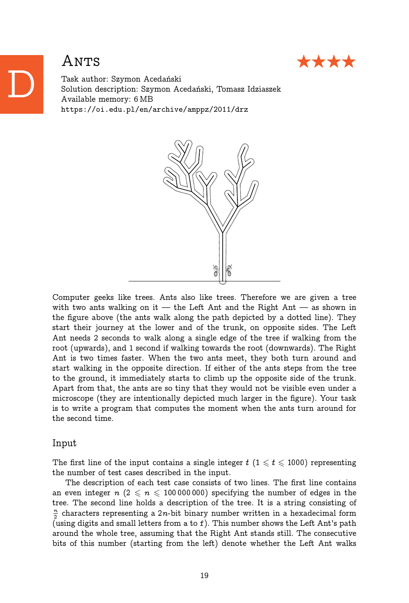D



Task author: Szymon Acedański Solution description: Szymon Acedański, Tomasz Idziaszek Available memory: 6 MB <https://oi.edu.pl/en/archive/amppz/2011/drz>



Computer geeks like trees. Ants also like trees. Therefore we are given a tree with two ants walking on it — the Left Ant and the Right Ant — as shown in the figure above (the ants walk along the path depicted by a dotted line). They start their journey at the lower and of the trunk, on opposite sides. The Left Ant needs 2 seconds to walk along a single edge of the tree if walking from the root (upwards), and 1 second if walking towards the root (downwards). The Right Ant is two times faster. When the two ants meet, they both turn around and start walking in the opposite direction. If either of the ants steps from the tree to the ground, it immediately starts to climb up the opposite side of the trunk. Apart from that, the ants are so tiny that they would not be visible even under a microscope (they are intentionally depicted much larger in the figure). Your task is to write a program that computes the moment when the ants turn around for the second time.

#### Input

The first line of the input contains a single integer  $t$  ( $1 \leq t \leq 1000$ ) representing the number of test cases described in the input.

The description of each test case consists of two lines. The first line contains an even integer  $n (2 \leqslant n \leqslant 100 000 000)$  specifying the number of edges in the tree. The second line holds a description of the tree. It is a string consisting of  $\frac{n}{2}$  characters representing a 2*n*-bit binary number written in a hexadecimal form (using digits and small letters from a to f). This number shows the Left Ant's path around the whole tree, assuming that the Right Ant stands still. The consecutive bits of this number (starting from the left) denote whether the Left Ant walks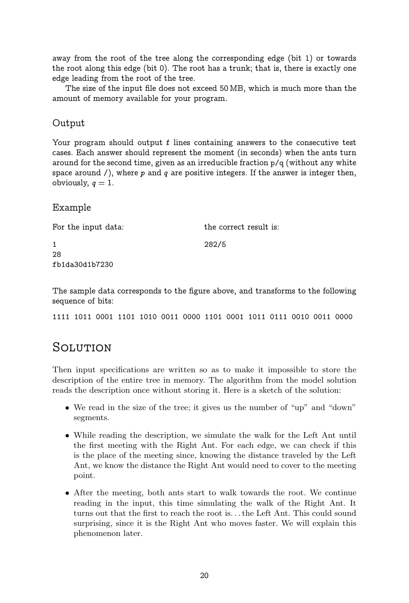away from the root of the tree along the corresponding edge (bit 1) or towards the root along this edge (bit 0). The root has a trunk; that is, there is exactly one edge leading from the root of the tree.

The size of the input file does not exceed 50 MB, which is much more than the amount of memory available for your program.

#### Output

Your program should output  $t$  lines containing answers to the consecutive test cases. Each answer should represent the moment (in seconds) when the ants turn around for the second time, given as an irreducible fraction  $p/q$  (without any white space around  $\ell$ , where p and q are positive integers. If the answer is integer then, obviously,  $q = 1$ .

Example

For the input data: 1 28 fb1da30d1b7230 the correct result is: 282/5

The sample data corresponds to the figure above, and transforms to the following sequence of bits:

1111 1011 0001 1101 1010 0011 0000 1101 0001 1011 0111 0010 0011 0000

## Solution

Then input specifications are written so as to make it impossible to store the description of the entire tree in memory. The algorithm from the model solution reads the description once without storing it. Here is a sketch of the solution:

- We read in the size of the tree; it gives us the number of "up" and "down" segments.
- While reading the description, we simulate the walk for the Left Ant until the first meeting with the Right Ant. For each edge, we can check if this is the place of the meeting since, knowing the distance traveled by the Left Ant, we know the distance the Right Ant would need to cover to the meeting point.
- After the meeting, both ants start to walk towards the root. We continue reading in the input, this time simulating the walk of the Right Ant. It turns out that the first to reach the root is. . . the Left Ant. This could sound surprising, since it is the Right Ant who moves faster. We will explain this phenomenon later.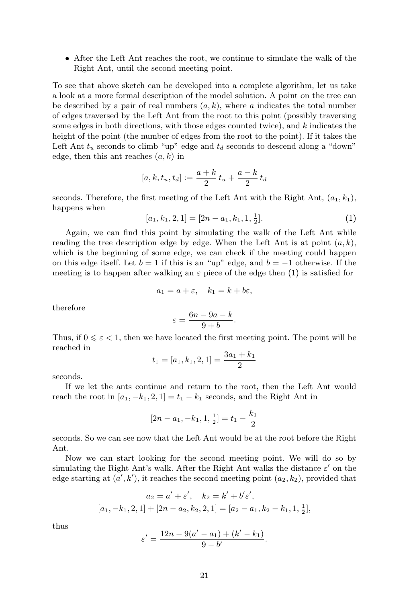• After the Left Ant reaches the root, we continue to simulate the walk of the Right Ant, until the second meeting point.

To see that above sketch can be developed into a complete algorithm, let us take a look at a more formal description of the model solution. A point on the tree can be described by a pair of real numbers  $(a, k)$ , where a indicates the total number of edges traversed by the Left Ant from the root to this point (possibly traversing some edges in both directions, with those edges counted twice), and  $k$  indicates the height of the point (the number of edges from the root to the point). If it takes the Left Ant  $t_u$  seconds to climb "up" edge and  $t_d$  seconds to descend along a "down" edge, then this ant reaches  $(a, k)$  in

$$
[a, k, t_u, t_d] := \frac{a+k}{2} t_u + \frac{a-k}{2} t_d
$$

seconds. Therefore, the first meeting of the Left Ant with the Right Ant,  $(a_1, k_1)$ , happens when

<span id="page-34-0"></span>
$$
[a_1, k_1, 2, 1] = [2n - a_1, k_1, 1, \frac{1}{2}]. \tag{1}
$$

Again, we can find this point by simulating the walk of the Left Ant while reading the tree description edge by edge. When the Left Ant is at point  $(a, k)$ , which is the beginning of some edge, we can check if the meeting could happen on this edge itself. Let  $b = 1$  if this is an "up" edge, and  $b = -1$  otherwise. If the meeting is to happen after walking an  $\varepsilon$  piece of the edge then [\(1\)](#page-34-0) is satisfied for

$$
a_1 = a + \varepsilon, \quad k_1 = k + b\varepsilon,
$$

therefore

$$
\varepsilon = \frac{6n - 9a - k}{9 + b}.
$$

Thus, if  $0 \leq \varepsilon < 1$ , then we have located the first meeting point. The point will be reached in

$$
t_1 = [a_1, k_1, 2, 1] = \frac{3a_1 + k_1}{2}
$$

seconds.

If we let the ants continue and return to the root, then the Left Ant would reach the root in  $[a_1, -k_1, 2, 1] = t_1 - k_1$  seconds, and the Right Ant in

$$
[2n - a_1, -k_1, 1, \frac{1}{2}] = t_1 - \frac{k_1}{2}
$$

seconds. So we can see now that the Left Ant would be at the root before the Right Ant.

Now we can start looking for the second meeting point. We will do so by simulating the Right Ant's walk. After the Right Ant walks the distance  $\varepsilon'$  on the edge starting at  $(a', k')$ , it reaches the second meeting point  $(a_2, k_2)$ , provided that

$$
a_2 = a' + \varepsilon', \quad k_2 = k' + b'\varepsilon',
$$
  

$$
[a_1, -k_1, 2, 1] + [2n - a_2, k_2, 2, 1] = [a_2 - a_1, k_2 - k_1, 1, \frac{1}{2}],
$$

*0*

thus

$$
\varepsilon' = \frac{12n - 9(a' - a_1) + (k' - k_1)}{9 - b'}.
$$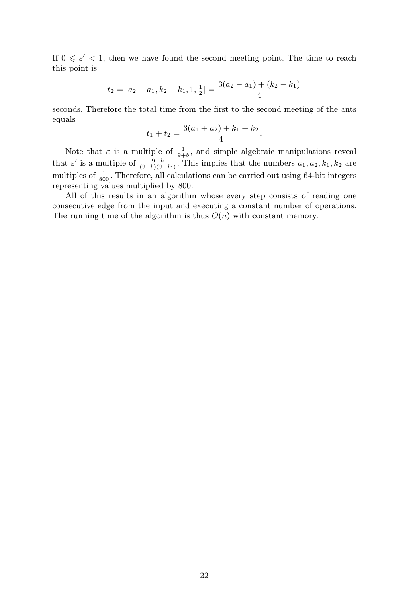If  $0 \leq \varepsilon' < 1$ , then we have found the second meeting point. The time to reach this point is

$$
t_2 = [a_2 - a_1, k_2 - k_1, 1, \frac{1}{2}] = \frac{3(a_2 - a_1) + (k_2 - k_1)}{4}
$$

seconds. Therefore the total time from the first to the second meeting of the ants equals

$$
t_1 + t_2 = \frac{3(a_1 + a_2) + k_1 + k_2}{4}.
$$

Note that  $\varepsilon$  is a multiple of  $\frac{1}{9+b}$ , and simple algebraic manipulations reveal that  $\varepsilon'$  is a multiple of  $\frac{9-b}{(9+b)(9-b')}$ . This implies that the numbers  $a_1, a_2, k_1, k_2$  are multiples of  $\frac{1}{800}$ . Therefore, all calculations can be carried out using 64-bit integers representing values multiplied by 800.

All of this results in an algorithm whose every step consists of reading one consecutive edge from the input and executing a constant number of operations. The running time of the algorithm is thus  $O(n)$  with constant memory.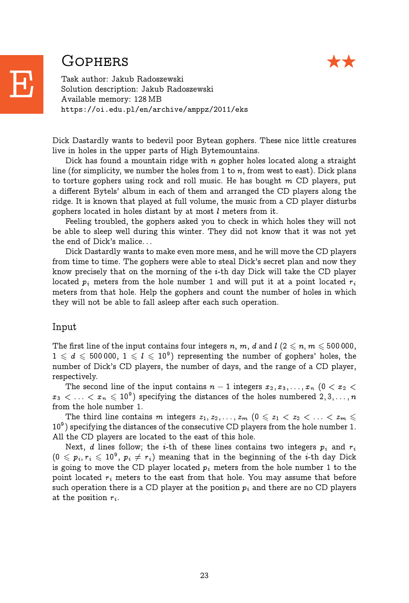# GOPHERS  $\star \star$

E



Task author: Jakub Radoszewski Solution description: Jakub Radoszewski Available memory: 128 MB <https://oi.edu.pl/en/archive/amppz/2011/eks>

Dick Dastardly wants to bedevil poor Bytean gophers. These nice little creatures live in holes in the upper parts of High Bytemountains.

Dick has found a mountain ridge with  $n$  gopher holes located along a straight line (for simplicity, we number the holes from 1 to  $n$ , from west to east). Dick plans to torture gophers using rock and roll music. He has bought  $m$  CD players, put a different Bytels' album in each of them and arranged the CD players along the ridge. It is known that played at full volume, the music from a CD player disturbs gophers located in holes distant by at most  $l$  meters from it.

Feeling troubled, the gophers asked you to check in which holes they will not be able to sleep well during this winter. They did not know that it was not yet the end of Dick's malice. . .

Dick Dastardly wants to make even more mess, and he will move the CD players from time to time. The gophers were able to steal Dick's secret plan and now they know precisely that on the morning of the i-th day Dick will take the CD player located  $p_i$  meters from the hole number 1 and will put it at a point located  $r_i$ meters from that hole. Help the gophers and count the number of holes in which they will not be able to fall asleep after each such operation.

#### Input

The first line of the input contains four integers n, m, d and  $l$  ( $2 \le n, m \le 500000$ ,  $1 \, \leqslant \, d \, \leqslant \, 500\,000, \, 1 \, \leqslant \, l \, \leqslant \, 10^9)$  representing the number of gophers' holes, the number of Dick's CD players, the number of days, and the range of a CD player, respectively.

The second line of the input contains  $n-1$  integers  $x_2, x_3, \ldots, x_n$  (0 <  $x_2$  <  $x_3\,<\,\ldots\,<\,x_n\,\leqslant\,10^{\,9}$ ) specifying the distances of the holes numbered  $\,2,3,\ldots,\,n\,$ from the hole number 1.

The third line contains m integers  $z_1, z_2, \ldots, z_m$  ( $0 \leq z_1 < z_2 < \ldots < z_m \leq z_m$ )  $10^9)$  specifying the distances of the consecutive CD players from the hole number 1. All the CD players are located to the east of this hole.

Next, d lines follow; the *i*-th of these lines contains two integers  $p_i$  and  $r_i$  $(0 \, \leqslant \, p_i, r_i \, \leqslant \, 10^9, \ p_i \, \neq \, r_i)$  meaning that in the beginning of the *i*-th day Dick is going to move the CD player located  $p_i$  meters from the hole number 1 to the point located  $r_i$  meters to the east from that hole. You may assume that before such operation there is a CD player at the position  $p_i$  and there are no CD players at the position  $r_i$ .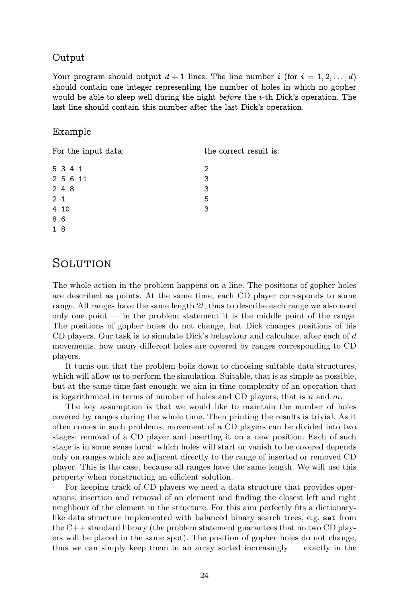#### Output

Your program should output  $d + 1$  lines. The line number i (for  $i = 1, 2, \ldots, d$ ) should contain one integer representing the number of holes in which no gopher would be able to sleep well during the night before the i-th Dick's operation. The last line should contain this number after the last Dick's operation.

#### Example

| For the input data: | the correct result is: |
|---------------------|------------------------|
| 5 3 4 1             | 2                      |
| 2 5 6 11            | 3                      |
| 248                 | 3                      |
| 2 <sub>1</sub>      | 5                      |
| 4 10                | 3                      |
| 86                  |                        |
| 1 8                 |                        |
|                     |                        |

#### Solution

The whole action in the problem happens on a line. The positions of gopher holes are described as points. At the same time, each CD player corresponds to some range. All ranges have the same length 2l, thus to describe each range we also need only one point  $\overline{\phantom{a}}$  in the problem statement it is the middle point of the range. The positions of gopher holes do not change, but Dick changes positions of his CD players. Our task is to simulate Dick's behaviour and calculate, after each of d movements, how many different holes are covered by ranges corresponding to CD players.

It turns out that the problem boils down to choosing suitable data structures, which will allow us to perform the simulation. Suitable, that is as simple as possible, but at the same time fast enough: we aim in time complexity of an operation that is logarithmical in terms of number of holes and CD players, that is  $n$  and  $m$ .

The key assumption is that we would like to maintain the number of holes covered by ranges during the whole time. Then printing the results is trivial. As it often comes in such problems, movement of a CD players can be divided into two stages: removal of a CD player and inserting it on a new position. Each of such stage is in some sense local: which holes will start or vanish to be covered depends only on ranges which are adjacent directly to the range of inserted or removed CD player. This is the case, because all ranges have the same length. We will use this property when constructing an efficient solution.

For keeping track of CD players we need a data structure that provides operations: insertion and removal of an element and finding the closest left and right neighbour of the element in the structure. For this aim perfectly fits a dictionarylike data structure implemented with balanced binary search trees, e.g. set from the C++ standard library (the problem statement guarantees that no two CD players will be placed in the same spot). The position of gopher holes do not change, thus we can simply keep them in an array sorted increasingly — exactly in the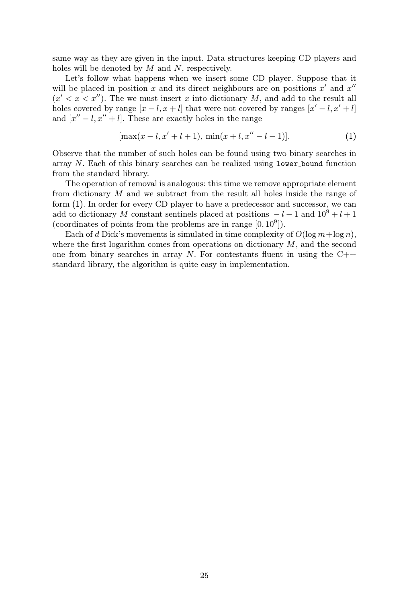same way as they are given in the input. Data structures keeping CD players and holes will be denoted by  $M$  and  $N$ , respectively.

Let's follow what happens when we insert some CD player. Suppose that it will be placed in position x and its direct neighbours are on positions  $x'$  and  $x''$  $(x' < x < x'')$ . The we must insert x into dictionary M, and add to the result all holes covered by range  $[x - l, x + l]$  that were not covered by ranges  $[x' - l, x' + l]$ and  $[x'' - l, x'' + l]$ . These are exactly holes in the range

<span id="page-38-0"></span>
$$
[\max(x - l, x' + l + 1), \min(x + l, x'' - l - 1)].
$$
\n(1)

Observe that the number of such holes can be found using two binary searches in array N. Each of this binary searches can be realized using lower bound function from the standard library.

The operation of removal is analogous: this time we remove appropriate element from dictionary M and we subtract from the result all holes inside the range of form [\(1\)](#page-38-0). In order for every CD player to have a predecessor and successor, we can add to dictionary M constant sentinels placed at positions  $-l-1$  and  $10^9 + l+1$ (coordinates of points from the problems are in range  $[0, 10^9]$ ).

Each of d Dick's movements is simulated in time complexity of  $O(\log m + \log n)$ , where the first logarithm comes from operations on dictionary  $M$ , and the second one from binary searches in array N. For contestants fluent in using the  $C++$ standard library, the algorithm is quite easy in implementation.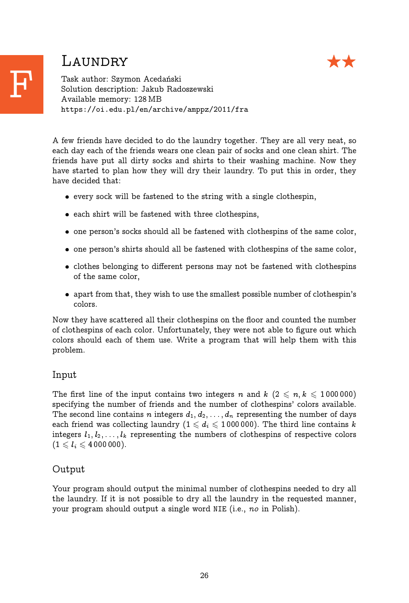# $L$ AUNDRY FROM  $\star \star$

F



Task author: Szymon Acedański Solution description: Jakub Radoszewski Available memory: 128 MB <https://oi.edu.pl/en/archive/amppz/2011/fra>

A few friends have decided to do the laundry together. They are all very neat, so each day each of the friends wears one clean pair of socks and one clean shirt. The friends have put all dirty socks and shirts to their washing machine. Now they have started to plan how they will dry their laundry. To put this in order, they have decided that:

- every sock will be fastened to the string with a single clothespin,
- each shirt will be fastened with three clothespins,
- one person's socks should all be fastened with clothespins of the same color,
- one person's shirts should all be fastened with clothespins of the same color,
- clothes belonging to different persons may not be fastened with clothespins of the same color,
- apart from that, they wish to use the smallest possible number of clothespin's colors.

Now they have scattered all their clothespins on the floor and counted the number of clothespins of each color. Unfortunately, they were not able to figure out which colors should each of them use. Write a program that will help them with this problem.

#### Input

The first line of the input contains two integers n and  $k$  ( $2 \leq n, k \leq 1000000$ ) specifying the number of friends and the number of clothespins' colors available. The second line contains n integers  $d_1, d_2, \ldots, d_n$  representing the number of days each friend was collecting laundry ( $1 \leq d_i \leq 1000000$ ). The third line contains k integers  $l_1, l_2, \ldots, l_k$  representing the numbers of clothespins of respective colors  $(1 \leq l_i \leq 4000000).$ 

#### Output

Your program should output the minimal number of clothespins needed to dry all the laundry. If it is not possible to dry all the laundry in the requested manner, your program should output a single word NIE (i.e., no in Polish).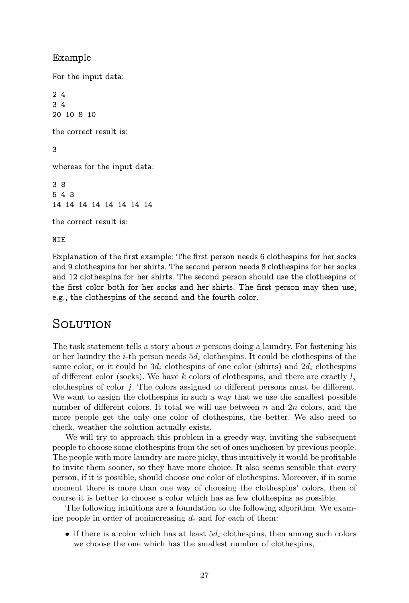#### Example

For the input data: 2 4 3 4 20 10 8 10 the correct result is: 3 whereas for the input data: 3 8 5 4 3 14 14 14 14 14 14 14 14 the correct result is:

NTE.

Explanation of the first example: The first person needs 6 clothespins for her socks and 9 clothespins for her shirts. The second person needs 8 clothespins for her socks and 12 clothespins for her shirts. The second person should use the clothespins of the first color both for her socks and her shirts. The first person may then use, e.g., the clothespins of the second and the fourth color.

# **SOLUTION**

The task statement tells a story about  $n$  persons doing a laundry. For fastening his or her laundry the *i*-th person needs  $5d_i$  clothespins. It could be clothespins of the same color, or it could be  $3d_i$  clothespins of one color (shirts) and  $2d_i$  clothespins of different color (socks). We have k colors of clothespins, and there are exactly  $l_i$ clothespins of color j. The colors assigned to different persons must be different. We want to assign the clothespins in such a way that we use the smallest possible number of different colors. It total we will use between  $n$  and  $2n$  colors, and the more people get the only one color of clothespins, the better. We also need to check, weather the solution actually exists.

We will try to approach this problem in a greedy way, inviting the subsequent people to choose some clothespins from the set of ones unchosen by previous people. The people with more laundry are more picky, thus intuitively it would be profitable to invite them sooner, so they have more choice. It also seems sensible that every person, if it is possible, should choose one color of clothespins. Moreover, if in some moment there is more than one way of choosing the clothespins' colors, then of course it is better to choose a color which has as few clothespins as possible.

The following intuitions are a foundation to the following algorithm. We examine people in order of nonincreasing  $d_i$  and for each of them:

• if there is a color which has at least  $5d_i$  clothespins, then among such colors we choose the one which has the smallest number of clothespins,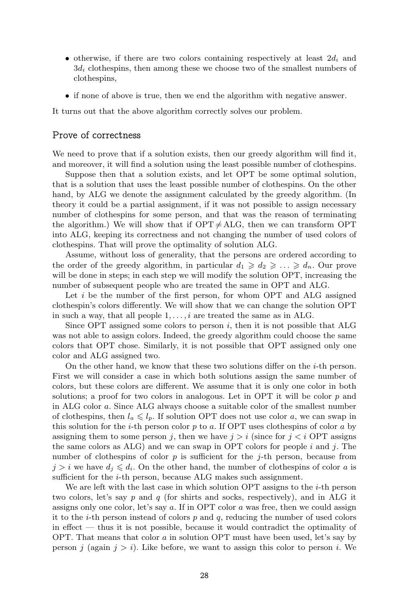- otherwise, if there are two colors containing respectively at least  $2d_i$  and  $3d_i$  clothespins, then among these we choose two of the smallest numbers of clothespins,
- if none of above is true, then we end the algorithm with negative answer.

It turns out that the above algorithm correctly solves our problem.

#### Prove of correctness

We need to prove that if a solution exists, then our greedy algorithm will find it, and moreover, it will find a solution using the least possible number of clothespins.

Suppose then that a solution exists, and let OPT be some optimal solution, that is a solution that uses the least possible number of clothespins. On the other hand, by ALG we denote the assignment calculated by the greedy algorithm. (In theory it could be a partial assignment, if it was not possible to assign necessary number of clothespins for some person, and that was the reason of terminating the algorithm.) We will show that if  $\text{OPT} \neq \text{ALG}$ , then we can transform  $\text{OPT}$ into ALG, keeping its correctness and not changing the number of used colors of clothespins. That will prove the optimality of solution ALG.

Assume, without loss of generality, that the persons are ordered according to the order of the greedy algorithm, in particular  $d_1 \geq d_2 \geq \ldots \geq d_n$ . Our prove will be done in steps; in each step we will modify the solution OPT, increasing the number of subsequent people who are treated the same in OPT and ALG.

Let  $i$  be the number of the first person, for whom OPT and ALG assigned clothespin's colors differently. We will show that we can change the solution OPT in such a way, that all people  $1, \ldots, i$  are treated the same as in ALG.

Since OPT assigned some colors to person  $i$ , then it is not possible that ALG was not able to assign colors. Indeed, the greedy algorithm could choose the same colors that OPT chose. Similarly, it is not possible that OPT assigned only one color and ALG assigned two.

On the other hand, we know that these two solutions differ on the  $i$ -th person. First we will consider a case in which both solutions assign the same number of colors, but these colors are different. We assume that it is only one color in both solutions; a proof for two colors in analogous. Let in OPT it will be color  $p$  and in ALG color a. Since ALG always choose a suitable color of the smallest number of clothespins, then  $l_a \leq l_p$ . If solution OPT does not use color a, we can swap in this solution for the *i*-th person color  $p$  to  $a$ . If OPT uses clothespins of color  $a$  by assigning them to some person j, then we have  $j > i$  (since for  $j < i$  OPT assigns the same colors as  $ALG$ ) and we can swap in OPT colors for people i and j. The number of clothespins of color  $p$  is sufficient for the j-th person, because from  $j > i$  we have  $d_j \leq d_i$ . On the other hand, the number of clothespins of color a is sufficient for the *i*-th person, because ALG makes such assignment.

We are left with the last case in which solution  $\text{OPT}$  assigns to the *i*-th person two colors, let's say  $p$  and  $q$  (for shirts and socks, respectively), and in ALG it assigns only one color, let's say  $a$ . If in OPT color  $a$  was free, then we could assign it to the *i*-th person instead of colors  $p$  and  $q$ , reducing the number of used colors in effect — thus it is not possible, because it would contradict the optimality of OPT. That means that color  $a$  in solution OPT must have been used, let's say by person j (again  $j > i$ ). Like before, we want to assign this color to person i. We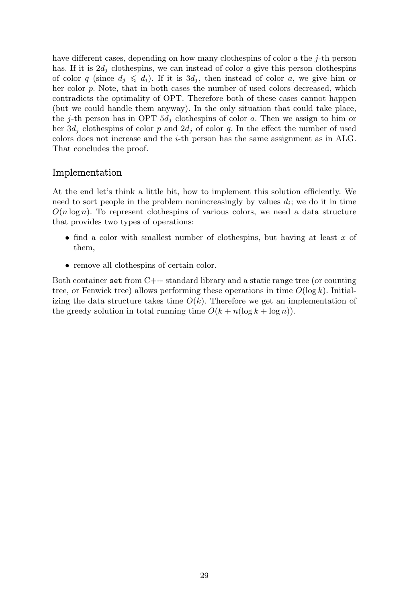have different cases, depending on how many clothespins of color a the j-th person has. If it is  $2d_j$  clothespins, we can instead of color a give this person clothespins of color q (since  $d_i \leq d_i$ ). If it is  $3d_i$ , then instead of color a, we give him or her color p. Note, that in both cases the number of used colors decreased, which contradicts the optimality of OPT. Therefore both of these cases cannot happen (but we could handle them anyway). In the only situation that could take place, the j-th person has in OPT  $5d_i$  clothespins of color a. Then we assign to him or her  $3d_j$  clothespins of color p and  $2d_j$  of color q. In the effect the number of used colors does not increase and the i-th person has the same assignment as in ALG. That concludes the proof.

#### Implementation

At the end let's think a little bit, how to implement this solution efficiently. We need to sort people in the problem nonincreasingly by values  $d_i$ ; we do it in time  $O(n \log n)$ . To represent clothespins of various colors, we need a data structure that provides two types of operations:

- find a color with smallest number of clothespins, but having at least  $x$  of them,
- remove all clothespins of certain color.

Both container set from  $C_{++}$  standard library and a static range tree (or counting tree, or Fenwick tree) allows performing these operations in time  $O(\log k)$ . Initializing the data structure takes time  $O(k)$ . Therefore we get an implementation of the greedy solution in total running time  $O(k + n(\log k + \log n))$ .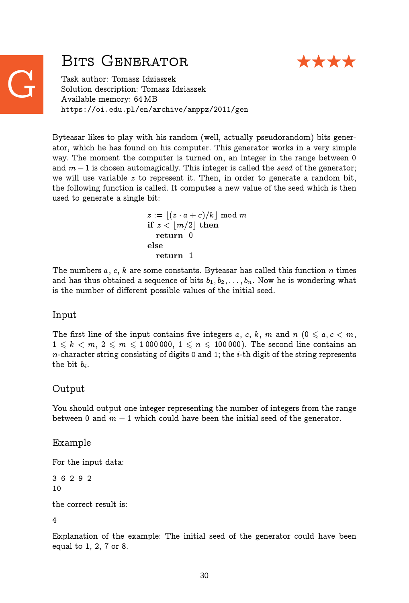# BITS GENERATOR  $\star \star \star$



Task author: Tomasz Idziaszek Solution description: Tomasz Idziaszek Available memory: 64 MB <https://oi.edu.pl/en/archive/amppz/2011/gen>

Byteasar likes to play with his random (well, actually pseudorandom) bits generator, which he has found on his computer. This generator works in a very simple way. The moment the computer is turned on, an integer in the range between 0 and m*−*1 is chosen automagically. This integer is called the seed of the generator; we will use variable  $z$  to represent it. Then, in order to generate a random bit, the following function is called. It computes a new value of the seed which is then used to generate a single bit:

> $z := (z \cdot a + c)/k \mid \text{mod } m$ **if**  $z < |m/2|$  **then return** 0 **else return** 1

The numbers  $a, c, k$  are some constants. Byteasar has called this function n times and has thus obtained a sequence of bits  $b_1, b_2, \ldots, b_n$ . Now he is wondering what is the number of different possible values of the initial seed.

#### Input

The first line of the input contains five integers a, c, k, m and  $n \ (0 \leq a, c < m)$ ,  $1 \leqslant k \leqslant m, \, 2 \leqslant m \leqslant 1$  000 000,  $1 \leqslant n \leqslant 1$  00 000). The second line contains an n-character string consisting of digits 0 and 1; the  $i$ -th digit of the string represents the bit  $b_i$ .

#### Output

You should output one integer representing the number of integers from the range between 0 and m *−* 1 which could have been the initial seed of the generator.

#### Example

For the input data:

```
3 6 2 9 2
10
```
the correct result is:

4

Explanation of the example: The initial seed of the generator could have been equal to 1, 2, 7 or 8.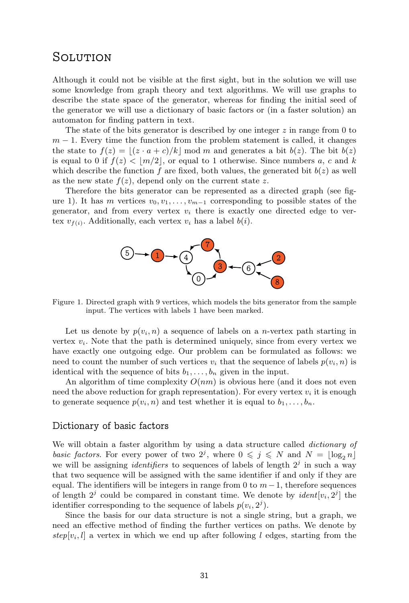#### Solution

Although it could not be visible at the first sight, but in the solution we will use some knowledge from graph theory and text algorithms. We will use graphs to describe the state space of the generator, whereas for finding the initial seed of the generator we will use a dictionary of basic factors or (in a faster solution) an automaton for finding pattern in text.

The state of the bits generator is described by one integer  $z$  in range from 0 to m *−* 1. Every time the function from the problem statement is called, it changes the state to  $f(z) = |(z \cdot a + c)/k| \mod m$  and generates a bit  $b(z)$ . The bit  $b(z)$ is equal to 0 if  $f(z) < |m/2|$ , or equal to 1 otherwise. Since numbers a, c and k which describe the function f are fixed, both values, the generated bit  $b(z)$  as well as the new state  $f(z)$ , depend only on the current state z.

Therefore the bits generator can be represented as a directed graph (see fig-ure [1\)](#page-44-0). It has m vertices  $v_0, v_1, \ldots, v_{m-1}$  corresponding to possible states of the generator, and from every vertex  $v_i$  there is exactly one directed edge to vertex  $v_{f(i)}$ . Additionally, each vertex  $v_i$  has a label  $b(i)$ .



<span id="page-44-0"></span>Figure 1. Directed graph with 9 vertices, which models the bits generator from the sample input. The vertices with labels 1 have been marked.

Let us denote by  $p(v_i, n)$  a sequence of labels on a *n*-vertex path starting in vertex  $v_i$ . Note that the path is determined uniquely, since from every vertex we have exactly one outgoing edge. Our problem can be formulated as follows: we need to count the number of such vertices  $v_i$  that the sequence of labels  $p(v_i, n)$  is identical with the sequence of bits  $b_1, \ldots, b_n$  given in the input.

An algorithm of time complexity  $O(nm)$  is obvious here (and it does not even need the above reduction for graph representation). For every vertex  $v_i$  it is enough to generate sequence  $p(v_i, n)$  and test whether it is equal to  $b_1, \ldots, b_n$ .

#### Dictionary of basic factors

We will obtain a faster algorithm by using a data structure called *dictionary of basic factors*. For every power of two  $2^j$ , where  $0 \leqslant j \leqslant N$  and  $N = \lfloor \log_2 n \rfloor$ we will be assigning *identifiers* to sequences of labels of length  $2<sup>j</sup>$  in such a way that two sequence will be assigned with the same identifier if and only if they are equal. The identifiers will be integers in range from 0 to m*−*1, therefore sequences of length  $2^j$  could be compared in constant time. We denote by  $ident[v_i, 2^j]$  the identifier corresponding to the sequence of labels  $p(v_i, 2^j)$ .

Since the basis for our data structure is not a single string, but a graph, we need an effective method of finding the further vertices on paths. We denote by step[v<sub>i</sub>, l] a vertex in which we end up after following l edges, starting from the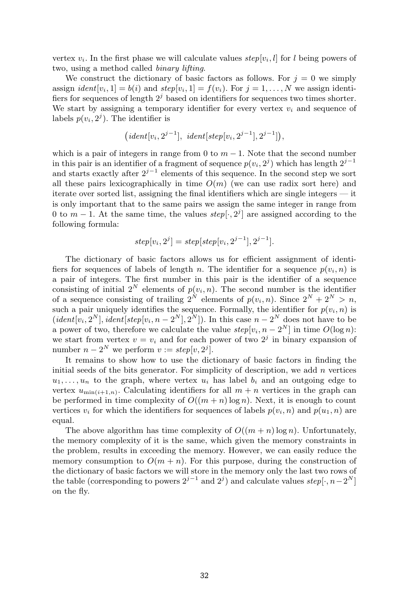vertex  $v_i$ . In the first phase we will calculate values  $step[v_i, l]$  for l being powers of two, using a method called *binary lifting*.

We construct the dictionary of basic factors as follows. For  $j = 0$  we simply assign  $ident[v_i, 1] = b(i)$  and  $step[v_i, 1] = f(v_i)$ . For  $j = 1, ..., N$  we assign identifiers for sequences of length  $2<sup>j</sup>$  based on identifiers for sequences two times shorter. We start by assigning a temporary identifier for every vertex  $v_i$  and sequence of labels  $p(v_i, 2^j)$ . The identifier is

$$
(ident[v_i, 2^{j-1}], ident[step[v_i, 2^{j-1}], 2^{j-1}]),
$$

which is a pair of integers in range from 0 to  $m-1$ . Note that the second number in this pair is an identifier of a fragment of sequence  $p(v_i, 2^j)$  which has length  $2^{j-1}$ and starts exactly after  $2^{j-1}$  elements of this sequence. In the second step we sort all these pairs lexicographically in time  $O(m)$  (we can use radix sort here) and iterate over sorted list, assigning the final identifiers which are single integers — it is only important that to the same pairs we assign the same integer in range from 0 to *m* − 1. At the same time, the values *step*[*·*, 2<sup>*j*</sup>] are assigned according to the following formula:

$$
step[v_i, 2j] = step[step[v_i, 2j-1], 2j-1].
$$

The dictionary of basic factors allows us for efficient assignment of identifiers for sequences of labels of length n. The identifier for a sequence  $p(v_i, n)$  is a pair of integers. The first number in this pair is the identifier of a sequence consisting of initial  $2^N$  elements of  $p(v_i, n)$ . The second number is the identifier of a sequence consisting of trailing  $2^N$  elements of  $p(v_i, n)$ . Since  $2^N + 2^N > n$ , such a pair uniquely identifies the sequence. Formally, the identifier for  $p(v_i, n)$  is  $(ident[v_i, 2^N], ident[step[v_i, n - 2^N], 2^N])$ . In this case  $n - 2^N$  does not have to be a power of two, therefore we calculate the value  $step[v_i, n - 2^N]$  in time  $O(log n)$ : we start from vertex  $v = v_i$  and for each power of two  $2<sup>j</sup>$  in binary expansion of number  $n - 2^N$  we perform  $v := step[v, 2^j]$ .

It remains to show how to use the dictionary of basic factors in finding the initial seeds of the bits generator. For simplicity of description, we add  $n$  vertices  $u_1, \ldots, u_n$  to the graph, where vertex  $u_i$  has label  $b_i$  and an outgoing edge to vertex  $u_{\min(i+1,n)}$ . Calculating identifiers for all  $m + n$  vertices in the graph can be performed in time complexity of  $O((m + n) \log n)$ . Next, it is enough to count vertices  $v_i$  for which the identifiers for sequences of labels  $p(v_i, n)$  and  $p(u_1, n)$  are equal.

The above algorithm has time complexity of  $O((m + n) \log n)$ . Unfortunately, the memory complexity of it is the same, which given the memory constraints in the problem, results in exceeding the memory. However, we can easily reduce the memory consumption to  $O(m + n)$ . For this purpose, during the construction of the dictionary of basic factors we will store in the memory only the last two rows of the table (corresponding to powers  $2^{j-1}$  and  $2^j$ ) and calculate values  $step[\cdot, n-2^N]$ on the fly.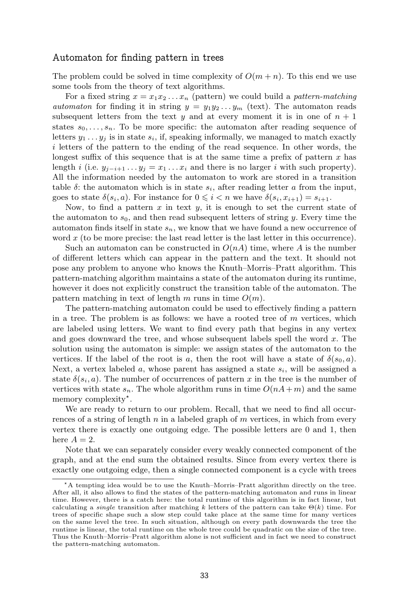#### Automaton for finding pattern in trees

The problem could be solved in time complexity of  $O(m + n)$ . To this end we use some tools from the theory of text algorithms.

For a fixed string  $x = x_1x_2...x_n$  (pattern) we could build a *pattern-matching automaton* for finding it in string  $y = y_1 y_2 \ldots y_m$  (text). The automaton reads subsequent letters from the text y and at every moment it is in one of  $n + 1$ states  $s_0, \ldots, s_n$ . To be more specific: the automaton after reading sequence of letters  $y_1 \ldots y_i$  is in state  $s_i$ , if, speaking informally, we managed to match exactly i letters of the pattern to the ending of the read sequence. In other words, the longest suffix of this sequence that is at the same time a prefix of pattern  $x$  has length *i* (i.e.  $y_{j-i+1} \tildot y_j = x_1 \tildot x_j$  and there is no larger *i* with such property). All the information needed by the automaton to work are stored in a transition table  $\delta$ : the automaton which is in state  $s_i$ , after reading letter a from the input, goes to state  $\delta(s_i, a)$ . For instance for  $0 \leq i < n$  we have  $\delta(s_i, x_{i+1}) = s_{i+1}$ .

Now, to find a pattern  $x$  in text  $y$ , it is enough to set the current state of the automaton to  $s_0$ , and then read subsequent letters of string y. Every time the automaton finds itself in state  $s_n$ , we know that we have found a new occurrence of word  $x$  (to be more precise: the last read letter is the last letter in this occurrence).

Such an automaton can be constructed in  $O(nA)$  time, where A is the number of different letters which can appear in the pattern and the text. It should not pose any problem to anyone who knows the Knuth–Morris–Pratt algorithm. This pattern-matching algorithm maintains a state of the automaton during its runtime, however it does not explicitly construct the transition table of the automaton. The pattern matching in text of length m runs in time  $O(m)$ .

The pattern-matching automaton could be used to effectively finding a pattern in a tree. The problem is as follows: we have a rooted tree of  $m$  vertices, which are labeled using letters. We want to find every path that begins in any vertex and goes downward the tree, and whose subsequent labels spell the word x. The solution using the automaton is simple: we assign states of the automaton to the vertices. If the label of the root is a, then the root will have a state of  $\delta(s_0, a)$ . Next, a vertex labeled a, whose parent has assigned a state  $s_i$ , will be assigned a state  $\delta(s_i, a)$ . The number of occurrences of pattern x in the tree is the number of vertices with state  $s_n$ . The whole algorithm runs in time  $O(nA+m)$  and the same memory complexity\*.

We are ready to return to our problem. Recall, that we need to find all occurrences of a string of length  $n$  in a labeled graph of  $m$  vertices, in which from every vertex there is exactly one outgoing edge. The possible letters are 0 and 1, then here  $A = 2$ .

Note that we can separately consider every weakly connected component of the graph, and at the end sum the obtained results. Since from every vertex there is exactly one outgoing edge, then a single connected component is a cycle with trees

<sup>?</sup>A tempting idea would be to use the Knuth–Morris–Pratt algorithm directly on the tree. After all, it also allows to find the states of the pattern-matching automaton and runs in linear time. However, there is a catch here: the total runtime of this algorithm is in fact linear, but calculating a *single* transition after matching k letters of the pattern can take  $\Theta(k)$  time. For trees of specific shape such a slow step could take place at the same time for many vertices on the same level the tree. In such situation, although on every path downwards the tree the runtime is linear, the total runtime on the whole tree could be quadratic on the size of the tree. Thus the Knuth–Morris–Pratt algorithm alone is not sufficient and in fact we need to construct the pattern-matching automaton.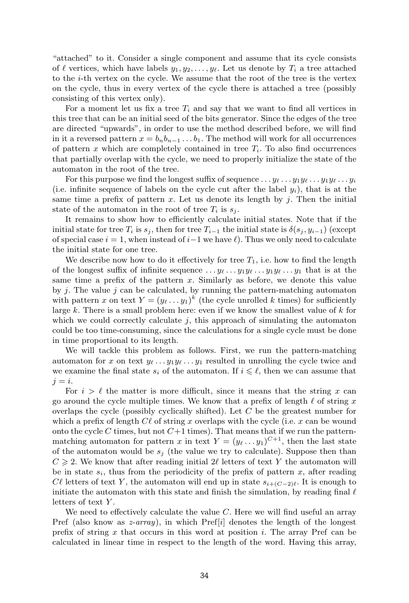"attached" to it. Consider a single component and assume that its cycle consists of  $\ell$  vertices, which have labels  $y_1, y_2, \ldots, y_\ell$ . Let us denote by  $T_i$  a tree attached to the i-th vertex on the cycle. We assume that the root of the tree is the vertex on the cycle, thus in every vertex of the cycle there is attached a tree (possibly consisting of this vertex only).

For a moment let us fix a tree  $T_i$  and say that we want to find all vertices in this tree that can be an initial seed of the bits generator. Since the edges of the tree are directed "upwards", in order to use the method described before, we will find in it a reversed pattern  $x = b_n b_{n-1} \dots b_1$ . The method will work for all occurrences of pattern x which are completely contained in tree  $T_i$ . To also find occurrences that partially overlap with the cycle, we need to properly initialize the state of the automaton in the root of the tree.

For this purpose we find the longest suffix of sequence  $\ldots y_\ell \ldots y_1y_\ell \ldots y_1y_\ell \ldots y_i$ (i.e. infinite sequence of labels on the cycle cut after the label  $y_i$ ), that is at the same time a prefix of pattern x. Let us denote its length by  $i$ . Then the initial state of the automaton in the root of tree  $T_i$  is  $s_j$ .

It remains to show how to efficiently calculate initial states. Note that if the initial state for tree  $T_i$  is  $s_j$ , then for tree  $T_{i-1}$  the initial state is  $\delta(s_j, y_{i-1})$  (except of special case  $i = 1$ , when instead of  $i-1$  we have  $\ell$ ). Thus we only need to calculate the initial state for one tree.

We describe now how to do it effectively for tree  $T_1$ , i.e. how to find the length of the longest suffix of infinite sequence  $\ldots y_{\ell} \ldots y_1y_{\ell} \ldots y_1y_{\ell} \ldots y_1$  that is at the same time a prefix of the pattern  $x$ . Similarly as before, we denote this value by  $j$ . The value  $j$  can be calculated, by running the pattern-matching automaton with pattern x on text  $Y = (y_{\ell} \dots y_1)^k$  (the cycle unrolled k times) for sufficiently large  $k$ . There is a small problem here: even if we know the smallest value of  $k$  for which we could correctly calculate  $j$ , this approach of simulating the automaton could be too time-consuming, since the calculations for a single cycle must be done in time proportional to its length.

We will tackle this problem as follows. First, we run the pattern-matching automaton for x on text  $y_{\ell} \ldots y_1 y_{\ell} \ldots y_1$  resulted in unrolling the cycle twice and we examine the final state  $s_i$  of the automaton. If  $i \leq \ell$ , then we can assume that  $i = i$ .

For  $i > \ell$  the matter is more difficult, since it means that the string x can go around the cycle multiple times. We know that a prefix of length  $\ell$  of string x overlaps the cycle (possibly cyclically shifted). Let  $C$  be the greatest number for which a prefix of length  $C\ell$  of string x overlaps with the cycle (i.e. x can be wound onto the cycle  $C$  times, but not  $C+1$  times). That means that if we run the patternmatching automaton for pattern x in text  $Y = (y_{\ell} \dots y_1)^{C+1}$ , then the last state of the automaton would be  $s_i$  (the value we try to calculate). Suppose then than  $C \geqslant 2$ . We know that after reading initial 2 $\ell$  letters of text Y the automaton will be in state  $s_i$ , thus from the periodicity of the prefix of pattern x, after reading  $C\ell$  letters of text Y, the automaton will end up in state  $s_{i+(C-2)\ell}$ . It is enough to initiate the automaton with this state and finish the simulation, by reading final  $\ell$ letters of text Y.

We need to effectively calculate the value C. Here we will find useful an array Pref (also know as  $z\text{-}array$ ), in which Pref $[i]$  denotes the length of the longest prefix of string x that occurs in this word at position i. The array Pref can be calculated in linear time in respect to the length of the word. Having this array,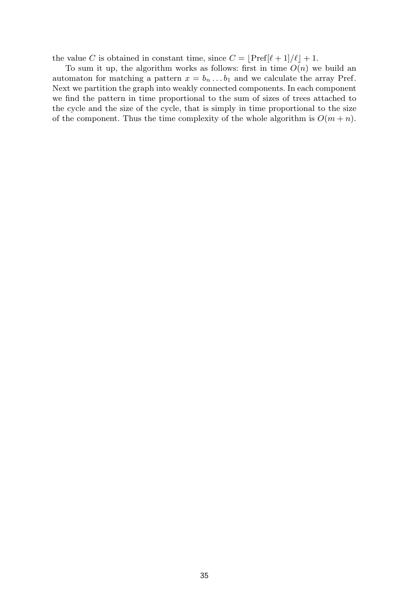the value C is obtained in constant time, since  $C = |\text{Pref}[\ell + 1]/\ell + 1$ .

To sum it up, the algorithm works as follows: first in time  $O(n)$  we build an automaton for matching a pattern  $x = b_n \dots b_1$  and we calculate the array Pref. Next we partition the graph into weakly connected components. In each component we find the pattern in time proportional to the sum of sizes of trees attached to the cycle and the size of the cycle, that is simply in time proportional to the size of the component. Thus the time complexity of the whole algorithm is  $O(m + n)$ .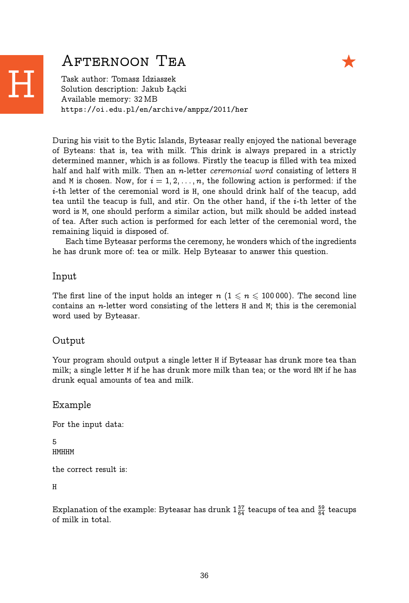# AFTERNOON TEA

Task author: Tomasz Idziaszek Solution description: Jakub Łącki Available memory: 32 MB <https://oi.edu.pl/en/archive/amppz/2011/her>

During his visit to the Bytic Islands, Byteasar really enjoyed the national beverage of Byteans: that is, tea with milk. This drink is always prepared in a strictly determined manner, which is as follows. Firstly the teacup is filled with tea mixed half and half with milk. Then an *n*-letter *ceremonial word* consisting of letters H and M is chosen. Now, for  $i = 1, 2, \ldots, n$ , the following action is performed: if the  $i$ -th letter of the ceremonial word is H, one should drink half of the teacup, add tea until the teacup is full, and stir. On the other hand, if the  $i$ -th letter of the word is M, one should perform a similar action, but milk should be added instead of tea. After such action is performed for each letter of the ceremonial word, the remaining liquid is disposed of.

Each time Byteasar performs the ceremony, he wonders which of the ingredients he has drunk more of: tea or milk. Help Byteasar to answer this question.

#### Input

The first line of the input holds an integer  $n$  ( $1 \leq n \leq 100000$ ). The second line contains an  $n$ -letter word consisting of the letters H and M; this is the ceremonial word used by Byteasar.

#### Output

Your program should output a single letter H if Byteasar has drunk more tea than milk; a single letter M if he has drunk more milk than tea; or the word HM if he has drunk equal amounts of tea and milk.

#### Example

For the input data:

#### 5 HMHHM

the correct result is:

H

Explanation of the example: Byteasar has drunk  $1\frac{37}{64}$  teacups of tea and  $\frac{59}{64}$  teacups of milk in total.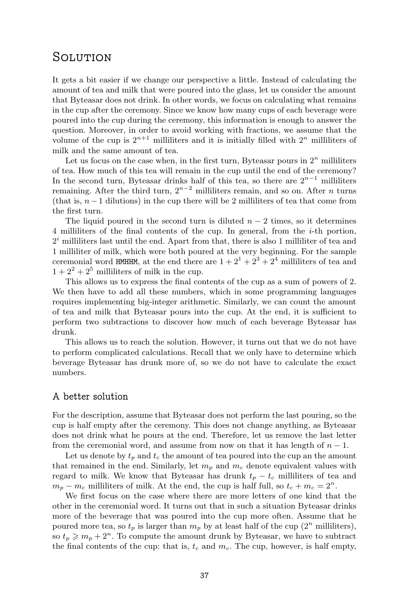#### Solution

It gets a bit easier if we change our perspective a little. Instead of calculating the amount of tea and milk that were poured into the glass, let us consider the amount that Byteasar does not drink. In other words, we focus on calculating what remains in the cup after the ceremony. Since we know how many cups of each beverage were poured into the cup during the ceremony, this information is enough to answer the question. Moreover, in order to avoid working with fractions, we assume that the volume of the cup is  $2^{n+1}$  milliliters and it is initially filled with  $2^n$  milliliters of milk and the same amount of tea.

Let us focus on the case when, in the first turn, Byteasar pours in  $2<sup>n</sup>$  milliliters of tea. How much of this tea will remain in the cup until the end of the ceremony? In the second turn, Byteasar drinks half of this tea, so there are  $2^{n-1}$  milliliters remaining. After the third turn, 2<sup>*n*−2</sup> milliliters remain, and so on. After *n* turns (that is, n*−*1 dilutions) in the cup there will be 2 milliliters of tea that come from the first turn.

The liquid poured in the second turn is diluted  $n-2$  times, so it determines 4 milliliters of the final contents of the cup. In general, from the  $i$ -th portion,  $2<sup>i</sup>$  milliliters last until the end. Apart from that, there is also 1 milliliter of tea and 1 milliliter of milk, which were both poured at the very beginning. For the sample ceremonial word HMHHM, at the end there are  $1 + 2^1 + 2^3 + 2^4$  milliliters of tea and  $1 + 2^2 + 2^5$  milliliters of milk in the cup.

This allows us to express the final contents of the cup as a sum of powers of 2. We then have to add all these numbers, which in some programming languages requires implementing big-integer arithmetic. Similarly, we can count the amount of tea and milk that Byteasar pours into the cup. At the end, it is sufficient to perform two subtractions to discover how much of each beverage Byteasar has drunk.

This allows us to reach the solution. However, it turns out that we do not have to perform complicated calculations. Recall that we only have to determine which beverage Byteasar has drunk more of, so we do not have to calculate the exact numbers.

#### A better solution

For the description, assume that Byteasar does not perform the last pouring, so the cup is half empty after the ceremony. This does not change anything, as Byteasar does not drink what he pours at the end. Therefore, let us remove the last letter from the ceremonial word, and assume from now on that it has length of  $n-1$ .

Let us denote by  $t_p$  and  $t_c$  the amount of tea poured into the cup an the amount that remained in the end. Similarly, let  $m_p$  and  $m_c$  denote equivalent values with regard to milk. We know that Byteasar has drunk  $t_p - t_c$  milliliters of tea and  $m_p - m_c$  milliliters of milk. At the end, the cup is half full, so  $t_c + m_c = 2^n$ .

We first focus on the case where there are more letters of one kind that the other in the ceremonial word. It turns out that in such a situation Byteasar drinks more of the beverage that was poured into the cup more often. Assume that he poured more tea, so  $t_p$  is larger than  $m_p$  by at least half of the cup  $(2^n \text{ milliliters})$ , so  $t_p \geq m_p + 2^n$ . To compute the amount drunk by Byteasar, we have to subtract the final contents of the cup: that is,  $t_c$  and  $m_c$ . The cup, however, is half empty,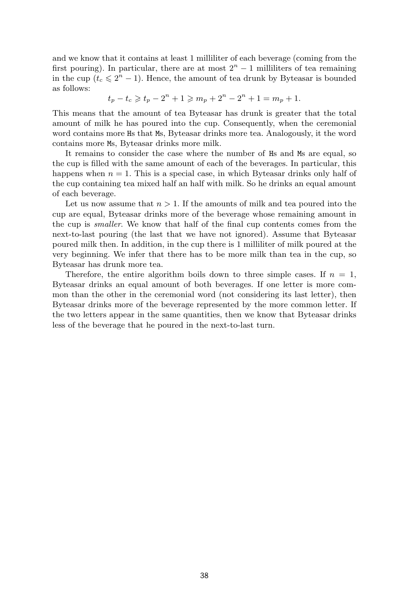and we know that it contains at least 1 milliliter of each beverage (coming from the first pouring). In particular, there are at most  $2<sup>n</sup> - 1$  milliliters of tea remaining in the cup  $(t_c \leq 2^n - 1)$ . Hence, the amount of tea drunk by Byteasar is bounded as follows:

$$
t_p - t_c \geq t_p - 2^n + 1 \geq m_p + 2^n - 2^n + 1 = m_p + 1.
$$

This means that the amount of tea Byteasar has drunk is greater that the total amount of milk he has poured into the cup. Consequently, when the ceremonial word contains more Hs that Ms, Byteasar drinks more tea. Analogously, it the word contains more Ms, Byteasar drinks more milk.

It remains to consider the case where the number of Hs and Ms are equal, so the cup is filled with the same amount of each of the beverages. In particular, this happens when  $n = 1$ . This is a special case, in which Byteasar drinks only half of the cup containing tea mixed half an half with milk. So he drinks an equal amount of each beverage.

Let us now assume that  $n > 1$ . If the amounts of milk and tea poured into the cup are equal, Byteasar drinks more of the beverage whose remaining amount in the cup is *smaller*. We know that half of the final cup contents comes from the next-to-last pouring (the last that we have not ignored). Assume that Byteasar poured milk then. In addition, in the cup there is 1 milliliter of milk poured at the very beginning. We infer that there has to be more milk than tea in the cup, so Byteasar has drunk more tea.

Therefore, the entire algorithm boils down to three simple cases. If  $n = 1$ , Byteasar drinks an equal amount of both beverages. If one letter is more common than the other in the ceremonial word (not considering its last letter), then Byteasar drinks more of the beverage represented by the more common letter. If the two letters appear in the same quantities, then we know that Byteasar drinks less of the beverage that he poured in the next-to-last turn.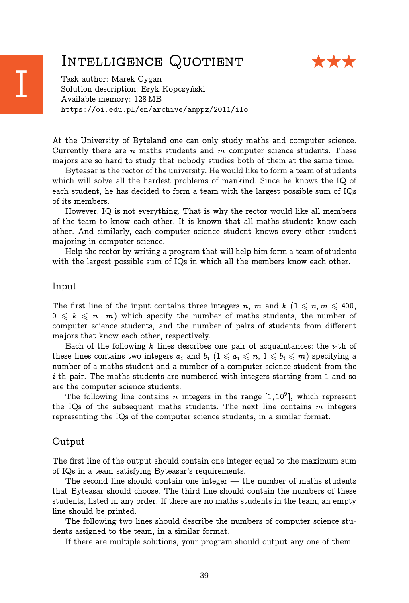# INTELLIGENCE QUOTIENT  $\star \star \star$



Task author: Marek Cygan Solution description: Eryk Kopczyński Available memory: 128 MB <https://oi.edu.pl/en/archive/amppz/2011/ilo>

At the University of Byteland one can only study maths and computer science. Currently there are  $n$  maths students and  $m$  computer science students. These majors are so hard to study that nobody studies both of them at the same time.

Byteasar is the rector of the university. He would like to form a team of students which will solve all the hardest problems of mankind. Since he knows the IQ of each student, he has decided to form a team with the largest possible sum of IQs of its members.

However, IQ is not everything. That is why the rector would like all members of the team to know each other. It is known that all maths students know each other. And similarly, each computer science student knows every other student majoring in computer science.

Help the rector by writing a program that will help him form a team of students with the largest possible sum of IQs in which all the members know each other.

#### Input

The first line of the input contains three integers n, m and  $k$  ( $1 \le n, m \le 400$ ,  $0 \leq k \leq n \cdot m$  which specify the number of maths students, the number of computer science students, and the number of pairs of students from different majors that know each other, respectively.

Each of the following  $k$  lines describes one pair of acquaintances: the  $i$ -th of these lines contains two integers  $a_i$  and  $b_i$  ( $1 \leqslant a_i \leqslant n$ ,  $1 \leqslant b_i \leqslant m$ ) specifying a number of a maths student and a number of a computer science student from the  $i$ -th pair. The maths students are numbered with integers starting from 1 and so are the computer science students.

The following line contains  $n$  integers in the range  $[1, 10^9]$ , which represent the IQs of the subsequent maths students. The next line contains  $m$  integers representing the IQs of the computer science students, in a similar format.

#### Output

The first line of the output should contain one integer equal to the maximum sum of IQs in a team satisfying Byteasar's requirements.

The second line should contain one integer — the number of maths students that Byteasar should choose. The third line should contain the numbers of these students, listed in any order. If there are no maths students in the team, an empty line should be printed.

The following two lines should describe the numbers of computer science students assigned to the team, in a similar format.

If there are multiple solutions, your program should output any one of them.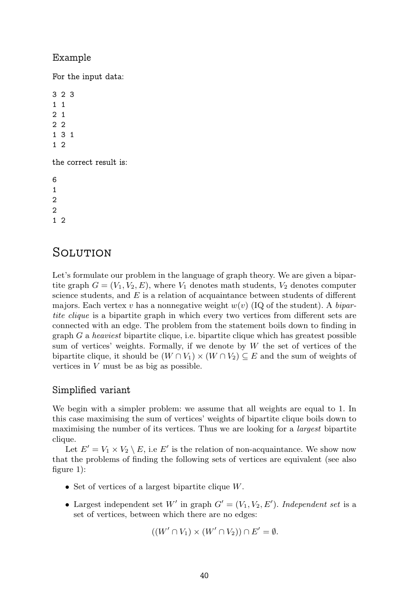#### Example

For the input data:

# Solution

Let's formulate our problem in the language of graph theory. We are given a bipartite graph  $G = (V_1, V_2, E)$ , where  $V_1$  denotes math students,  $V_2$  denotes computer science students, and  $E$  is a relation of acquaintance between students of different majors. Each vertex v has a nonnegative weight  $w(v)$  (IQ of the student). A *bipartite clique* is a bipartite graph in which every two vertices from different sets are connected with an edge. The problem from the statement boils down to finding in graph G a *heaviest* bipartite clique, i.e. bipartite clique which has greatest possible sum of vertices' weights. Formally, if we denote by  $W$  the set of vertices of the bipartite clique, it should be  $(W \cap V_1) \times (W \cap V_2) \subseteq E$  and the sum of weights of vertices in V must be as big as possible.

#### Simplified variant

We begin with a simpler problem: we assume that all weights are equal to 1. In this case maximising the sum of vertices' weights of bipartite clique boils down to maximising the number of its vertices. Thus we are looking for a *largest* bipartite clique.

Let  $E' = V_1 \times V_2 \setminus E$ , i.e E' is the relation of non-acquaintance. We show now that the problems of finding the following sets of vertices are equivalent (see also figure [1\)](#page-54-0):

- Set of vertices of a largest bipartite clique  $W$ .
- Largest independent set W' in graph  $G' = (V_1, V_2, E')$ . *Independent set* is a set of vertices, between which there are no edges:

$$
((W' \cap V_1) \times (W' \cap V_2)) \cap E' = \emptyset.
$$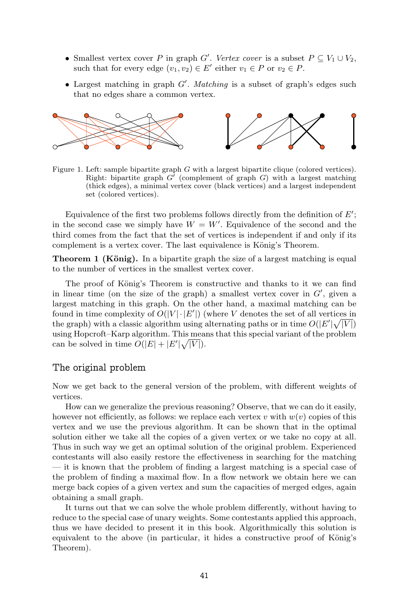- Smallest vertex cover P in graph G'. *Vertex cover* is a subset  $P \subseteq V_1 \cup V_2$ , such that for every edge  $(v_1, v_2) \in E'$  either  $v_1 \in P$  or  $v_2 \in P$ .
- $\bullet$  Largest matching in graph  $G'$ . *Matching* is a subset of graph's edges such that no edges share a common vertex.



<span id="page-54-0"></span>Figure 1. Left: sample bipartite graph G with a largest bipartite clique (colored vertices). Right: bipartite graph  $G^{\prime}$  (complement of graph  $G$ ) with a largest matching (thick edges), a minimal vertex cover (black vertices) and a largest independent set (colored vertices).

Equivalence of the first two problems follows directly from the definition of  $E'$ ; in the second case we simply have  $W = W'$ . Equivalence of the second and the third comes from the fact that the set of vertices is independent if and only if its complement is a vertex cover. The last equivalence is König's Theorem.

**Theorem 1 (König).** In a bipartite graph the size of a largest matching is equal to the number of vertices in the smallest vertex cover.

The proof of König's Theorem is constructive and thanks to it we can find in linear time (on the size of the graph) a smallest vertex cover in  $G'$ , given a largest matching in this graph. On the other hand, a maximal matching can be found in time complexity of  $O(|V| \cdot |E'|)$  (where V denotes the set of all vertices in the graph) with a classic algorithm using alternating paths or in time  $O(|E'|\sqrt{|V|})$ using Hopcroft–Karp algorithm. This means that this special variant of the problem can be solved in time  $O(|E| + |E'|\sqrt{|V|}).$ 

#### The original problem

Now we get back to the general version of the problem, with different weights of vertices.

How can we generalize the previous reasoning? Observe, that we can do it easily, however not efficiently, as follows: we replace each vertex v with  $w(v)$  copies of this vertex and we use the previous algorithm. It can be shown that in the optimal solution either we take all the copies of a given vertex or we take no copy at all. Thus in such way we get an optimal solution of the original problem. Experienced contestants will also easily restore the effectiveness in searching for the matching — it is known that the problem of finding a largest matching is a special case of the problem of finding a maximal flow. In a flow network we obtain here we can merge back copies of a given vertex and sum the capacities of merged edges, again obtaining a small graph.

It turns out that we can solve the whole problem differently, without having to reduce to the special case of unary weights. Some contestants applied this approach, thus we have decided to present it in this book. Algorithmically this solution is equivalent to the above (in particular, it hides a constructive proof of König's Theorem).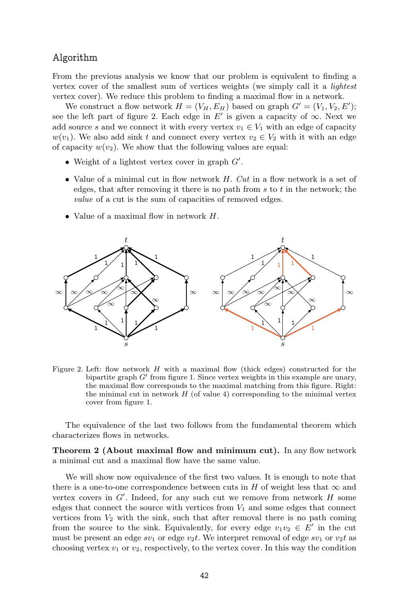#### Algorithm

From the previous analysis we know that our problem is equivalent to finding a vertex cover of the smallest sum of vertices weights (we simply call it a *lightest* vertex cover). We reduce this problem to finding a maximal flow in a network.

We construct a flow network  $H = (V_H, E_H)$  based on graph  $G' = (V_1, V_2, E')$ ; see the left part of figure [2.](#page-55-0) Each edge in  $E'$  is given a capacity of  $\infty$ . Next we add source s and we connect it with every vertex  $v_1 \in V_1$  with an edge of capacity  $w(v_1)$ . We also add sink t and connect every vertex  $v_2 \in V_2$  with it with an edge of capacity  $w(v_2)$ . We show that the following values are equal:

- Weight of a lightest vertex cover in graph  $G'$ .
- Value of a minimal cut in flow network H. *Cut* in a flow network is a set of edges, that after removing it there is no path from  $s$  to  $t$  in the network; the *value* of a cut is the sum of capacities of removed edges.
- Value of a maximal flow in network  $H$ .



<span id="page-55-0"></span>Figure 2. Left: flow network  $H$  with a maximal flow (thick edges) constructed for the bipartite graph  $G'$  from figure [1.](#page-54-0) Since vertex weights in this example are unary, the maximal flow corresponds to the maximal matching from this figure. Right: the minimal cut in network  $H$  (of value 4) corresponding to the minimal vertex cover from figure [1.](#page-54-0)

The equivalence of the last two follows from the fundamental theorem which characterizes flows in networks.

**Theorem 2 (About maximal flow and minimum cut).** In any flow network a minimal cut and a maximal flow have the same value.

We will show now equivalence of the first two values. It is enough to note that there is a one-to-one correspondence between cuts in H of weight less that  $\infty$  and vertex covers in  $G'$ . Indeed, for any such cut we remove from network  $H$  some edges that connect the source with vertices from  $V_1$  and some edges that connect vertices from  $V_2$  with the sink, such that after removal there is no path coming from the source to the sink. Equivalently, for every edge  $v_1v_2 \in E'$  in the cut must be present an edge  $s v_1$  or edge  $v_2 t$ . We interpret removal of edge  $s v_1$  or  $v_2 t$  as choosing vertex  $v_1$  or  $v_2$ , respectively, to the vertex cover. In this way the condition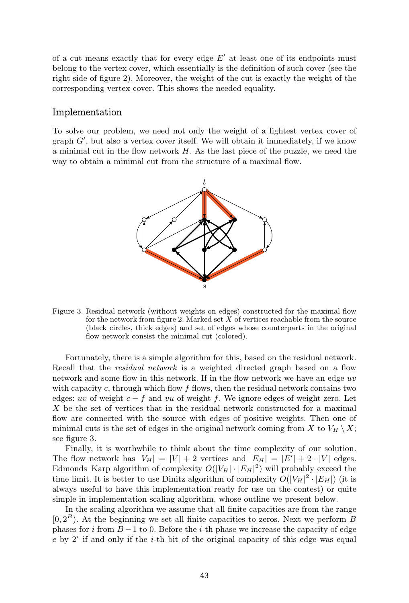of a cut means exactly that for every edge  $E'$  at least one of its endpoints must belong to the vertex cover, which essentially is the definition of such cover (see the right side of figure [2\)](#page-55-0). Moreover, the weight of the cut is exactly the weight of the corresponding vertex cover. This shows the needed equality.

#### Implementation

To solve our problem, we need not only the weight of a lightest vertex cover of graph  $G'$ , but also a vertex cover itself. We will obtain it immediately, if we know a minimal cut in the flow network  $H$ . As the last piece of the puzzle, we need the way to obtain a minimal cut from the structure of a maximal flow.



<span id="page-56-0"></span>Figure 3. Residual network (without weights on edges) constructed for the maximal flow for the network from figure [2.](#page-55-0) Marked set  $X$  of vertices reachable from the source (black circles, thick edges) and set of edges whose counterparts in the original flow network consist the minimal cut (colored).

Fortunately, there is a simple algorithm for this, based on the residual network. Recall that the *residual network* is a weighted directed graph based on a flow network and some flow in this network. If in the flow network we have an edge uv with capacity  $c$ , through which flow  $f$  flows, then the residual network contains two edges: uv of weight c *−* f and vu of weight f. We ignore edges of weight zero. Let X be the set of vertices that in the residual network constructed for a maximal flow are connected with the source with edges of positive weights. Then one of minimal cuts is the set of edges in the original network coming from X to  $V_H \setminus X$ ; see figure [3.](#page-56-0)

Finally, it is worthwhile to think about the time complexity of our solution. The flow network has  $|V_H| = |V| + 2$  vertices and  $|E_H| = |E'| + 2 \cdot |V|$  edges. Edmonds–Karp algorithm of complexity  $O(|V_H| \cdot |E_H|^2)$  will probably exceed the time limit. It is better to use Dinitz algorithm of complexity  $O(|V_H|^2 \cdot |E_H|)$  (it is always useful to have this implementation ready for use on the contest) or quite simple in implementation scaling algorithm, whose outline we present below.

In the scaling algorithm we assume that all finite capacities are from the range  $[0, 2<sup>B</sup>)$ . At the beginning we set all finite capacities to zeros. Next we perform B phases for i from B *−*1 to 0. Before the i-th phase we increase the capacity of edge e by  $2^i$  if and only if the *i*-th bit of the original capacity of this edge was equal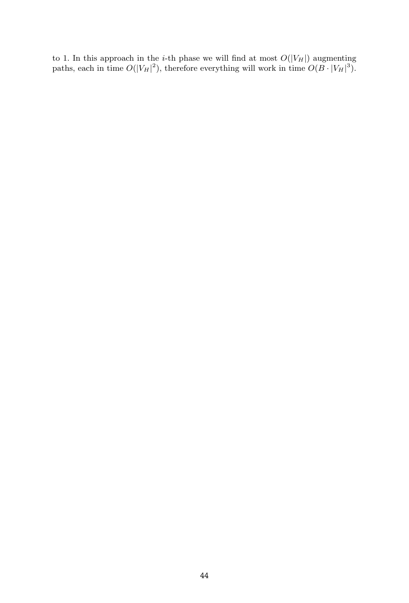to 1. In this approach in the *i*-th phase we will find at most  $O(|V_H|)$  augmenting paths, each in time  $O(|V_H|^2)$ , therefore everything will work in time  $O(B \cdot |V_H|^3)$ .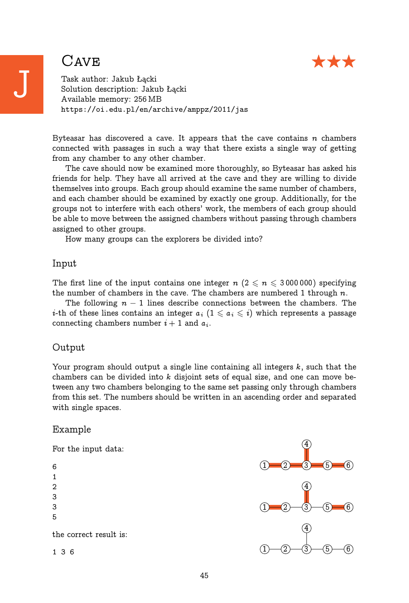J



Task author: Jakub Łącki Solution description: Jakub Łącki Available memory: 256 MB <https://oi.edu.pl/en/archive/amppz/2011/jas>

Byteasar has discovered a cave. It appears that the cave contains  $n$  chambers connected with passages in such a way that there exists a single way of getting from any chamber to any other chamber.

The cave should now be examined more thoroughly, so Byteasar has asked his friends for help. They have all arrived at the cave and they are willing to divide themselves into groups. Each group should examine the same number of chambers, and each chamber should be examined by exactly one group. Additionally, for the groups not to interfere with each others' work, the members of each group should be able to move between the assigned chambers without passing through chambers assigned to other groups.

How many groups can the explorers be divided into?

#### Input

The first line of the input contains one integer  $n (2 \leq n \leq 3000000)$  specifying the number of chambers in the cave. The chambers are numbered 1 through  $n$ .

The following n *−* 1 lines describe connections between the chambers. The *i*-th of these lines contains an integer  $a_i$  ( $1 \leq a_i \leq i$ ) which represents a passage connecting chambers number  $i + 1$  and  $a_i$ .

#### Output

Your program should output a single line containing all integers  $k$ , such that the chambers can be divided into  $k$  disjoint sets of equal size, and one can move between any two chambers belonging to the same set passing only through chambers from this set. The numbers should be written in an ascending order and separated with single spaces.

#### Example

For the input data:

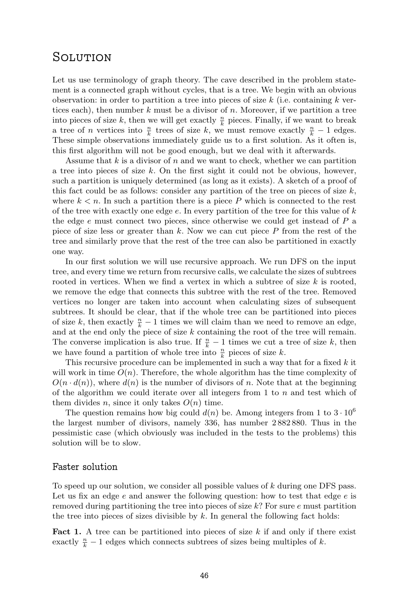#### Solution

Let us use terminology of graph theory. The cave described in the problem statement is a connected graph without cycles, that is a tree. We begin with an obvious observation: in order to partition a tree into pieces of size  $k$  (i.e. containing k vertices each), then number  $k$  must be a divisor of  $n$ . Moreover, if we partition a tree into pieces of size  $k$ , then we will get exactly  $\frac{n}{k}$  pieces. Finally, if we want to break a tree of *n* vertices into  $\frac{n}{k}$  trees of size k, we must remove exactly  $\frac{n}{k} - 1$  edges. These simple observations immediately guide us to a first solution. As it often is, this first algorithm will not be good enough, but we deal with it afterwards.

Assume that  $k$  is a divisor of  $n$  and we want to check, whether we can partition a tree into pieces of size  $k$ . On the first sight it could not be obvious, however, such a partition is uniquely determined (as long as it exists). A sketch of a proof of this fact could be as follows: consider any partition of the tree on pieces of size  $k$ , where  $k < n$ . In such a partition there is a piece P which is connected to the rest of the tree with exactly one edge  $e$ . In every partition of the tree for this value of  $k$ the edge e must connect two pieces, since otherwise we could get instead of P a piece of size less or greater than  $k$ . Now we can cut piece  $P$  from the rest of the tree and similarly prove that the rest of the tree can also be partitioned in exactly one way.

In our first solution we will use recursive approach. We run DFS on the input tree, and every time we return from recursive calls, we calculate the sizes of subtrees rooted in vertices. When we find a vertex in which a subtree of size  $k$  is rooted, we remove the edge that connects this subtree with the rest of the tree. Removed vertices no longer are taken into account when calculating sizes of subsequent subtrees. It should be clear, that if the whole tree can be partitioned into pieces of size k, then exactly  $\frac{n}{k} - 1$  times we will claim than we need to remove an edge, and at the end only the piece of size  $k$  containing the root of the tree will remain. The converse implication is also true. If  $\frac{n}{k} - 1$  times we cut a tree of size k, then we have found a partition of whole tree into  $\frac{n}{k}$  pieces of size k.

This recursive procedure can be implemented in such a way that for a fixed k it will work in time  $O(n)$ . Therefore, the whole algorithm has the time complexity of  $O(n \cdot d(n))$ , where  $d(n)$  is the number of divisors of n. Note that at the beginning of the algorithm we could iterate over all integers from 1 to  $n$  and test which of them divides *n*, since it only takes  $O(n)$  time.

The question remains how big could  $d(n)$  be. Among integers from 1 to  $3 \cdot 10^6$ the largest number of divisors, namely 336, has number 2 882 880. Thus in the pessimistic case (which obviously was included in the tests to the problems) this solution will be to slow.

#### Faster solution

To speed up our solution, we consider all possible values of k during one DFS pass. Let us fix an edge  $e$  and answer the following question: how to test that edge  $e$  is removed during partitioning the tree into pieces of size  $k$ ? For sure e must partition the tree into pieces of sizes divisible by  $k$ . In general the following fact holds:

<span id="page-59-0"></span>**Fact 1.** A tree can be partitioned into pieces of size k if and only if there exist exactly  $\frac{n}{k} - 1$  edges which connects subtrees of sizes being multiples of k.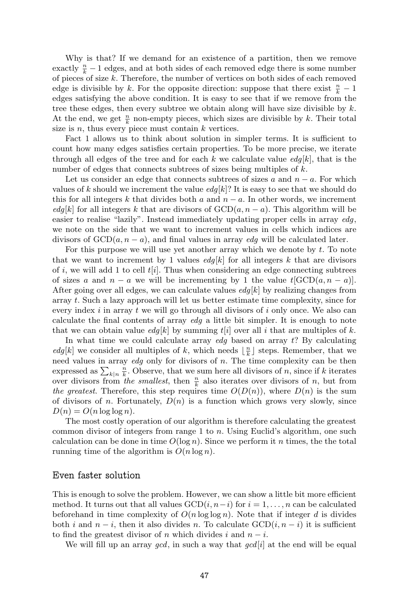Why is that? If we demand for an existence of a partition, then we remove exactly  $\frac{n}{k} - 1$  edges, and at both sides of each removed edge there is some number of pieces of size  $k$ . Therefore, the number of vertices on both sides of each removed edge is divisible by k. For the opposite direction: suppose that there exist  $\frac{n}{k} - 1$ edges satisfying the above condition. It is easy to see that if we remove from the tree these edges, then every subtree we obtain along will have size divisible by  $k$ . At the end, we get  $\frac{n}{k}$  non-empty pieces, which sizes are divisible by k. Their total size is  $n$ , thus every piece must contain  $k$  vertices.

Fact [1](#page-59-0) allows us to think about solution in simpler terms. It is sufficient to count how many edges satisfies certain properties. To be more precise, we iterate through all edges of the tree and for each k we calculate value  $edg[k]$ , that is the number of edges that connects subtrees of sizes being multiples of  $k$ .

Let us consider an edge that connects subtrees of sizes a and n *−* a. For which values of k should we increment the value  $edg[k]$ ? It is easy to see that we should do this for all integers k that divides both a and n *−* a. In other words, we increment edg[k] for all integers k that are divisors of  $GCD(a, n - a)$ . This algorithm will be easier to realise "lazily". Instead immediately updating proper cells in array  $edg$ , we note on the side that we want to increment values in cells which indices are divisors of  $GCD(a, n - a)$ , and final values in array *edg* will be calculated later.

For this purpose we will use yet another array which we denote by  $t$ . To note that we want to increment by 1 values  $edq[k]$  for all integers k that are divisors of i, we will add 1 to cell  $t[i]$ . Thus when considering an edge connecting subtrees of sizes a and  $n - a$  we will be incrementing by 1 the value  $t[\text{GCD}(a, n - a)].$ After going over all edges, we can calculate values  $edg[k]$  by realizing changes from array t. Such a lazy approach will let us better estimate time complexity, since for every index  $i$  in array  $t$  we will go through all divisors of  $i$  only once. We also can calculate the final contents of array edg a little bit simpler. It is enough to note that we can obtain value  $edq[k]$  by summing  $t[i]$  over all i that are multiples of k.

In what time we could calculate array  $\deg$  based on array  $t$ ? By calculating *edg*[k] we consider all multiples of k, which needs  $\lfloor \frac{n}{k} \rfloor$  steps. Remember, that we need values in array  $edg$  only for divisors of  $n$ . The time complexity can be then expressed as  $\sum_{k|n} \frac{n}{k}$ . Observe, that we sum here all divisors of n, since if k iterates over divisors from *the smallest*, then  $\frac{n}{k}$  also iterates over divisors of n, but from *the greatest*. Therefore, this step requires time  $O(D(n))$ , where  $D(n)$  is the sum of divisors of n. Fortunately,  $D(n)$  is a function which grows very slowly, since  $D(n) = O(n \log \log n).$ 

The most costly operation of our algorithm is therefore calculating the greatest common divisor of integers from range 1 to n. Using Euclid's algorithm, one such calculation can be done in time  $O(\log n)$ . Since we perform it n times, the the total running time of the algorithm is  $O(n \log n)$ .

#### Even faster solution

This is enough to solve the problem. However, we can show a little bit more efficient method. It turns out that all values  $GCD(i, n-i)$  for  $i = 1, \ldots, n$  can be calculated beforehand in time complexity of  $O(n \log \log n)$ . Note that if integer d is divides both *i* and  $n - i$ , then it also divides n. To calculate  $GCD(i, n - i)$  it is sufficient to find the greatest divisor of n which divides i and  $n - i$ .

We will fill up an array gcd, in such a way that  $gcd[i]$  at the end will be equal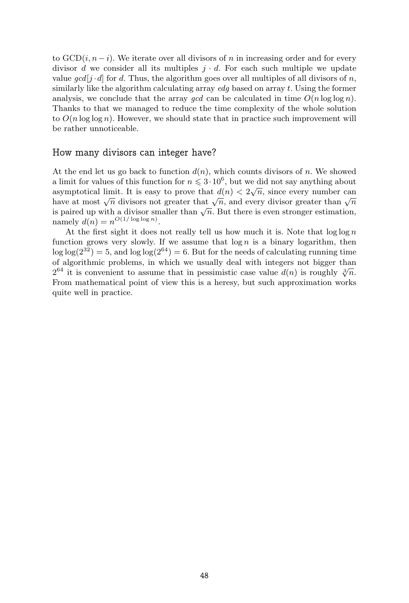to  $GCD(i, n-i)$ . We iterate over all divisors of n in increasing order and for every divisor d we consider all its multiples  $j \cdot d$ . For each such multiple we update value  $\gcd[i \cdot d]$  for d. Thus, the algorithm goes over all multiples of all divisors of n, similarly like the algorithm calculating array  $edg$  based on array t. Using the former analysis, we conclude that the array gcd can be calculated in time  $O(n \log \log n)$ . Thanks to that we managed to reduce the time complexity of the whole solution to  $O(n \log \log n)$ . However, we should state that in practice such improvement will be rather unnoticeable.

#### How many divisors can integer have?

At the end let us go back to function  $d(n)$ , which counts divisors of n. We showed a limit for values of this function for  $n \leqslant 3 \cdot 10^6$ , but we did not say anything about asymptotical limit. It is easy to prove that  $d(n) < 2\sqrt{n}$ , since every number can have at most  $\sqrt{n}$  divisors not greater that  $\sqrt{n}$ , and every divisor greater than  $\sqrt{n}$ <br>have at most  $\sqrt{n}$  divisors not greater that  $\sqrt{n}$ , and every divisor greater than  $\sqrt{n}$ is paired up with a divisor smaller than  $\sqrt{n}$ . But there is even stronger estimation, namely  $d(n) = n^{O(1/\log \log n)}$ .

At the first sight it does not really tell us how much it is. Note that  $\log \log n$ function grows very slowly. If we assume that  $\log n$  is a binary logarithm, then  $\log \log(2^{32}) = 5$ , and  $\log \log(2^{64}) = 6$ . But for the needs of calculating running time of algorithmic problems, in which we usually deal with integers not bigger than or algorithmic problems, in which we usually dear with integers not bigger than  $2^{64}$  it is convenient to assume that in pessimistic case value  $d(n)$  is roughly  $\sqrt[3]{n}$ . From mathematical point of view this is a heresy, but such approximation works quite well in practice.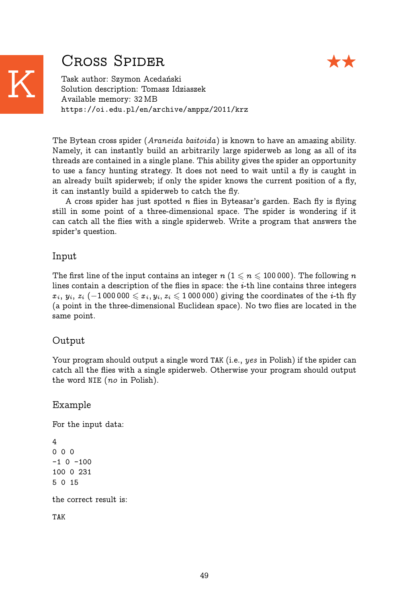# K

# CROSS SPIDER  $\star \star$



Task author: Szymon Acedański Solution description: Tomasz Idziaszek Available memory: 32 MB <https://oi.edu.pl/en/archive/amppz/2011/krz>

The Bytean cross spider (Araneida baitoida) is known to have an amazing ability. Namely, it can instantly build an arbitrarily large spiderweb as long as all of its threads are contained in a single plane. This ability gives the spider an opportunity to use a fancy hunting strategy. It does not need to wait until a fly is caught in an already built spiderweb; if only the spider knows the current position of a fly, it can instantly build a spiderweb to catch the fly.

A cross spider has just spotted  $n$  flies in Byteasar's garden. Each fly is flying still in some point of a three-dimensional space. The spider is wondering if it can catch all the flies with a single spiderweb. Write a program that answers the spider's question.

#### Input

The first line of the input contains an integer  $n (1 \leq n \leq 100000)$ . The following n lines contain a description of the flies in space: the i-th line contains three integers  $x_i, y_i, z_i$  ( $-1\,000\,000 \le x_i, y_i, z_i \le 1\,000\,000$ ) giving the coordinates of the *i*-th fly (a point in the three-dimensional Euclidean space). No two flies are located in the same point.

#### Output

Your program should output a single word TAK (i.e., yes in Polish) if the spider can catch all the flies with a single spiderweb. Otherwise your program should output the word NIE (no in Polish).

#### Example

For the input data:

```
4
0 0 0
-1 0 -100100 0 231
5 0 15
```
the correct result is:

**TAK**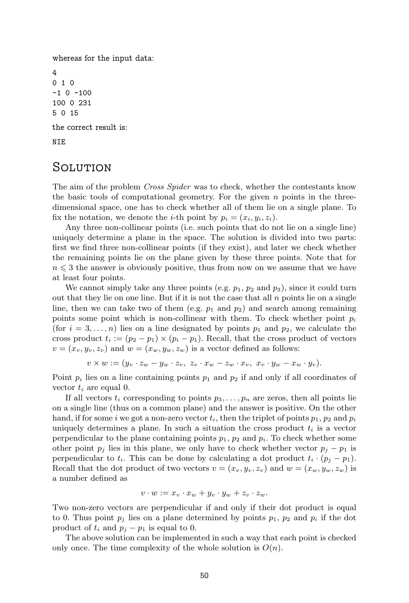```
whereas for the input data:
4
0 1 0
-1 0 -100100 0 231
5 0 15
the correct result is:
NIE
```
#### Solittrion

The aim of the problem *Cross Spider* was to check, whether the contestants know the basic tools of computational geometry. For the given  $n$  points in the threedimensional space, one has to check whether all of them lie on a single plane. To fix the notation, we denote the *i*-th point by  $p_i = (x_i, y_i, z_i)$ .

Any three non-collinear points (i.e. such points that do not lie on a single line) uniquely determine a plane in the space. The solution is divided into two parts: first we find three non-collinear points (if they exist), and later we check whether the remaining points lie on the plane given by these three points. Note that for  $n \leqslant 3$  the answer is obviously positive, thus from now on we assume that we have at least four points.

We cannot simply take any three points (e.g.  $p_1$ ,  $p_2$  and  $p_3$ ), since it could turn out that they lie on one line. But if it is not the case that all  $n$  points lie on a single line, then we can take two of them (e.g.  $p_1$  and  $p_2$ ) and search among remaining points some point which is non-collinear with them. To check whether point  $p_i$ (for  $i = 3, \ldots, n$ ) lies on a line designated by points  $p_1$  and  $p_2$ , we calculate the cross product  $t_i := (p_2 - p_1) \times (p_i - p_1)$ . Recall, that the cross product of vectors  $v = (x_v, y_v, z_v)$  and  $w = (x_w, y_w, z_w)$  is a vector defined as follows:

$$
v \times w := (y_v \cdot z_w - y_w \cdot z_v, \ z_v \cdot x_w - z_w \cdot x_v, \ x_v \cdot y_w - x_w \cdot y_v).
$$

Point  $p_i$  lies on a line containing points  $p_1$  and  $p_2$  if and only if all coordinates of vector  $t_i$  are equal 0.

If all vectors  $t_i$  corresponding to points  $p_3, \ldots, p_n$  are zeros, then all points lie on a single line (thus on a common plane) and the answer is positive. On the other hand, if for some i we got a non-zero vector  $t_i$ , then the triplet of points  $p_1$ ,  $p_2$  and  $p_i$ uniquely determines a plane. In such a situation the cross product  $t_i$  is a vector perpendicular to the plane containing points  $p_1$ ,  $p_2$  and  $p_i$ . To check whether some other point  $p_j$  lies in this plane, we only have to check whether vector  $p_j - p_1$  is perpendicular to  $t_i$ . This can be done by calculating a dot product  $t_i \cdot (p_i - p_1)$ . Recall that the dot product of two vectors  $v = (x_v, y_v, z_v)$  and  $w = (x_w, y_w, z_w)$  is a number defined as

$$
v \cdot w := x_v \cdot x_w + y_v \cdot y_w + z_v \cdot z_w.
$$

Two non-zero vectors are perpendicular if and only if their dot product is equal to 0. Thus point  $p_j$  lies on a plane determined by points  $p_1$ ,  $p_2$  and  $p_i$  if the dot product of  $t_i$  and  $p_j - p_1$  is equal to 0.

The above solution can be implemented in such a way that each point is checked only once. The time complexity of the whole solution is  $O(n)$ .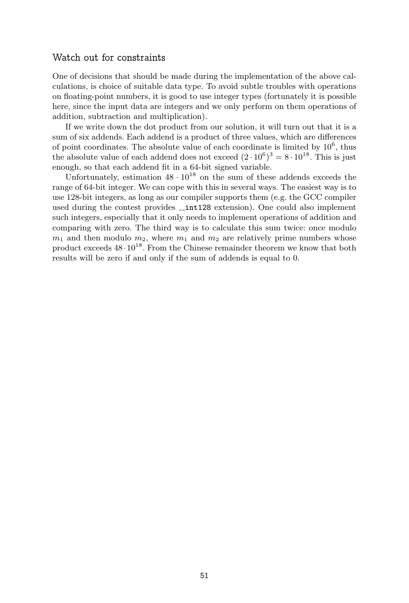#### Watch out for constraints

One of decisions that should be made during the implementation of the above calculations, is choice of suitable data type. To avoid subtle troubles with operations on floating-point numbers, it is good to use integer types (fortunately it is possible here, since the input data are integers and we only perform on them operations of addition, subtraction and multiplication).

If we write down the dot product from our solution, it will turn out that it is a sum of six addends. Each addend is a product of three values, which are differences of point coordinates. The absolute value of each coordinate is limited by  $10^6$ , thus the absolute value of each addend does not exceed  $(2 \cdot 10^6)^3 = 8 \cdot 10^{18}$ . This is just enough, so that each addend fit in a 64-bit signed variable.

Unfortunately, estimation  $48 \cdot 10^{18}$  on the sum of these addends exceeds the range of 64-bit integer. We can cope with this in several ways. The easiest way is to use 128-bit integers, as long as our compiler supports them (e.g. the GCC compiler used during the contest provides  $\text{\_int128}$  extension). One could also implement such integers, especially that it only needs to implement operations of addition and comparing with zero. The third way is to calculate this sum twice: once modulo  $m_1$  and then modulo  $m_2$ , where  $m_1$  and  $m_2$  are relatively prime numbers whose product exceeds 48*·*10<sup>18</sup>. From the Chinese remainder theorem we know that both results will be zero if and only if the sum of addends is equal to 0.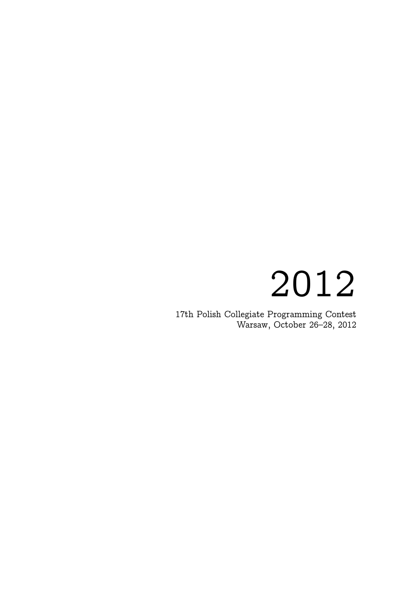# 2012

17th Polish Collegiate Programming Contest Warsaw, October 26–28, 2012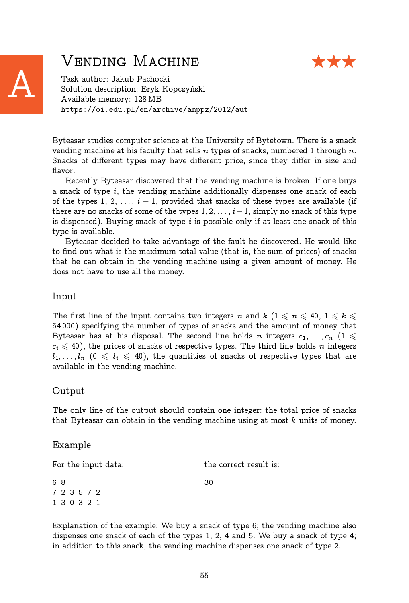# VENDING MACHINE  $\bullet$



Task author: Jakub Pachocki Solution description: Eryk Kopczyński Available memory: 128 MB <https://oi.edu.pl/en/archive/amppz/2012/aut>

Byteasar studies computer science at the University of Bytetown. There is a snack vending machine at his faculty that sells n types of snacks, numbered 1 through  $n$ . Snacks of different types may have different price, since they differ in size and flavor.

Recently Byteasar discovered that the vending machine is broken. If one buys a snack of type  $i$ , the vending machine additionally dispenses one snack of each of the types 1, 2, ...,  $i - 1$ , provided that snacks of these types are available (if there are no snacks of some of the types  $1, 2, \ldots, i-1$ , simply no snack of this type is dispensed). Buying snack of type  $i$  is possible only if at least one snack of this type is available.

Byteasar decided to take advantage of the fault he discovered. He would like to find out what is the maximum total value (that is, the sum of prices) of snacks that he can obtain in the vending machine using a given amount of money. He does not have to use all the money.

#### Input

A

The first line of the input contains two integers n and k  $(1 \leq n \leq 40, 1 \leq k \leq$ 64 000) specifying the number of types of snacks and the amount of money that Byteasar has at his disposal. The second line holds n integers  $c_1, \ldots, c_n$  (1  $\leq$  $c_i \leq 40$ ), the prices of snacks of respective types. The third line holds n integers  $l_1, \ldots, l_n$  ( $0 \leq l_i \leq 40$ ), the quantities of snacks of respective types that are available in the vending machine.

#### Output

The only line of the output should contain one integer: the total price of snacks that Byteasar can obtain in the vending machine using at most  $k$  units of money.

#### Example

For the input data: 6 8 7 2 3 5 7 2 1 3 0 3 2 1 the correct result is: 30

Explanation of the example: We buy a snack of type 6; the vending machine also dispenses one snack of each of the types 1, 2, 4 and 5. We buy a snack of type 4; in addition to this snack, the vending machine dispenses one snack of type 2.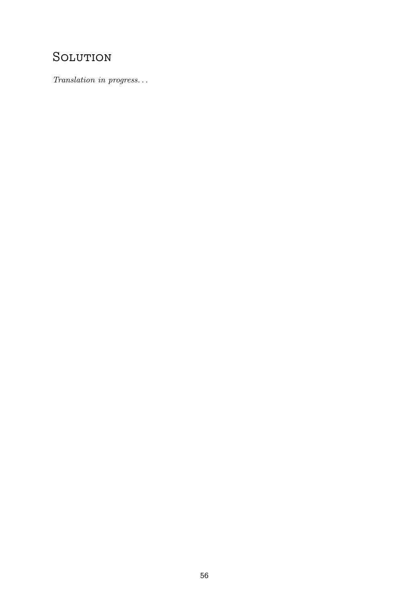# SOLUTION

*Translation in progress. . .*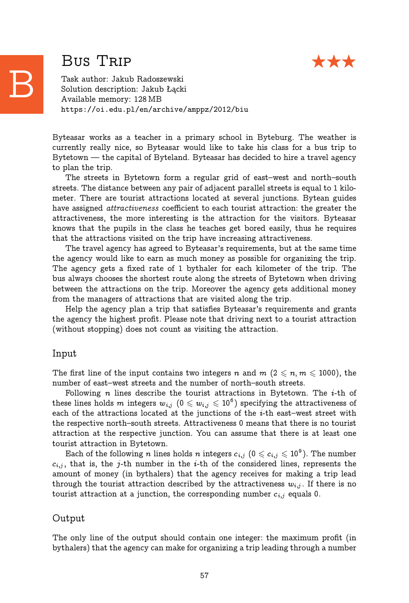# Bus Trip February  $\star \star \star$

B



Task author: Jakub Radoszewski Solution description: Jakub Łącki Available memory: 128 MB <https://oi.edu.pl/en/archive/amppz/2012/biu>

Byteasar works as a teacher in a primary school in Byteburg. The weather is currently really nice, so Byteasar would like to take his class for a bus trip to Bytetown — the capital of Byteland. Byteasar has decided to hire a travel agency to plan the trip.

The streets in Bytetown form a regular grid of east–west and north–south streets. The distance between any pair of adjacent parallel streets is equal to 1 kilometer. There are tourist attractions located at several junctions. Bytean guides have assigned *attractiveness* coefficient to each tourist attraction: the greater the attractiveness, the more interesting is the attraction for the visitors. Byteasar knows that the pupils in the class he teaches get bored easily, thus he requires that the attractions visited on the trip have increasing attractiveness.

The travel agency has agreed to Byteasar's requirements, but at the same time the agency would like to earn as much money as possible for organizing the trip. The agency gets a fixed rate of 1 bythaler for each kilometer of the trip. The bus always chooses the shortest route along the streets of Bytetown when driving between the attractions on the trip. Moreover the agency gets additional money from the managers of attractions that are visited along the trip.

Help the agency plan a trip that satisfies Byteasar's requirements and grants the agency the highest profit. Please note that driving next to a tourist attraction (without stopping) does not count as visiting the attraction.

#### Input

The first line of the input contains two integers n and  $m (2 \leq n, m \leq 1000)$ , the number of east–west streets and the number of north–south streets.

Following *n* lines describe the tourist attractions in Bytetown. The  $i$ -th of these lines holds  $m$  integers  $w_{i,j}$   $(0\leqslant w_{i,j}\leqslant 10^6)$  specifying the attractiveness of each of the attractions located at the junctions of the i-th east–west street with the respective north–south streets. Attractiveness 0 means that there is no tourist attraction at the respective junction. You can assume that there is at least one tourist attraction in Bytetown.

Each of the following n lines holds n integers  $c_{i,j}$   $(0 \leqslant c_{i,j} \leqslant 10^9).$  The number  $c_{i,j}$ , that is, the j-th number in the i-th of the considered lines, represents the amount of money (in bythalers) that the agency receives for making a trip lead through the tourist attraction described by the attractiveness  $w_{i,j}$ . If there is no tourist attraction at a junction, the corresponding number  $c_{i,j}$  equals 0.

#### Output

The only line of the output should contain one integer: the maximum profit (in bythalers) that the agency can make for organizing a trip leading through a number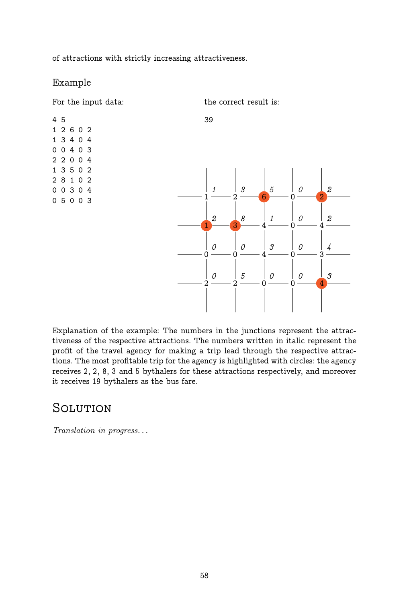of attractions with strictly increasing attractiveness.

#### Example



Explanation of the example: The numbers in the junctions represent the attractiveness of the respective attractions. The numbers written in italic represent the profit of the travel agency for making a trip lead through the respective attractions. The most profitable trip for the agency is highlighted with circles: the agency receives 2, 2, 8, 3 and 5 bythalers for these attractions respectively, and moreover it receives 19 bythalers as the bus fare.

# **SOLUTION**

*Translation in progress. . .*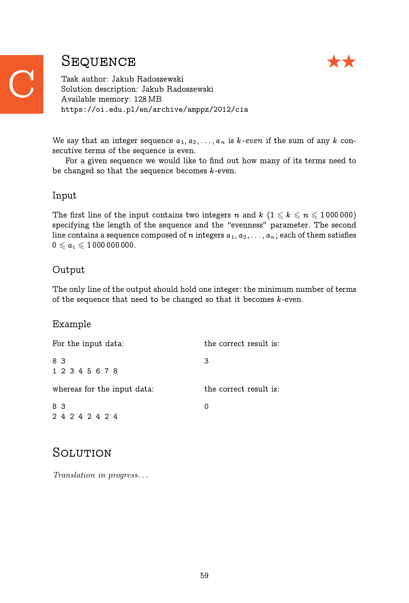# $\overline{\mathbf{C}}$

# SEQUENCE  $\star \star$



Task author: Jakub Radoszewski Solution description: Jakub Radoszewski Available memory: 128 MB <https://oi.edu.pl/en/archive/amppz/2012/cia>

We say that an integer sequence  $a_1, a_2, \ldots, a_n$  is k-even if the sum of any k consecutive terms of the sequence is even.

For a given sequence we would like to find out how many of its terms need to be changed so that the sequence becomes  $k$ -even.

## Input

The first line of the input contains two integers n and  $k$  ( $1 \leq k \leq n \leq 1000000$ ) specifying the length of the sequence and the "evenness" parameter. The second line contains a sequence composed of n integers  $a_1, a_2, \ldots, a_n$ ; each of them satisfies  $0 \leqslant a_i \leqslant 1$  000 000 000.

## Output

The only line of the output should hold one integer: the minimum number of terms of the sequence that need to be changed so that it becomes  $k$ -even.

## Example

| For the input data:         | the correct result is: |
|-----------------------------|------------------------|
| 83<br>12345678              | З                      |
| whereas for the input data: | the correct result is: |
| 83<br>24242424              | Ω                      |

## **SOLUTION**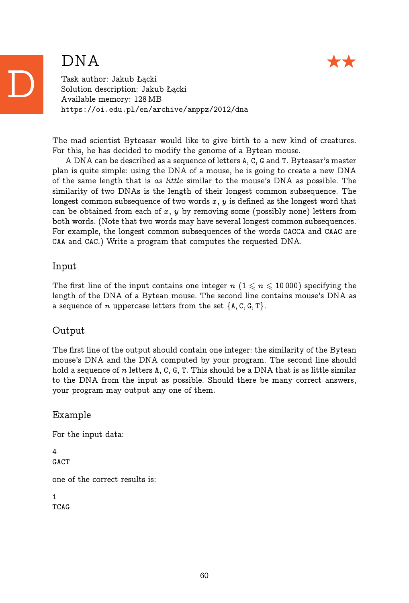# $DNA$

D



Task author: Jakub Łącki Solution description: Jakub Łącki Available memory: 128 MB <https://oi.edu.pl/en/archive/amppz/2012/dna>

The mad scientist Byteasar would like to give birth to a new kind of creatures. For this, he has decided to modify the genome of a Bytean mouse.

A DNA can be described as a sequence of letters A, C, G and T. Byteasar's master plan is quite simple: using the DNA of a mouse, he is going to create a new DNA of the same length that is as little similar to the mouse's DNA as possible. The similarity of two DNAs is the length of their longest common subsequence. The longest common subsequence of two words  $x, y$  is defined as the longest word that can be obtained from each of  $x$ ,  $y$  by removing some (possibly none) letters from both words. (Note that two words may have several longest common subsequences. For example, the longest common subsequences of the words CACCA and CAAC are CAA and CAC.) Write a program that computes the requested DNA.

## Input

The first line of the input contains one integer  $n (1 \leq n \leq 10000)$  specifying the length of the DNA of a Bytean mouse. The second line contains mouse's DNA as a sequence of *n* uppercase letters from the set  ${A, C, G, T}$ .

## Output

The first line of the output should contain one integer: the similarity of the Bytean mouse's DNA and the DNA computed by your program. The second line should hold a sequence of n letters A, C, G, T. This should be a DNA that is as little similar to the DNA from the input as possible. Should there be many correct answers, your program may output any one of them.

## Example

For the input data:

4 **GACT** 

one of the correct results is:

1 TCAG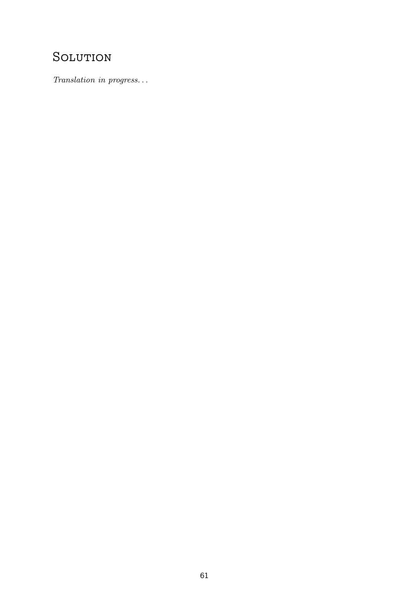# SOLUTION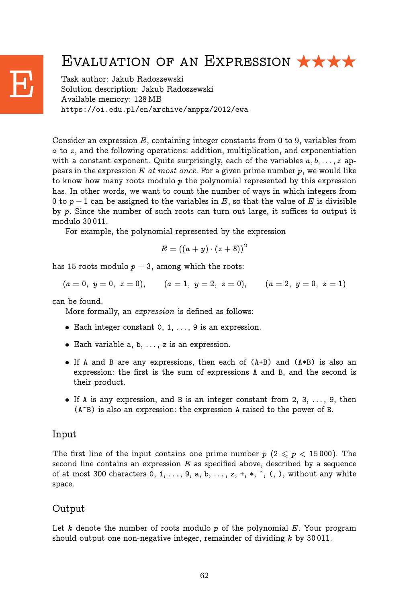# EVALUATION OF AN EXPRESSION  $\star \star \star$

Task author: Jakub Radoszewski Solution description: Jakub Radoszewski Available memory: 128 MB <https://oi.edu.pl/en/archive/amppz/2012/ewa>

Consider an expression  $E$ , containing integer constants from 0 to 9, variables from a to z, and the following operations: addition, multiplication, and exponentiation with a constant exponent. Quite surprisingly, each of the variables  $a, b, \ldots, z$  appears in the expression  $E$  at most once. For a given prime number  $p$ , we would like to know how many roots modulo  $p$  the polynomial represented by this expression has. In other words, we want to count the number of ways in which integers from 0 to p − 1 can be assigned to the variables in E, so that the value of E is divisible by p. Since the number of such roots can turn out large, it suffices to output it modulo 30 011.

For example, the polynomial represented by the expression

$$
E = ((a + y) \cdot (z + 8))^2
$$

has 15 roots modulo  $p = 3$ , among which the roots:

 $(a = 0, y = 0, z = 0), (a = 1, y = 2, z = 0), (a = 2, y = 0, z = 1)$ 

can be found.

More formally, an expression is defined as follows:

- $\bullet$  Each integer constant 0, 1, ..., 9 is an expression.
- $\bullet$  Each variable a, b, ..., z is an expression.
- If A and B are any expressions, then each of (A+B) and (A\*B) is also an expression: the first is the sum of expressions A and B, and the second is their product.
- If A is any expression, and B is an integer constant from 2,  $3, \ldots, 9$ , then (A^B) is also an expression: the expression A raised to the power of B.

#### Input

The first line of the input contains one prime number  $p$  ( $2 \leq p < 15000$ ). The second line contains an expression  $E$  as specified above, described by a sequence of at most 300 characters 0, 1,  $\dots$ , 9, a, b,  $\dots$ , z,  $+, *, \hat{\ }$ ,  $(, )$ , without any white space.

## Output

Let k denote the number of roots modulo  $p$  of the polynomial  $E$ . Your program should output one non-negative integer, remainder of dividing  $k$  by 30011.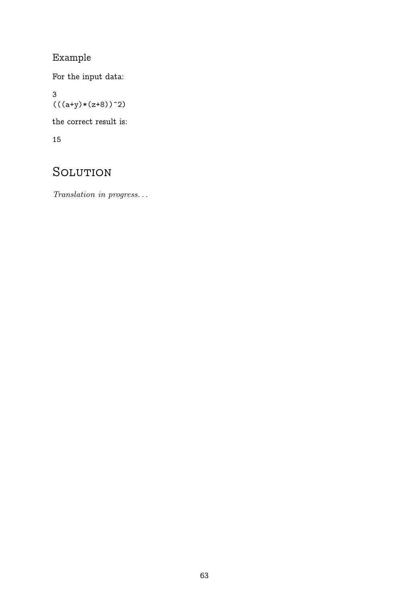For the input data:

3  $(((a+y)*(z+8))^2)$ 

the correct result is:

15

# Solution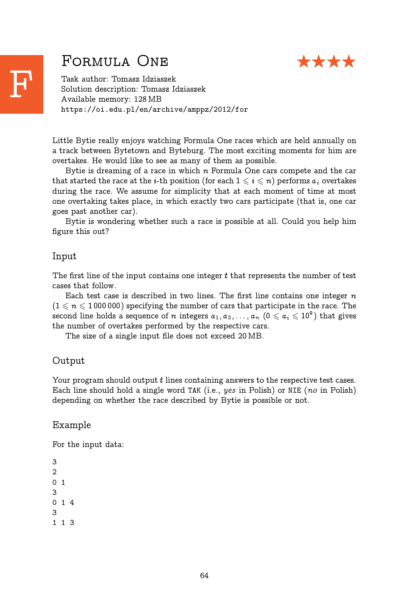# FORMULA ONE  $\star \star \star$



Task author: Tomasz Idziaszek Solution description: Tomasz Idziaszek Available memory: 128 MB <https://oi.edu.pl/en/archive/amppz/2012/for>

Little Bytie really enjoys watching Formula One races which are held annually on a track between Bytetown and Byteburg. The most exciting moments for him are overtakes. He would like to see as many of them as possible.

Bytie is dreaming of a race in which  $n$  Formula One cars compete and the car that started the race at the *i*-th position (for each  $1 \leqslant i \leqslant n$ ) performs  $a_i$  overtakes during the race. We assume for simplicity that at each moment of time at most one overtaking takes place, in which exactly two cars participate (that is, one car goes past another car).

Bytie is wondering whether such a race is possible at all. Could you help him figure this out?

## Input

F

The first line of the input contains one integer  $t$  that represents the number of test cases that follow.

Each test case is described in two lines. The first line contains one integer  $n$  $(1 \le n \le 1000000)$  specifying the number of cars that participate in the race. The second line holds a sequence of  $n$  integers  $a_1, a_2, \ldots, a_n\,\, (0 \leqslant a_i \leqslant 10^9)$  that gives the number of overtakes performed by the respective cars.

The size of a single input file does not exceed 20 MB.

## Output

Your program should output t lines containing answers to the respective test cases. Each line should hold a single word TAK (i.e., yes in Polish) or NIE (no in Polish) depending on whether the race described by Bytie is possible or not.

## Example

For the input data: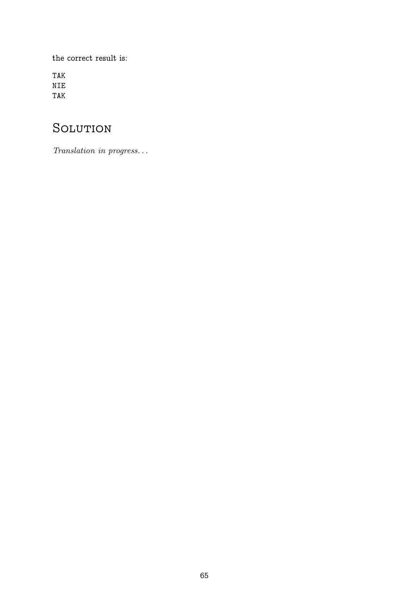the correct result is:

TAK NIE TAK

# **SOLUTION**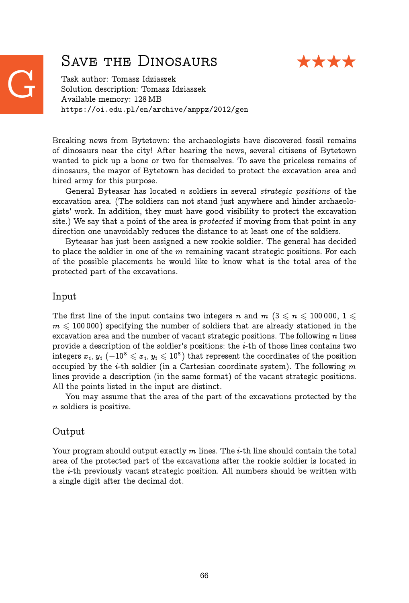# SAVE THE DINOSAURS  $\star \star \star$



Task author: Tomasz Idziaszek Solution description: Tomasz Idziaszek Available memory: 128 MB <https://oi.edu.pl/en/archive/amppz/2012/gen>

Breaking news from Bytetown: the archaeologists have discovered fossil remains of dinosaurs near the city! After hearing the news, several citizens of Bytetown wanted to pick up a bone or two for themselves. To save the priceless remains of dinosaurs, the mayor of Bytetown has decided to protect the excavation area and hired army for this purpose.

General Byteasar has located  $n$  soldiers in several strategic positions of the excavation area. (The soldiers can not stand just anywhere and hinder archaeologists' work. In addition, they must have good visibility to protect the excavation site.) We say that a point of the area is protected if moving from that point in any direction one unavoidably reduces the distance to at least one of the soldiers.

Byteasar has just been assigned a new rookie soldier. The general has decided to place the soldier in one of the  $m$  remaining vacant strategic positions. For each of the possible placements he would like to know what is the total area of the protected part of the excavations.

#### Input

G

The first line of the input contains two integers n and  $m$  ( $3 \le n \le 100000$ ,  $1 \le n$ )  $m \leqslant 100000$ ) specifying the number of soldiers that are already stationed in the excavation area and the number of vacant strategic positions. The following  $n$  lines provide a description of the soldier's positions: the i-th of those lines contains two  $\text{integers} \; x_i, y_i \; (-{10^8}\leqslant x_i, y_i \leqslant {10^8}) \; \text{that represent the coordinates of the position}$ occupied by the *i*-th soldier (in a Cartesian coordinate system). The following m lines provide a description (in the same format) of the vacant strategic positions. All the points listed in the input are distinct.

You may assume that the area of the part of the excavations protected by the n soldiers is positive.

#### Output

Your program should output exactly  $m$  lines. The  $i$ -th line should contain the total area of the protected part of the excavations after the rookie soldier is located in the i-th previously vacant strategic position. All numbers should be written with a single digit after the decimal dot.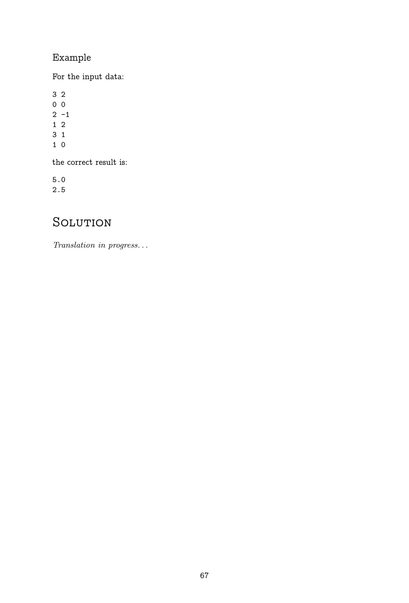For the input data:

3 2

- 0 0
- $2 1$
- 1 2
- 3 1
- 1 0

the correct result is:

5.0

2.5

# SOLUTION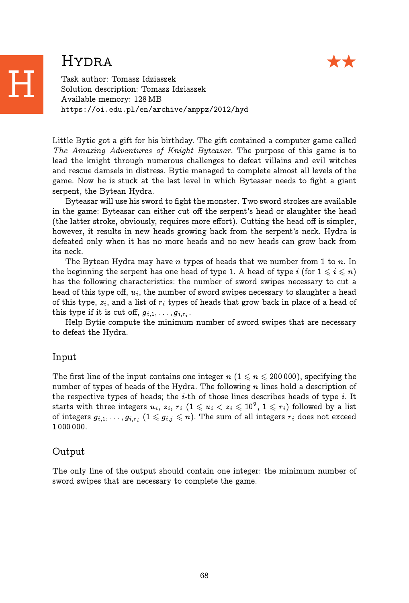# Hydra Ffrances and the set of the set of the set of the set of the set of the set of the set of the set of the set of the set of the set of the set of the set of the set of the set of the set of the set of the set of the s

H



Task author: Tomasz Idziaszek Solution description: Tomasz Idziaszek Available memory: 128 MB <https://oi.edu.pl/en/archive/amppz/2012/hyd>

Little Bytie got a gift for his birthday. The gift contained a computer game called The Amazing Adventures of Knight Byteasar. The purpose of this game is to lead the knight through numerous challenges to defeat villains and evil witches and rescue damsels in distress. Bytie managed to complete almost all levels of the game. Now he is stuck at the last level in which Byteasar needs to fight a giant serpent, the Bytean Hydra.

Byteasar will use his sword to fight the monster. Two sword strokes are available in the game: Byteasar can either cut off the serpent's head or slaughter the head (the latter stroke, obviously, requires more effort). Cutting the head off is simpler, however, it results in new heads growing back from the serpent's neck. Hydra is defeated only when it has no more heads and no new heads can grow back from its neck.

The Bytean Hydra may have  $n$  types of heads that we number from 1 to  $n$ . In the beginning the serpent has one head of type 1. A head of type i (for  $1 \leq i \leq n$ ) has the following characteristics: the number of sword swipes necessary to cut a head of this type off,  $u_i$ , the number of sword swipes necessary to slaughter a head of this type,  $z_i$ , and a list of  $r_i$  types of heads that grow back in place of a head of this type if it is cut off,  $g_{i,1},\ldots,g_{i,r_i}.$ 

Help Bytie compute the minimum number of sword swipes that are necessary to defeat the Hydra.

## Input

The first line of the input contains one integer  $n (1 \leq n \leq 200000)$ , specifying the number of types of heads of the Hydra. The following  $n$  lines hold a description of the respective types of heads; the  $i$ -th of those lines describes heads of type  $i$ . It starts with three integers  $u_i, \, z_i, \, r_i \,\,(1 \leqslant u_i < z_i \leqslant 10^9, \, 1 \leqslant r_i)$  followed by a list of integers  $g_{i,1},\ldots,g_{i,r_i}$   $(1\leqslant g_{i,j}\leqslant n).$  The sum of all integers  $r_i$  does not exceed 1 000 000.

## Output

The only line of the output should contain one integer: the minimum number of sword swipes that are necessary to complete the game.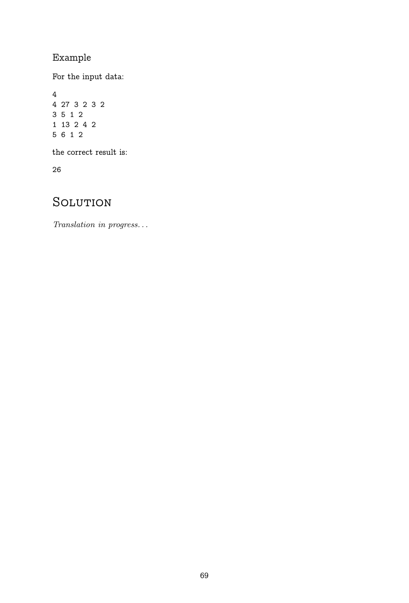For the input data:

4 4 27 3 2 3 2 3 5 1 2 1 13 2 4 2 5 6 1 2

the correct result is:

26

## SOLUTION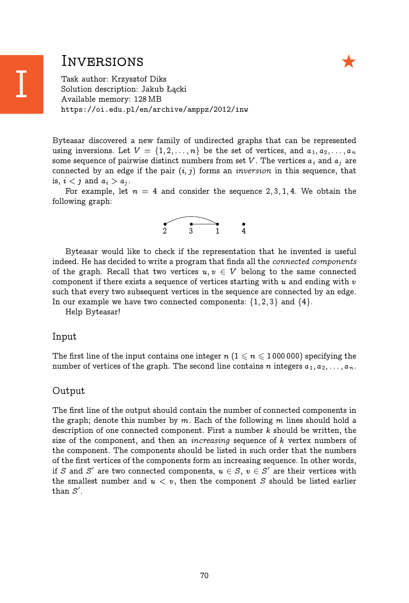# **INVERSIONS**

Task author: Krzysztof Diks Solution description: Jakub Łącki Available memory: 128 MB <https://oi.edu.pl/en/archive/amppz/2012/inw>

Byteasar discovered a new family of undirected graphs that can be represented using inversions. Let  $V = \{1, 2, ..., n\}$  be the set of vertices, and  $a_1, a_2, ..., a_n$ some sequence of pairwise distinct numbers from set V. The vertices  $a_i$  and  $a_j$  are connected by an edge if the pair  $(i, j)$  forms an *inversion* in this sequence, that is,  $i < j$  and  $a_i > a_j$ .

For example, let  $n = 4$  and consider the sequence 2, 3, 1, 4. We obtain the following graph:



Byteasar would like to check if the representation that he invented is useful indeed. He has decided to write a program that finds all the connected components of the graph. Recall that two vertices  $u, v \in V$  belong to the same connected component if there exists a sequence of vertices starting with  $u$  and ending with  $v$ such that every two subsequent vertices in the sequence are connected by an edge. In our example we have two connected components:  $\{1, 2, 3\}$  and  $\{4\}$ .

Help Byteasar!

#### Input

The first line of the input contains one integer  $n (1 \leq n \leq 1000000)$  specifying the number of vertices of the graph. The second line contains n integers  $a_1, a_2, \ldots, a_n$ .

## Output

The first line of the output should contain the number of connected components in the graph; denote this number by  $m$ . Each of the following  $m$  lines should hold a description of one connected component. First a number  $k$  should be written, the size of the component, and then an *increasing* sequence of  $k$  vertex numbers of the component. The components should be listed in such order that the numbers of the first vertices of the components form an increasing sequence. In other words, if S and S' are two connected components,  $u \in S$ ,  $v \in S'$  are their vertices with the smallest number and  $u < v$ , then the component S should be listed earlier than  $S'$ .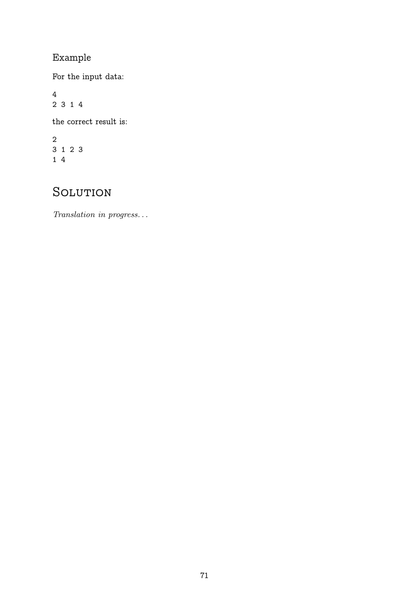For the input data:

4 2 3 1 4

the correct result is:

2  $\overline{3}$  1 2 3 1 4

# **SOLUTION**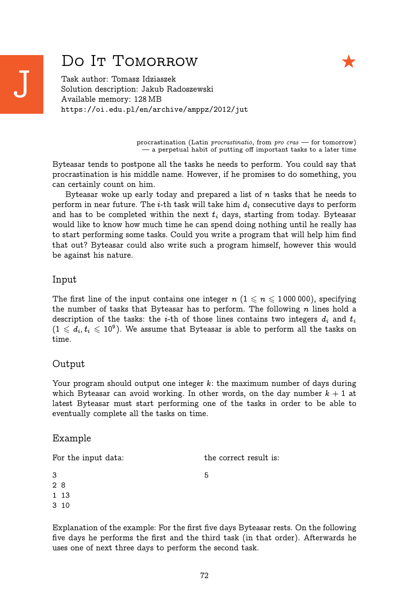# DO IT TOMORROW



Task author: Tomasz Idziaszek Solution description: Jakub Radoszewski Available memory: 128 MB <https://oi.edu.pl/en/archive/amppz/2012/jut>

> procrastination (Latin procrastinatio, from pro cras  $-$  for tomorrow) — a perpetual habit of putting off important tasks to a later time

Byteasar tends to postpone all the tasks he needs to perform. You could say that procrastination is his middle name. However, if he promises to do something, you can certainly count on him.

Byteasar woke up early today and prepared a list of  $n$  tasks that he needs to perform in near future. The *i*-th task will take him  $d_i$  consecutive days to perform and has to be completed within the next  $t_i$  days, starting from today. Byteasar would like to know how much time he can spend doing nothing until he really has to start performing some tasks. Could you write a program that will help him find that out? Byteasar could also write such a program himself, however this would be against his nature.

## Input

J

The first line of the input contains one integer  $n (1 \leq n \leq 1000000)$ , specifying the number of tasks that Byteasar has to perform. The following  $n$  lines hold a description of the tasks: the *i*-th of those lines contains two integers  $d_i$  and  $t_i$  $(1\leqslant d_i,t_i\leqslant 10^9).$  We assume that Byteasar is able to perform all the tasks on time.

## Output

Your program should output one integer  $k$ : the maximum number of days during which Byteasar can avoid working. In other words, on the day number  $k + 1$  at latest Byteasar must start performing one of the tasks in order to be able to eventually complete all the tasks on time.

## Example

For the input data:

the correct result is:

Explanation of the example: For the first five days Byteasar rests. On the following five days he performs the first and the third task (in that order). Afterwards he uses one of next three days to perform the second task.

5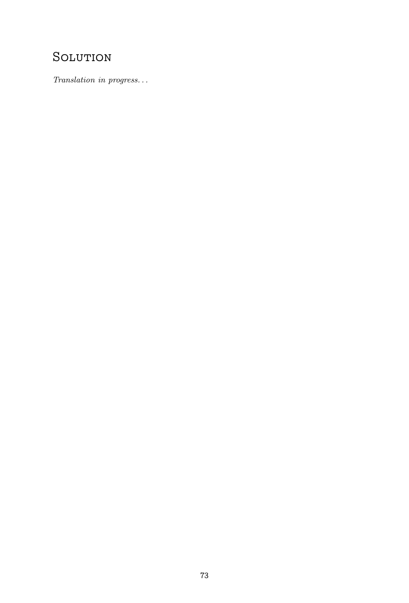# SOLUTION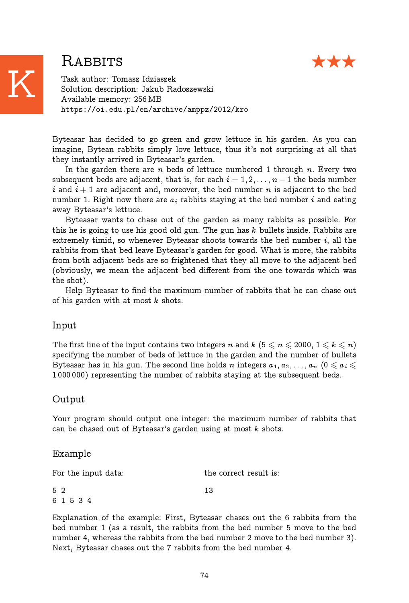# K

# RABBITS  $\star \star \star$



Task author: Tomasz Idziaszek Solution description: Jakub Radoszewski Available memory: 256 MB <https://oi.edu.pl/en/archive/amppz/2012/kro>

Byteasar has decided to go green and grow lettuce in his garden. As you can imagine, Bytean rabbits simply love lettuce, thus it's not surprising at all that they instantly arrived in Byteasar's garden.

In the garden there are  $n$  beds of lettuce numbered 1 through  $n$ . Every two subsequent beds are adjacent, that is, for each  $i = 1, 2, \ldots, n - 1$  the beds number i and  $i + 1$  are adjacent and, moreover, the bed number n is adjacent to the bed number 1. Right now there are  $a_i$  rabbits staying at the bed number i and eating away Byteasar's lettuce.

Byteasar wants to chase out of the garden as many rabbits as possible. For this he is going to use his good old gun. The gun has  $k$  bullets inside. Rabbits are extremely timid, so whenever Byteasar shoots towards the bed number  $i$ , all the rabbits from that bed leave Byteasar's garden for good. What is more, the rabbits from both adjacent beds are so frightened that they all move to the adjacent bed (obviously, we mean the adjacent bed different from the one towards which was the shot).

Help Byteasar to find the maximum number of rabbits that he can chase out of his garden with at most  $k$  shots.

## Input

The first line of the input contains two integers n and  $k$  ( $5 \le n \le 2000$ ,  $1 \le k \le n$ ) specifying the number of beds of lettuce in the garden and the number of bullets Byteasar has in his gun. The second line holds n integers  $a_1, a_2, \ldots, a_n$  ( $0 \leq a_i \leq$ 1 000 000) representing the number of rabbits staying at the subsequent beds.

#### Output

Your program should output one integer: the maximum number of rabbits that can be chased out of Byteasar's garden using at most  $k$  shots.

#### Example

| For the input data: | the correct result is: |
|---------------------|------------------------|
| 52                  | 13                     |
| 61534               |                        |

Explanation of the example: First, Byteasar chases out the 6 rabbits from the bed number 1 (as a result, the rabbits from the bed number 5 move to the bed number 4, whereas the rabbits from the bed number 2 move to the bed number 3). Next, Byteasar chases out the 7 rabbits from the bed number 4.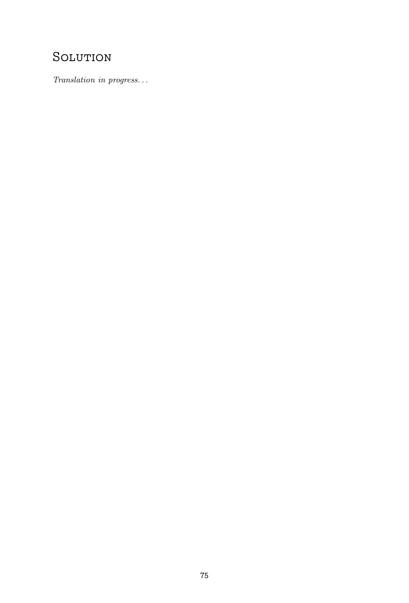# SOLUTION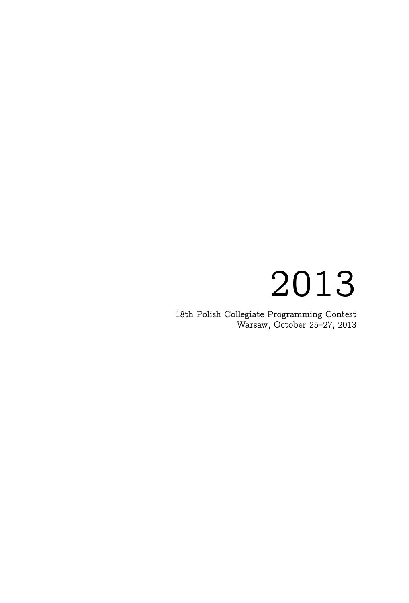# 2013

18th Polish Collegiate Programming Contest Warsaw, October 25–27, 2013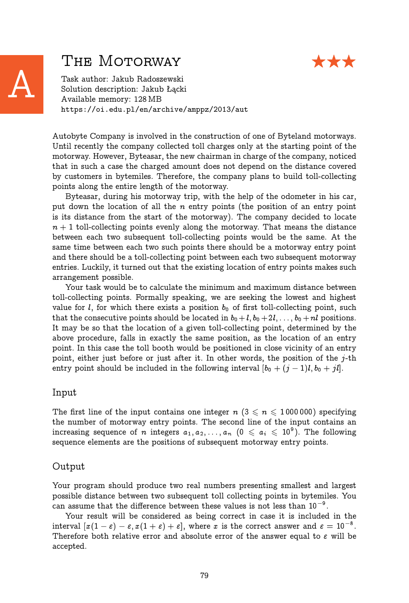# THE MOTORWAY FILE

A



Task author: Jakub Radoszewski Solution description: Jakub Łącki Available memory: 128 MB <https://oi.edu.pl/en/archive/amppz/2013/aut>

Autobyte Company is involved in the construction of one of Byteland motorways. Until recently the company collected toll charges only at the starting point of the motorway. However, Byteasar, the new chairman in charge of the company, noticed that in such a case the charged amount does not depend on the distance covered by customers in bytemiles. Therefore, the company plans to build toll-collecting points along the entire length of the motorway.

Byteasar, during his motorway trip, with the help of the odometer in his car, put down the location of all the  $n$  entry points (the position of an entry point is its distance from the start of the motorway). The company decided to locate  $n + 1$  toll-collecting points evenly along the motorway. That means the distance between each two subsequent toll-collecting points would be the same. At the same time between each two such points there should be a motorway entry point and there should be a toll-collecting point between each two subsequent motorway entries. Luckily, it turned out that the existing location of entry points makes such arrangement possible.

Your task would be to calculate the minimum and maximum distance between toll-collecting points. Formally speaking, we are seeking the lowest and highest value for  $l$ , for which there exists a position  $b_0$  of first toll-collecting point, such that the consecutive points should be located in  $b_0+l, b_0+2l, \ldots, b_0+nl$  positions. It may be so that the location of a given toll-collecting point, determined by the above procedure, falls in exactly the same position, as the location of an entry point. In this case the toll booth would be positioned in close vicinity of an entry point, either just before or just after it. In other words, the position of the  $j$ -th entry point should be included in the following interval  $[b_0 + (j-1)l, b_0 + l]$ .

#### Input

The first line of the input contains one integer  $n (3 \leq n \leq 1000000)$  specifying the number of motorway entry points. The second line of the input contains an increasing sequence of  $n$  integers  $a_1, a_2, \ldots, a_n$   $(0\ \leqslant\ a_i\ \leqslant\ 10^9).$  The following sequence elements are the positions of subsequent motorway entry points.

#### Output

Your program should produce two real numbers presenting smallest and largest possible distance between two subsequent toll collecting points in bytemiles. You can assume that the difference between these values is not less than 10*<sup>−</sup>*<sup>9</sup> .

Your result will be considered as being correct in case it is included in the  ${\rm interval}\; [x(1-\varepsilon)-\varepsilon, x(1+\varepsilon)+\varepsilon], \textrm{ where } x \textrm{ is the correct answer and } \varepsilon=10^{-8}.$ Therefore both relative error and absolute error of the answer equal to  $\varepsilon$  will be accepted.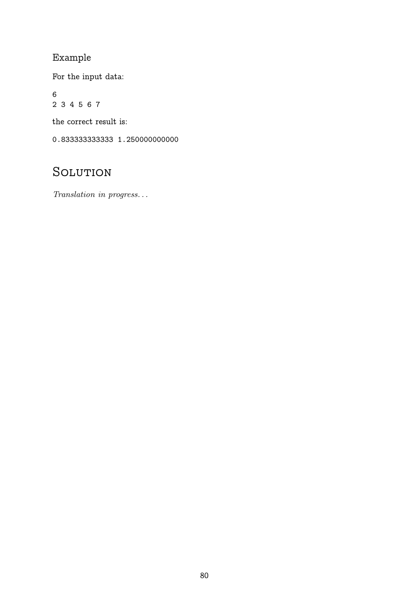For the input data:

6 2 3 4 5 6 7

the correct result is:

0.833333333333 1.250000000000

# Solution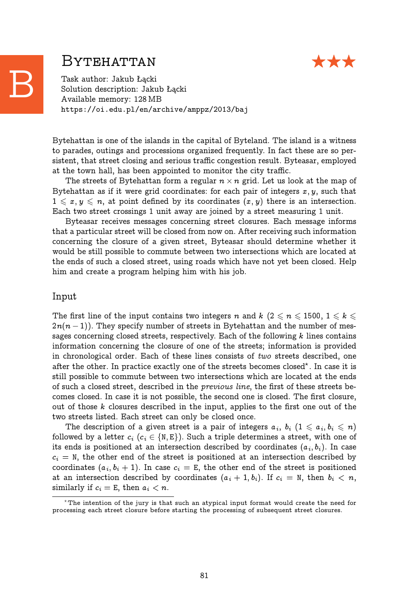# B

# BYTEHATTAN  $\star \star \star$



Task author: Jakub Łącki Solution description: Jakub Łącki Available memory: 128 MB <https://oi.edu.pl/en/archive/amppz/2013/baj>

Bytehattan is one of the islands in the capital of Byteland. The island is a witness to parades, outings and processions organized frequently. In fact these are so persistent, that street closing and serious traffic congestion result. Byteasar, employed at the town hall, has been appointed to monitor the city traffic.

The streets of Bytehattan form a regular  $n \times n$  grid. Let us look at the map of Bytehattan as if it were grid coordinates: for each pair of integers  $x, y$ , such that  $1 \leqslant x, y \leqslant n$ , at point defined by its coordinates  $(x, y)$  there is an intersection. Each two street crossings 1 unit away are joined by a street measuring 1 unit.

Byteasar receives messages concerning street closures. Each message informs that a particular street will be closed from now on. After receiving such information concerning the closure of a given street, Byteasar should determine whether it would be still possible to commute between two intersections which are located at the ends of such a closed street, using roads which have not yet been closed. Help him and create a program helping him with his job.

## Input

The first line of the input contains two integers n and k  $(2 \le n \le 1500, 1 \le k \le 300)$ 2n(n − 1)). They specify number of streets in Bytehattan and the number of messages concerning closed streets, respectively. Each of the following  $k$  lines contains information concerning the closure of one of the streets; information is provided in chronological order. Each of these lines consists of two streets described, one after the other. In practice exactly one of the streets becomes closed<sup>\*</sup>. In case it is still possible to commute between two intersections which are located at the ends of such a closed street, described in the previous line, the first of these streets becomes closed. In case it is not possible, the second one is closed. The first closure, out of those  $k$  closures described in the input, applies to the first one out of the two streets listed. Each street can only be closed once.

The description of a given street is a pair of integers  $a_i$ ,  $b_i$   $(1 \leq a_i, b_i \leq n)$ followed by a letter  $c_i$  ( $c_i \in \{N, E\}$ ). Such a triple determines a street, with one of its ends is positioned at an intersection described by coordinates  $(a_i, b_i)$ . In case  $c_i = N$ , the other end of the street is positioned at an intersection described by coordinates  $(a_i, b_i + 1)$ . In case  $c_i = E$ , the other end of the street is positioned at an intersection described by coordinates  $(a_i + 1, b_i)$ . If  $c_i = N$ , then  $b_i < n$ , similarly if  $c_i = E$ , then  $a_i < n$ .

<sup>?</sup>The intention of the jury is that such an atypical input format would create the need for processing each street closure before starting the processing of subsequent street closures.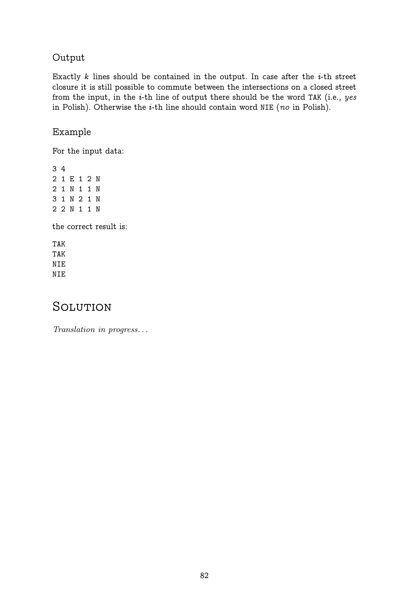## Output

Exactly  $k$  lines should be contained in the output. In case after the  $i$ -th street closure it is still possible to commute between the intersections on a closed street from the input, in the  $i$ -th line of output there should be the word TAK (i.e., yes in Polish). Otherwise the *i*-th line should contain word NIE (no in Polish).

## Example

For the input data:

3 4 2 1 E 1 2 N 2 1 N 1 1 N 3 1 N 2 1 N 2 2 N 1 1 N the correct result is:

TAK TAK NIE NIE

## **SOLUTION**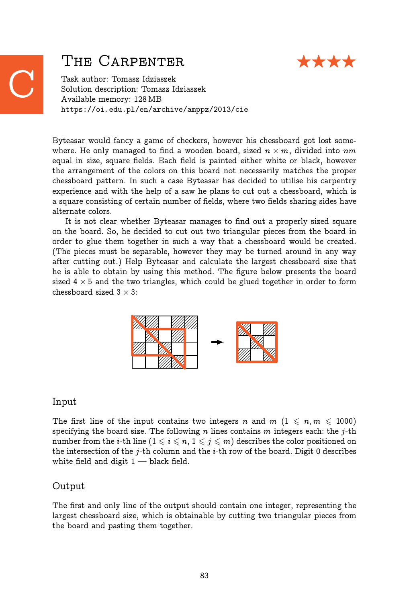# C

# THE CARPENTER FFFFFF



Task author: Tomasz Idziaszek Solution description: Tomasz Idziaszek Available memory: 128 MB <https://oi.edu.pl/en/archive/amppz/2013/cie>

Byteasar would fancy a game of checkers, however his chessboard got lost somewhere. He only managed to find a wooden board, sized  $n \times m$ , divided into  $nm$ equal in size, square fields. Each field is painted either white or black, however the arrangement of the colors on this board not necessarily matches the proper chessboard pattern. In such a case Byteasar has decided to utilise his carpentry experience and with the help of a saw he plans to cut out a chessboard, which is a square consisting of certain number of fields, where two fields sharing sides have alternate colors.

It is not clear whether Byteasar manages to find out a properly sized square on the board. So, he decided to cut out two triangular pieces from the board in order to glue them together in such a way that a chessboard would be created. (The pieces must be separable, however they may be turned around in any way after cutting out.) Help Byteasar and calculate the largest chessboard size that he is able to obtain by using this method. The figure below presents the board sized  $4 \times 5$  and the two triangles, which could be glued together in order to form chessboard sized 3 *×* 3:



## Input

The first line of the input contains two integers n and  $m$  ( $1 \leq n, m \leq 1000$ ) specifying the board size. The following n lines contains m integers each: the  $j$ -th number from the *i*-th line  $(1 \leq i \leq n, 1 \leq j \leq m)$  describes the color positioned on the intersection of the  $i$ -th column and the  $i$ -th row of the board. Digit 0 describes white field and digit  $1$  — black field.

## Output

The first and only line of the output should contain one integer, representing the largest chessboard size, which is obtainable by cutting two triangular pieces from the board and pasting them together.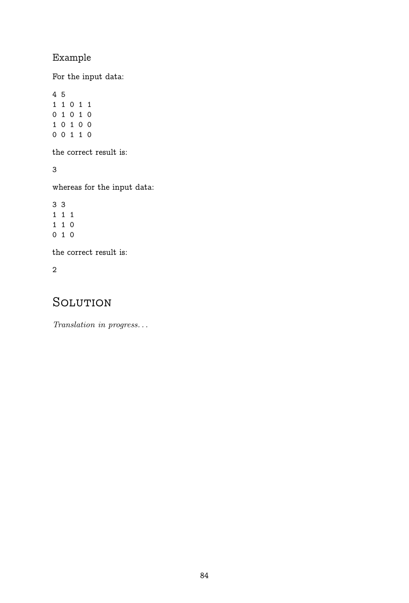For the input data:

the correct result is:

3

whereas for the input data:

the correct result is:

2

# SOLUTION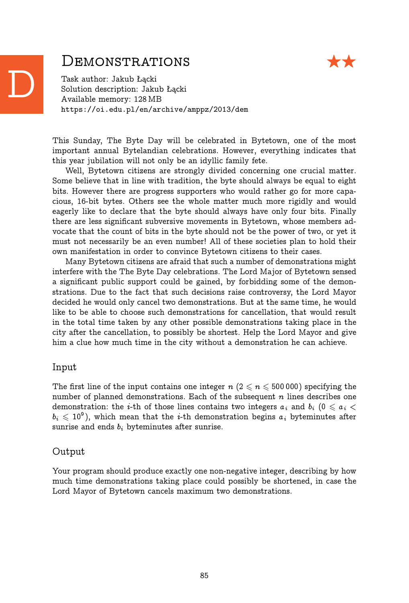# D

# $D$ EMONSTRATIONS FFF



Task author: Jakub Łącki Solution description: Jakub Łącki Available memory: 128 MB <https://oi.edu.pl/en/archive/amppz/2013/dem>

This Sunday, The Byte Day will be celebrated in Bytetown, one of the most important annual Bytelandian celebrations. However, everything indicates that this year jubilation will not only be an idyllic family fete.

Well, Bytetown citizens are strongly divided concerning one crucial matter. Some believe that in line with tradition, the byte should always be equal to eight bits. However there are progress supporters who would rather go for more capacious, 16-bit bytes. Others see the whole matter much more rigidly and would eagerly like to declare that the byte should always have only four bits. Finally there are less significant subversive movements in Bytetown, whose members advocate that the count of bits in the byte should not be the power of two, or yet it must not necessarily be an even number! All of these societies plan to hold their own manifestation in order to convince Bytetown citizens to their cases.

Many Bytetown citizens are afraid that such a number of demonstrations might interfere with the The Byte Day celebrations. The Lord Major of Bytetown sensed a significant public support could be gained, by forbidding some of the demonstrations. Due to the fact that such decisions raise controversy, the Lord Mayor decided he would only cancel two demonstrations. But at the same time, he would like to be able to choose such demonstrations for cancellation, that would result in the total time taken by any other possible demonstrations taking place in the city after the cancellation, to possibly be shortest. Help the Lord Mayor and give him a clue how much time in the city without a demonstration he can achieve.

## Input

The first line of the input contains one integer  $n (2 \leq n \leq 500000)$  specifying the number of planned demonstrations. Each of the subsequent  $n$  lines describes one demonstration: the *i*-th of those lines contains two integers  $a_i$  and  $b_i$  ( $0 \leq a_i$ )  $b_i \, \leqslant \, 10^{\, 9} ),$  which mean that the  $i\text{-th}$  demonstration begins  $a_i$  byteminutes after sunrise and ends  $b_i$  byteminutes after sunrise.

## Output

Your program should produce exactly one non-negative integer, describing by how much time demonstrations taking place could possibly be shortened, in case the Lord Mayor of Bytetown cancels maximum two demonstrations.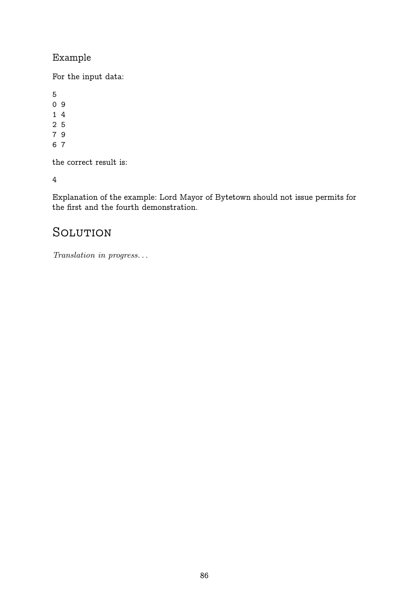For the input data:

- 7 9
- 6 7

the correct result is:

4

Explanation of the example: Lord Mayor of Bytetown should not issue permits for the first and the fourth demonstration.

# **SOLUTION**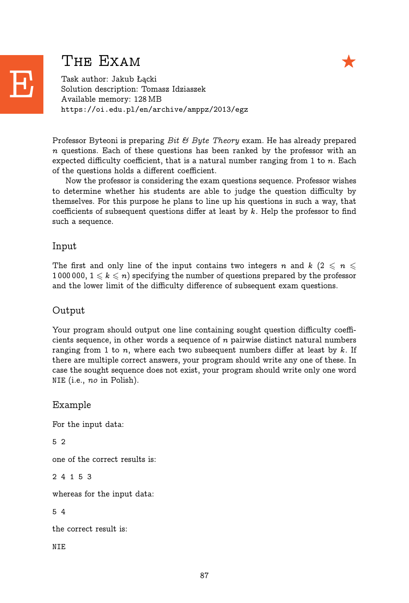# THE EXAM  $\triangle$

Task author: Jakub Łącki Solution description: Tomasz Idziaszek Available memory: 128 MB <https://oi.edu.pl/en/archive/amppz/2013/egz>

Professor Byteoni is preparing Bit  $\mathcal B$  Byte Theory exam. He has already prepared  $n$  questions. Each of these questions has been ranked by the professor with an expected difficulty coefficient, that is a natural number ranging from 1 to  $n$ . Each of the questions holds a different coefficient.

Now the professor is considering the exam questions sequence. Professor wishes to determine whether his students are able to judge the question difficulty by themselves. For this purpose he plans to line up his questions in such a way, that coefficients of subsequent questions differ at least by  $k$ . Help the professor to find such a sequence.

## Input

E

The first and only line of the input contains two integers n and  $k$  ( $2 \le n \le n$ 1 000 000,  $1 \leq k \leq n$ ) specifying the number of questions prepared by the professor and the lower limit of the difficulty difference of subsequent exam questions.

## Output

Your program should output one line containing sought question difficulty coefficients sequence, in other words a sequence of  $n$  pairwise distinct natural numbers ranging from 1 to  $n$ , where each two subsequent numbers differ at least by  $k$ . If there are multiple correct answers, your program should write any one of these. In case the sought sequence does not exist, your program should write only one word NIE (i.e., no in Polish).

## Example

For the input data:

#### 5 2

one of the correct results is:

2 4 1 5 3

whereas for the input data:

5 4

the correct result is:

NIE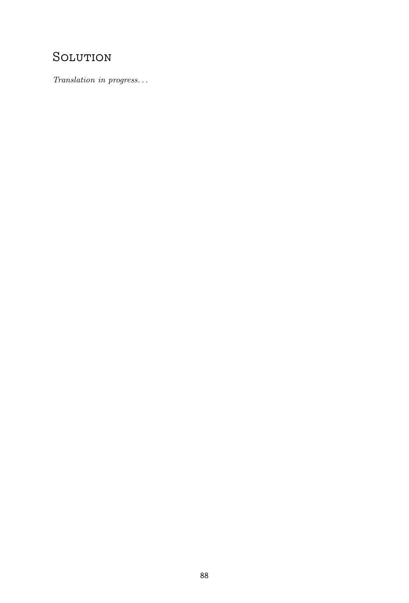# SOLUTION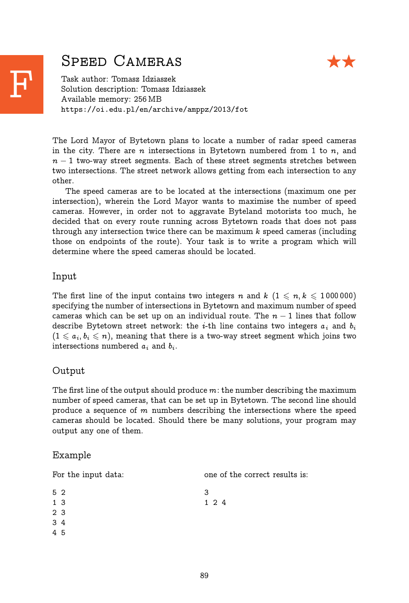# SPEED CAMERAS  $\star \star$



Task author: Tomasz Idziaszek Solution description: Tomasz Idziaszek Available memory: 256 MB <https://oi.edu.pl/en/archive/amppz/2013/fot>

The Lord Mayor of Bytetown plans to locate a number of radar speed cameras in the city. There are *n* intersections in Bytetown numbered from 1 to  $n$ , and n *−* 1 two-way street segments. Each of these street segments stretches between two intersections. The street network allows getting from each intersection to any other.

The speed cameras are to be located at the intersections (maximum one per intersection), wherein the Lord Mayor wants to maximise the number of speed cameras. However, in order not to aggravate Byteland motorists too much, he decided that on every route running across Bytetown roads that does not pass through any intersection twice there can be maximum  $k$  speed cameras (including those on endpoints of the route). Your task is to write a program which will determine where the speed cameras should be located.

## Input

F

The first line of the input contains two integers n and  $k$  ( $1 \le n, k \le 1000000$ ) specifying the number of intersections in Bytetown and maximum number of speed cameras which can be set up on an individual route. The n *−* 1 lines that follow describe Bytetown street network: the *i*-th line contains two integers  $a_i$  and  $b_i$  $(1 \leq a_i, b_i \leq n)$ , meaning that there is a two-way street segment which joins two intersections numbered  $a_i$  and  $b_i$ .

## Output

The first line of the output should produce  $m$ : the number describing the maximum number of speed cameras, that can be set up in Bytetown. The second line should produce a sequence of  $m$  numbers describing the intersections where the speed cameras should be located. Should there be many solutions, your program may output any one of them.

## Example

| For the input data: | one of the correct results is: |
|---------------------|--------------------------------|
| 5 2                 | З                              |
| 1 3                 | $1\,2\,4$                      |
| 2 3                 |                                |
| 34                  |                                |
| 45                  |                                |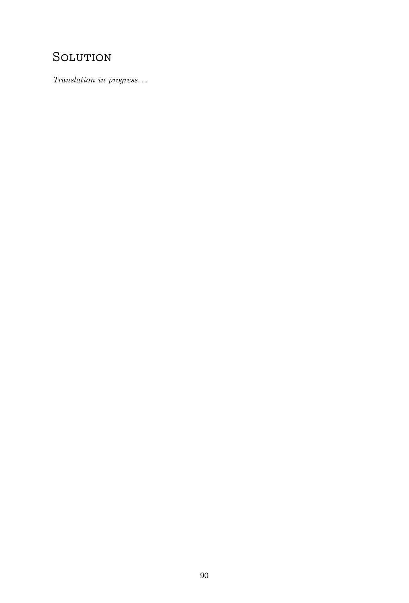# SOLUTION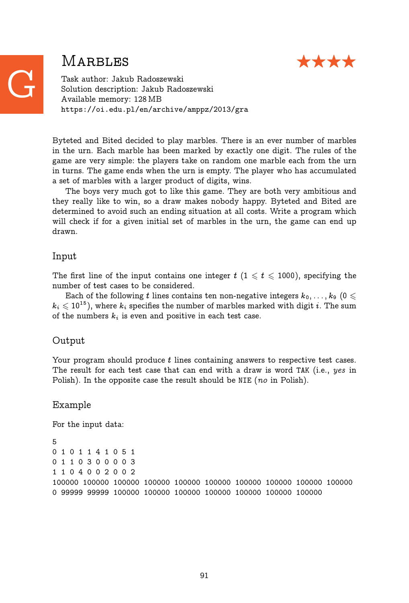# G

# MARBLES  $\star \star \star$



Task author: Jakub Radoszewski Solution description: Jakub Radoszewski Available memory: 128 MB <https://oi.edu.pl/en/archive/amppz/2013/gra>

Byteted and Bited decided to play marbles. There is an ever number of marbles in the urn. Each marble has been marked by exactly one digit. The rules of the game are very simple: the players take on random one marble each from the urn in turns. The game ends when the urn is empty. The player who has accumulated a set of marbles with a larger product of digits, wins.

The boys very much got to like this game. They are both very ambitious and they really like to win, so a draw makes nobody happy. Byteted and Bited are determined to avoid such an ending situation at all costs. Write a program which will check if for a given initial set of marbles in the urn, the game can end up drawn.

## Input

The first line of the input contains one integer  $t$  ( $1 \leq t \leq 1000$ ), specifying the number of test cases to be considered.

Each of the following t lines contains ten non-negative integers  $k_0, \ldots, k_9$  (0  $\leq$  $k_i \leqslant 10^{15}$  ), where  $k_i$  specifies the number of marbles marked with digit  $i.$  The sum of the numbers  $k_i$  is even and positive in each test case.

## Output

Your program should produce  $t$  lines containing answers to respective test cases. The result for each test case that can end with a draw is word TAK (i.e., yes in Polish). In the opposite case the result should be NIE (no in Polish).

## Example

For the input data:

5 0 1 0 1 1 4 1 0 5 1 0 1 1 0 3 0 0 0 0 3 1 1 0 4 0 0 2 0 0 2 100000 100000 100000 100000 100000 100000 100000 100000 100000 100000 0 99999 99999 100000 100000 100000 100000 100000 100000 100000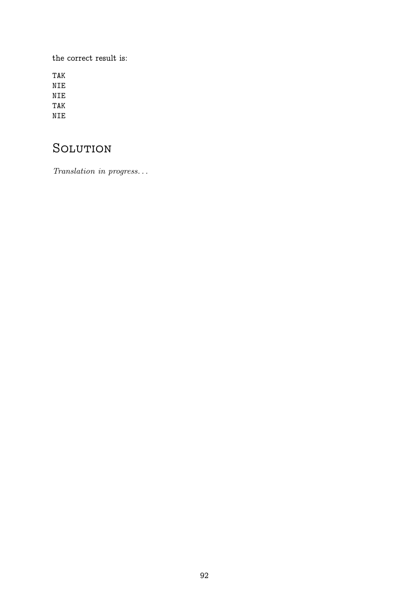the correct result is:

TAK NIE NIE TAK NIE

# SOLUTION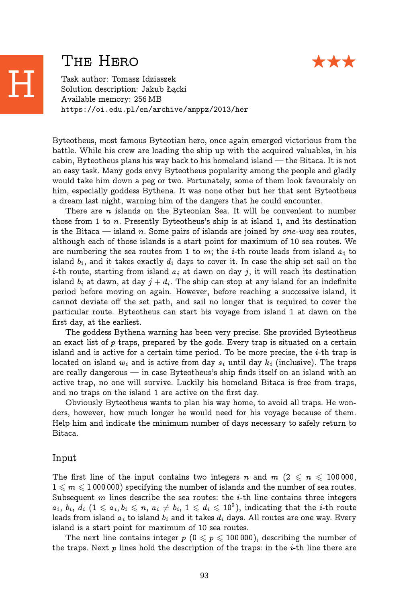# The Hero  $\star \star \star$

H



Task author: Tomasz Idziaszek Solution description: Jakub Łącki Available memory: 256 MB <https://oi.edu.pl/en/archive/amppz/2013/her>

Byteotheus, most famous Byteotian hero, once again emerged victorious from the battle. While his crew are loading the ship up with the acquired valuables, in his cabin, Byteotheus plans his way back to his homeland island — the Bitaca. It is not an easy task. Many gods envy Byteotheus popularity among the people and gladly would take him down a peg or two. Fortunately, some of them look favourably on him, especially goddess Bythena. It was none other but her that sent Byteotheus a dream last night, warning him of the dangers that he could encounter.

There are  $n$  islands on the Byteonian Sea. It will be convenient to number those from 1 to  $n$ . Presently Byteotheus's ship is at island 1, and its destination is the Bitaca — island  $n$ . Some pairs of islands are joined by one-way sea routes, although each of those islands is a start point for maximum of 10 sea routes. We are numbering the sea routes from 1 to m; the *i*-th route leads from island  $a_i$  to island  $b_i$ , and it takes exactly  $d_i$  days to cover it. In case the ship set sail on the i-th route, starting from island  $a_i$  at dawn on day j, it will reach its destination island  $b_i$  at dawn, at day  $j + d_i$ . The ship can stop at any island for an indefinite period before moving on again. However, before reaching a successive island, it cannot deviate off the set path, and sail no longer that is required to cover the particular route. Byteotheus can start his voyage from island 1 at dawn on the first day, at the earliest.

The goddess Bythena warning has been very precise. She provided Byteotheus an exact list of  $p$  traps, prepared by the gods. Every trap is situated on a certain island and is active for a certain time period. To be more precise, the  $i$ -th trap is located on island  $w_i$  and is active from day  $s_i$  until day  $k_i$  (inclusive). The traps are really dangerous — in case Byteotheus's ship finds itself on an island with an active trap, no one will survive. Luckily his homeland Bitaca is free from traps, and no traps on the island 1 are active on the first day.

Obviously Byteotheus wants to plan his way home, to avoid all traps. He wonders, however, how much longer he would need for his voyage because of them. Help him and indicate the minimum number of days necessary to safely return to Bitaca.

#### Input

The first line of the input contains two integers n and  $m (2 \leq n \leq 100000)$ ,  $1 \leqslant m \leqslant 10000000$  specifying the number of islands and the number of sea routes. Subsequent m lines describe the sea routes: the  $i$ -th line contains three integers  $a_i, \ b_i, \ d_i \ \ (1\leqslant a_i, b_i\leqslant n, \ a_i\neq b_i, \ 1\leqslant d_i\leqslant 10^9),$  indicating that the  $i\text{-th route}$ leads from island  $a_i$  to island  $b_i$  and it takes  $d_i$  days. All routes are one way. Every island is a start point for maximum of 10 sea routes.

The next line contains integer  $p (0 \leq p \leq 100000)$ , describing the number of the traps. Next  $p$  lines hold the description of the traps: in the  $i$ -th line there are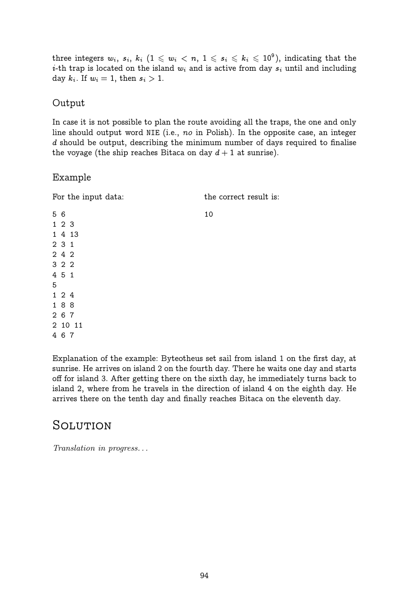three integers  $w_i, \ s_i, \ k_i \ \big( 1 \leqslant \ w_i \ < \ n, \ 1 \leqslant \ s_i \leqslant \ k_i \leqslant 10^{9} \big),$  indicating that the *i*-th trap is located on the island  $w_i$  and is active from day  $s_i$  until and including day  $k_i$ . If  $w_i = 1$ , then  $s_i > 1$ .

## Output

In case it is not possible to plan the route avoiding all the traps, the one and only line should output word NIE (i.e., no in Polish). In the opposite case, an integer d should be output, describing the minimum number of days required to finalise the voyage (the ship reaches Bitaca on day  $d + 1$  at sunrise).

## Example

| For the input data: | the correct result is: |
|---------------------|------------------------|
| 56                  | 10                     |
| 123                 |                        |
| 1 4 13              |                        |
| 2 3 1               |                        |
| 242                 |                        |
| 3 2 2               |                        |
| 4 5 1               |                        |
| 5                   |                        |
| 1 2 4               |                        |
| 188                 |                        |
| 267                 |                        |
| 2 10 11             |                        |
| 467                 |                        |

Explanation of the example: Byteotheus set sail from island 1 on the first day, at sunrise. He arrives on island 2 on the fourth day. There he waits one day and starts off for island 3. After getting there on the sixth day, he immediately turns back to island 2, where from he travels in the direction of island 4 on the eighth day. He arrives there on the tenth day and finally reaches Bitaca on the eleventh day.

## **SOLUTION**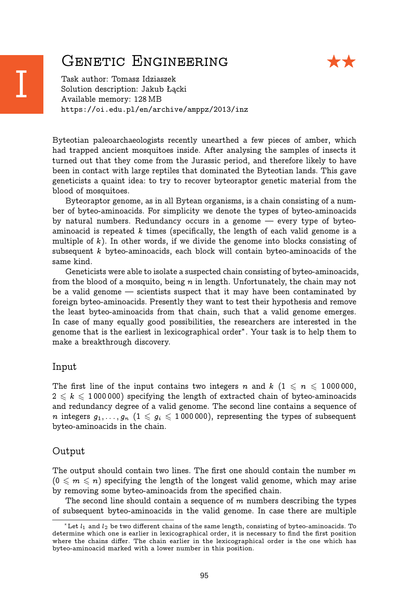# <span id="page-108-0"></span>GENETIC ENGINEERING  $\star\star$



Task author: Tomasz Idziaszek Solution description: Jakub Łącki Available memory: 128 MB <https://oi.edu.pl/en/archive/amppz/2013/inz>

Byteotian paleoarchaeologists recently unearthed a few pieces of amber, which had trapped ancient mosquitoes inside. After analysing the samples of insects it turned out that they come from the Jurassic period, and therefore likely to have been in contact with large reptiles that dominated the Byteotian lands. This gave geneticists a quaint idea: to try to recover byteoraptor genetic material from the blood of mosquitoes.

Byteoraptor genome, as in all Bytean organisms, is a chain consisting of a number of byteo-aminoacids. For simplicity we denote the types of byteo-aminoacids by natural numbers. Redundancy occurs in a genome — every type of byteoaminoacid is repeated  $k$  times (specifically, the length of each valid genome is a multiple of  $k$ ). In other words, if we divide the genome into blocks consisting of subsequent  $k$  byteo-aminoacids, each block will contain byteo-aminoacids of the same kind.

Geneticists were able to isolate a suspected chain consisting of byteo-aminoacids, from the blood of a mosquito, being  $n$  in length. Unfortunately, the chain may not be a valid genome — scientists suspect that it may have been contaminated by foreign byteo-aminoacids. Presently they want to test their hypothesis and remove the least byteo-aminoacids from that chain, such that a valid genome emerges. In case of many equally good possibilities, the researchers are interested in the genome that is the earliest in lexicographical order? . Your task is to help them to make a breakthrough discovery.

### Input

I

The first line of the input contains two integers n and  $k$  ( $1 \le n \le 1000000$ ,  $2 \leq k \leq 1000000$  specifying the length of extracted chain of byteo-aminoacids and redundancy degree of a valid genome. The second line contains a sequence of *n* integers  $g_1, \ldots, g_n$   $(1 \le g_i \le 1000000)$ , representing the types of subsequent byteo-aminoacids in the chain.

### Output

The output should contain two lines. The first one should contain the number  $m$  $(0 \leqslant m \leqslant n)$  specifying the length of the longest valid genome, which may arise by removing some byteo-aminoacids from the specified chain.

The second line should contain a sequence of  $m$  numbers describing the types of subsequent byteo-aminoacids in the valid genome. In case there are multiple

<sup>\*</sup>Let  $l_1$  and  $l_2$  be two different chains of the same length, consisting of byteo-aminoacids. To determine which one is earlier in lexicographical order, it is necessary to find the first position where the chains differ. The chain earlier in the lexicographical order is the one which has byteo-aminoacid marked with a lower number in this position.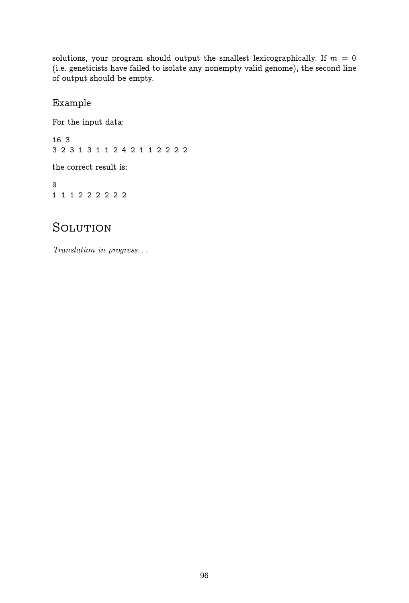solutions, your program should output the smallest lexicographically. If  $m = 0$ (i.e. geneticists have failed to isolate any nonempty valid genome), the second line of output should be empty.

Example

For the input data:

16 3 3 2 3 1 3 1 1 2 4 2 1 1 2 2 2 2

the correct result is:

9 1 1 1 2 2 2 2 2 2

# **SOLUTION**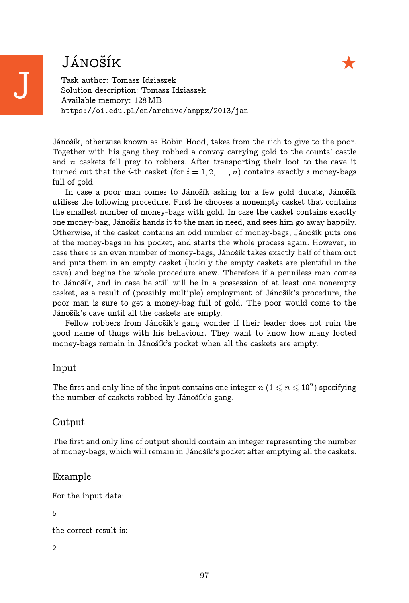# <span id="page-110-0"></span>Jánošík

J

Task author: Tomasz Idziaszek Solution description: Tomasz Idziaszek Available memory: 128 MB <https://oi.edu.pl/en/archive/amppz/2013/jan>

Jánošík, otherwise known as Robin Hood, takes from the rich to give to the poor. Together with his gang they robbed a convoy carrying gold to the counts' castle and  $n$  caskets fell prey to robbers. After transporting their loot to the cave it turned out that the *i*-th casket (for  $i = 1, 2, \ldots, n$ ) contains exactly *i* money-bags full of gold.

In case a poor man comes to Jánošík asking for a few gold ducats, Jánošík utilises the following procedure. First he chooses a nonempty casket that contains the smallest number of money-bags with gold. In case the casket contains exactly one money-bag, Jánošík hands it to the man in need, and sees him go away happily. Otherwise, if the casket contains an odd number of money-bags, Jánošík puts one of the money-bags in his pocket, and starts the whole process again. However, in case there is an even number of money-bags, Jánošík takes exactly half of them out and puts them in an empty casket (luckily the empty caskets are plentiful in the cave) and begins the whole procedure anew. Therefore if a penniless man comes to Jánošík, and in case he still will be in a possession of at least one nonempty casket, as a result of (possibly multiple) employment of Jánošík's procedure, the poor man is sure to get a money-bag full of gold. The poor would come to the Jánošík's cave until all the caskets are empty.

Fellow robbers from Jánošík's gang wonder if their leader does not ruin the good name of thugs with his behaviour. They want to know how many looted money-bags remain in Jánošík's pocket when all the caskets are empty.

### Input

The first and only line of the input contains one integer  $n~(1 \leqslant n \leqslant 10^9)$  specifying the number of caskets robbed by Jánošík's gang.

### Output

The first and only line of output should contain an integer representing the number of money-bags, which will remain in Jánošík's pocket after emptying all the caskets.

### Example

For the input data:

### 5

the correct result is:

 $\mathcal{D}$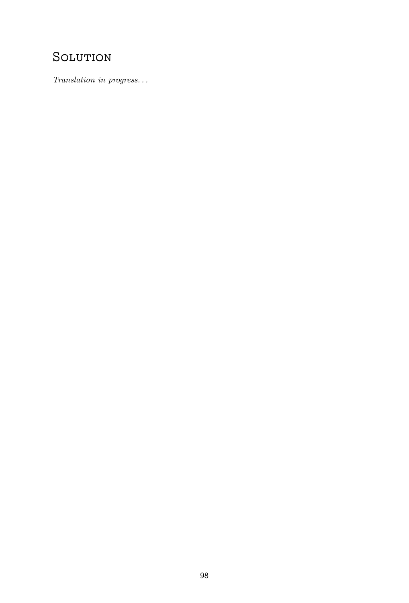# SOLUTION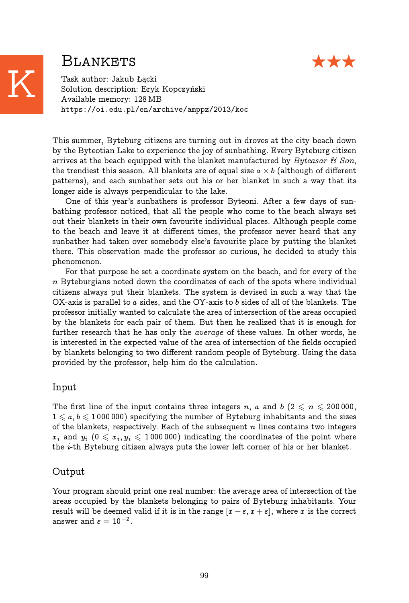# K

# <span id="page-112-0"></span>BLANKETS **F**



Task author: Jakub Łącki Solution description: Eryk Kopczyński Available memory: 128 MB <https://oi.edu.pl/en/archive/amppz/2013/koc>

This summer, Byteburg citizens are turning out in droves at the city beach down by the Byteotian Lake to experience the joy of sunbathing. Every Byteburg citizen arrives at the beach equipped with the blanket manufactured by Byteasar  $\mathcal{C}$  Son, the trendiest this season. All blankets are of equal size  $a \times b$  (although of different patterns), and each sunbather sets out his or her blanket in such a way that its longer side is always perpendicular to the lake.

One of this year's sunbathers is professor Byteoni. After a few days of sunbathing professor noticed, that all the people who come to the beach always set out their blankets in their own favourite individual places. Although people come to the beach and leave it at different times, the professor never heard that any sunbather had taken over somebody else's favourite place by putting the blanket there. This observation made the professor so curious, he decided to study this phenomenon.

For that purpose he set a coordinate system on the beach, and for every of the  $n$  Byteburgians noted down the coordinates of each of the spots where individual citizens always put their blankets. The system is devised in such a way that the OX-axis is parallel to  $a$  sides, and the OY-axis to  $b$  sides of all of the blankets. The professor initially wanted to calculate the area of intersection of the areas occupied by the blankets for each pair of them. But then he realized that it is enough for further research that he has only the average of these values. In other words, he is interested in the expected value of the area of intersection of the fields occupied by blankets belonging to two different random people of Byteburg. Using the data provided by the professor, help him do the calculation.

### Input

The first line of the input contains three integers n, a and b ( $2 \le n \le 200000$ ,  $1 \leq a, b \leq 1000000$ ) specifying the number of Byteburg inhabitants and the sizes of the blankets, respectively. Each of the subsequent  $n$  lines contains two integers  $x_i$  and  $y_i$  ( $0 \le x_i, y_i \le 1000000$ ) indicating the coordinates of the point where the i-th Byteburg citizen always puts the lower left corner of his or her blanket.

### Output

Your program should print one real number: the average area of intersection of the areas occupied by the blankets belonging to pairs of Byteburg inhabitants. Your result will be deemed valid if it is in the range  $[x - \varepsilon, x + \varepsilon]$ , where x is the correct answer and  $\varepsilon = 10^{-2}$ .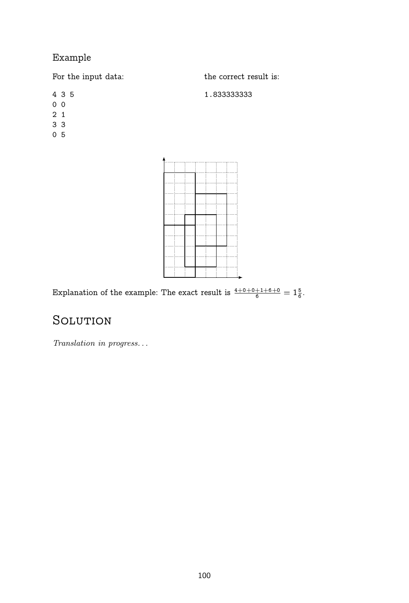For the input data:

the correct result is:

1.833333333

- 4 3 5
- 0 0
- 2 1
- 3 3
- 0 5



Explanation of the example: The exact result is  $\frac{4+0+0+1+6+0}{6} = 1\frac{5}{6}$ .

# **SOLUTION**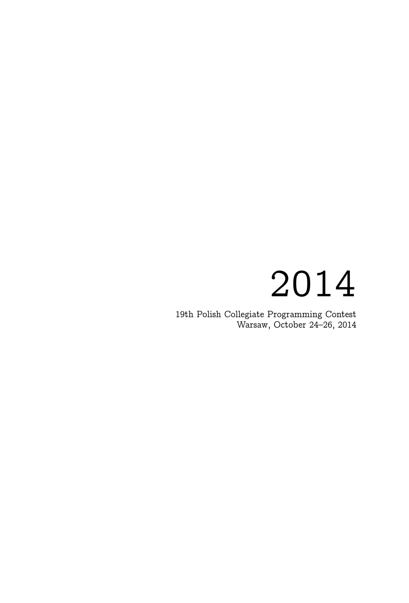# 2014

19th Polish Collegiate Programming Contest Warsaw, October 24–26, 2014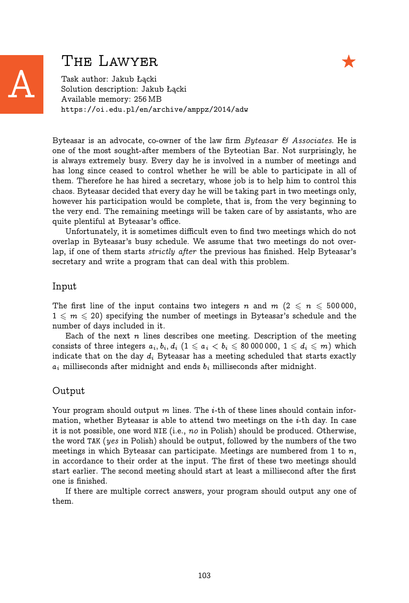# <span id="page-116-0"></span>THE LAWYER

Task author: Jakub Łącki Solution description: Jakub Łącki Available memory: 256 MB <https://oi.edu.pl/en/archive/amppz/2014/adw>

Byteasar is an advocate, co-owner of the law firm  $Bytes$   $\&$  Associates. He is one of the most sought-after members of the Byteotian Bar. Not surprisingly, he is always extremely busy. Every day he is involved in a number of meetings and has long since ceased to control whether he will be able to participate in all of them. Therefore he has hired a secretary, whose job is to help him to control this chaos. Byteasar decided that every day he will be taking part in two meetings only, however his participation would be complete, that is, from the very beginning to the very end. The remaining meetings will be taken care of by assistants, who are quite plentiful at Byteasar's office.

Unfortunately, it is sometimes difficult even to find two meetings which do not overlap in Byteasar's busy schedule. We assume that two meetings do not overlap, if one of them starts strictly after the previous has finished. Help Byteasar's secretary and write a program that can deal with this problem.

### Input

A

The first line of the input contains two integers n and  $m (2 \leq n \leq 500000,$  $1 \leqslant m \leqslant 20$ ) specifying the number of meetings in Byteasar's schedule and the number of days included in it.

Each of the next  $n$  lines describes one meeting. Description of the meeting consists of three integers  $a_i, b_i, d_i$  ( $1 \leq a_i < b_i \leq 80000000, 1 \leq d_i \leq m$ ) which indicate that on the day  $d_i$  Byteasar has a meeting scheduled that starts exactly  $a_i$  milliseconds after midnight and ends  $b_i$  milliseconds after midnight.

### Output

Your program should output m lines. The  $i$ -th of these lines should contain information, whether Byteasar is able to attend two meetings on the  $i$ -th day. In case it is not possible, one word NIE (i.e.,  $no$  in Polish) should be produced. Otherwise, the word TAK (yes in Polish) should be output, followed by the numbers of the two meetings in which Byteasar can participate. Meetings are numbered from 1 to  $n$ , in accordance to their order at the input. The first of these two meetings should start earlier. The second meeting should start at least a millisecond after the first one is finished.

If there are multiple correct answers, your program should output any one of them.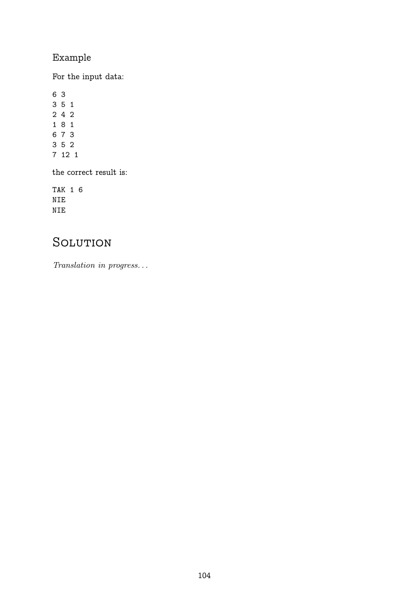For the input data:

the correct result is:

TAK 1 6 NIE NIE

# SOLUTION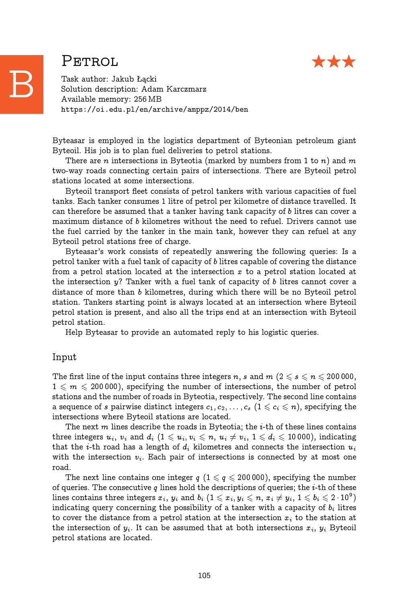# <span id="page-118-0"></span>PETROL **\*\*\***

B



Task author: Jakub Łącki Solution description: Adam Karczmarz Available memory: 256 MB <https://oi.edu.pl/en/archive/amppz/2014/ben>

Byteasar is employed in the logistics department of Byteonian petroleum giant Byteoil. His job is to plan fuel deliveries to petrol stations.

There are n intersections in Byteotia (marked by numbers from 1 to n) and m two-way roads connecting certain pairs of intersections. There are Byteoil petrol stations located at some intersections.

Byteoil transport fleet consists of petrol tankers with various capacities of fuel tanks. Each tanker consumes 1 litre of petrol per kilometre of distance travelled. It can therefore be assumed that a tanker having tank capacity of b litres can cover a maximum distance of b kilometres without the need to refuel. Drivers cannot use the fuel carried by the tanker in the main tank, however they can refuel at any Byteoil petrol stations free of charge.

Byteasar's work consists of repeatedly answering the following queries: Is a petrol tanker with a fuel tank of capacity of b litres capable of covering the distance from a petrol station located at the intersection  $x$  to a petrol station located at the intersection  $y$ ? Tanker with a fuel tank of capacity of b litres cannot cover a distance of more than b kilometres, during which there will be no Byteoil petrol station. Tankers starting point is always located at an intersection where Byteoil petrol station is present, and also all the trips end at an intersection with Byteoil petrol station.

Help Byteasar to provide an automated reply to his logistic queries.

### Input

The first line of the input contains three integers n, s and  $m$  ( $2 \le s \le n \le 200000$ ,  $1 \leqslant m \leqslant 200\,000$ , specifying the number of intersections, the number of petrol stations and the number of roads in Byteotia, respectively. The second line contains a sequence of s pairwise distinct integers  $c_1, c_2, \ldots, c_s$   $(1 \leq c_i \leq n)$ , specifying the intersections where Byteoil stations are located.

The next  $m$  lines describe the roads in Byteotia; the  $i$ -th of these lines contains three integers  $u_i$ ,  $v_i$  and  $d_i$   $(1 \leq u_i, v_i \leq n, u_i \neq v_i, 1 \leq d_i \leq 10000)$ , indicating that the *i*-th road has a length of  $d_i$  kilometres and connects the intersection  $u_i$ with the intersection  $v_i$ . Each pair of intersections is connected by at most one road.

The next line contains one integer  $q$  ( $1 \leq q \leq 200000$ ), specifying the number of queries. The consecutive q lines hold the descriptions of queries; the  $i$ -th of these  $\text{lines contains three integers }x_i,\,y_i\text{ and }b_i\;(1\leqslant x_i,y_i\leqslant n,\,x_i\neq y_i,\,1\leqslant b_i\leqslant 2\cdot 10^9\text{)}$ indicating query concerning the possibility of a tanker with a capacity of  $b_i$  litres to cover the distance from a petrol station at the intersection  $x_i$  to the station at the intersection of  $y_i$ . It can be assumed that at both intersections  $x_i$ ,  $y_i$  Byteoil petrol stations are located.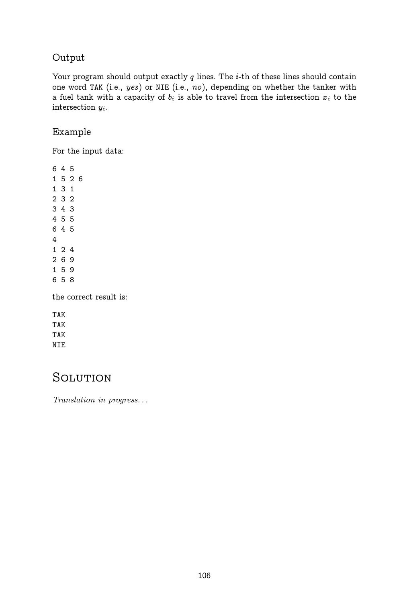# Output

Your program should output exactly  $q$  lines. The  $i$ -th of these lines should contain one word TAK (i.e.,  $yes)$  or NIE (i.e., no), depending on whether the tanker with a fuel tank with a capacity of  $b_i$  is able to travel from the intersection  $x_i$  to the intersection  $y_i$ .

## Example

For the input data:

TAK TAK TAK NIE

# SOLUTION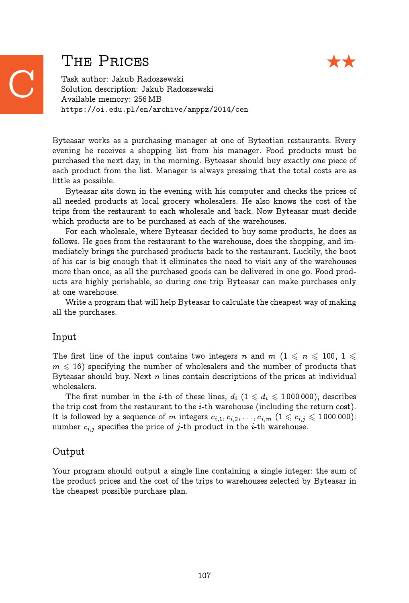# <span id="page-120-0"></span>THE PRICES  $\star \star$

C



Task author: Jakub Radoszewski Solution description: Jakub Radoszewski Available memory: 256 MB <https://oi.edu.pl/en/archive/amppz/2014/cen>

Byteasar works as a purchasing manager at one of Byteotian restaurants. Every evening he receives a shopping list from his manager. Food products must be purchased the next day, in the morning. Byteasar should buy exactly one piece of each product from the list. Manager is always pressing that the total costs are as little as possible.

Byteasar sits down in the evening with his computer and checks the prices of all needed products at local grocery wholesalers. He also knows the cost of the trips from the restaurant to each wholesale and back. Now Byteasar must decide which products are to be purchased at each of the warehouses.

For each wholesale, where Byteasar decided to buy some products, he does as follows. He goes from the restaurant to the warehouse, does the shopping, and immediately brings the purchased products back to the restaurant. Luckily, the boot of his car is big enough that it eliminates the need to visit any of the warehouses more than once, as all the purchased goods can be delivered in one go. Food products are highly perishable, so during one trip Byteasar can make purchases only at one warehouse.

Write a program that will help Byteasar to calculate the cheapest way of making all the purchases.

### Input

The first line of the input contains two integers n and  $m$  ( $1 \le n \le 100, 1 \le n$ )  $m \leq 16$ ) specifying the number of wholesalers and the number of products that Byteasar should buy. Next  $n$  lines contain descriptions of the prices at individual wholesalers.

The first number in the *i*-th of these lines,  $d_i$  ( $1 \le d_i \le 1000000$ ), describes the trip cost from the restaurant to the i-th warehouse (including the return cost). It is followed by a sequence of m integers  $c_{i,1}, c_{i,2}, \ldots, c_{i,m}$   $(1 \leq c_{i,j} \leq 1000000)$ : number  $c_{i,j}$  specifies the price of j-th product in the *i*-th warehouse.

### Output

Your program should output a single line containing a single integer: the sum of the product prices and the cost of the trips to warehouses selected by Byteasar in the cheapest possible purchase plan.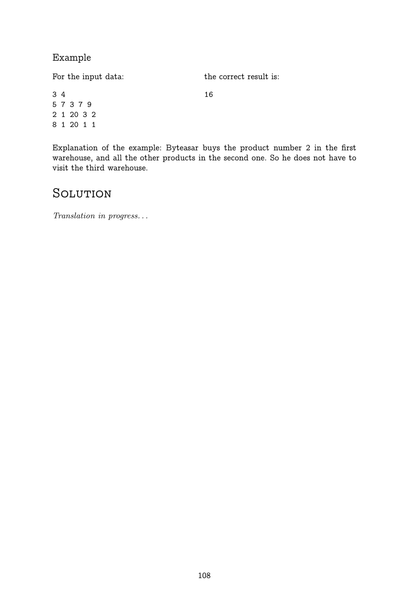For the input data: 3 4 the correct result is: 16

5 7 3 7 9 2 1 20 3 2 8 1 20 1 1

Explanation of the example: Byteasar buys the product number 2 in the first warehouse, and all the other products in the second one. So he does not have to visit the third warehouse.

# **SOLUTION**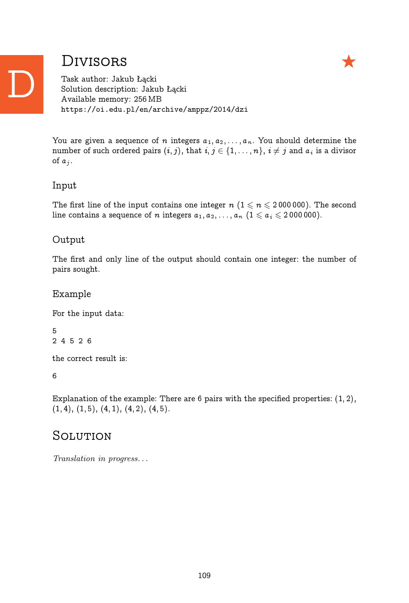# D

# <span id="page-122-0"></span> $Divisors$

Task author: Jakub Łącki Solution description: Jakub Łącki Available memory: 256 MB <https://oi.edu.pl/en/archive/amppz/2014/dzi>

You are given a sequence of n integers  $a_1, a_2, \ldots, a_n$ . You should determine the number of such ordered pairs  $(i, j)$ , that  $i, j \in \{1, ..., n\}$ ,  $i \neq j$  and  $a_i$  is a divisor of  $a_j$ .

### Input

The first line of the input contains one integer  $n \leqslant 20000000$ . The second line contains a sequence of *n* integers  $a_1, a_2, \ldots, a_n$   $(1 \le a_i \le 2000000)$ .

### Output

The first and only line of the output should contain one integer: the number of pairs sought.

### Example

For the input data:

5 2 4 5 2 6

the correct result is:

6

Explanation of the example: There are  $6$  pairs with the specified properties:  $(1, 2)$ ,  $(1, 4), (1, 5), (4, 1), (4, 2), (4, 5).$ 

# Solution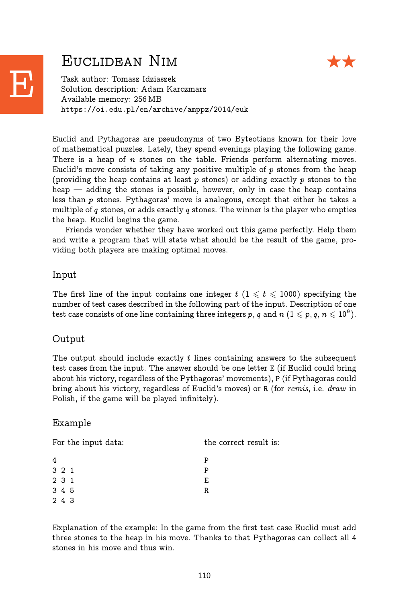# E

# <span id="page-123-0"></span>EUCLIDEAN NIM  $\star \star$



Task author: Tomasz Idziaszek Solution description: Adam Karczmarz Available memory: 256 MB <https://oi.edu.pl/en/archive/amppz/2014/euk>

Euclid and Pythagoras are pseudonyms of two Byteotians known for their love of mathematical puzzles. Lately, they spend evenings playing the following game. There is a heap of  $n$  stones on the table. Friends perform alternating moves. Euclid's move consists of taking any positive multiple of  $p$  stones from the heap (providing the heap contains at least  $p$  stones) or adding exactly  $p$  stones to the heap — adding the stones is possible, however, only in case the heap contains less than  $p$  stones. Pythagoras' move is analogous, except that either he takes a multiple of  $q$  stones, or adds exactly  $q$  stones. The winner is the player who empties the heap. Euclid begins the game.

Friends wonder whether they have worked out this game perfectly. Help them and write a program that will state what should be the result of the game, providing both players are making optimal moves.

### Input

The first line of the input contains one integer  $t$  ( $1 \le t \le 1000$ ) specifying the number of test cases described in the following part of the input. Description of one test case consists of one line containing three integers  $p$  ,  $q$  and  $n$   $(1\leqslant p,q,n\leqslant 10^9).$ 

## Output

The output should include exactly  $t$  lines containing answers to the subsequent test cases from the input. The answer should be one letter E (if Euclid could bring about his victory, regardless of the Pythagoras' movements), P (if Pythagoras could bring about his victory, regardless of Euclid's moves) or R (for remis, i.e. draw in Polish, if the game will be played infinitely).

### Example

| For the input data: |  | the correct result is: |
|---------------------|--|------------------------|
| 4                   |  | P                      |
| 3 2 1               |  | Р                      |
| 2 3 1               |  | F.                     |
| 3 4 5               |  | R.                     |
| 2 4 3               |  |                        |

Explanation of the example: In the game from the first test case Euclid must add three stones to the heap in his move. Thanks to that Pythagoras can collect all 4 stones in his move and thus win.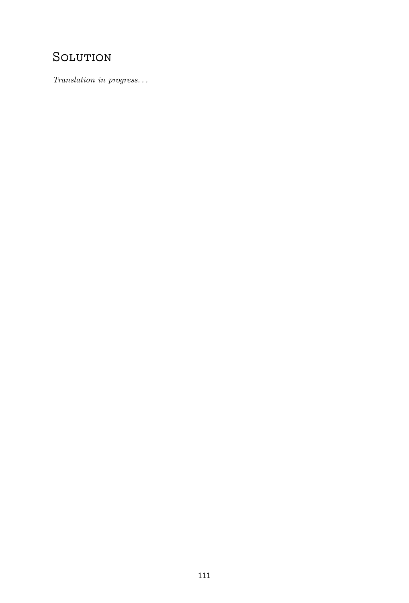# SOLUTION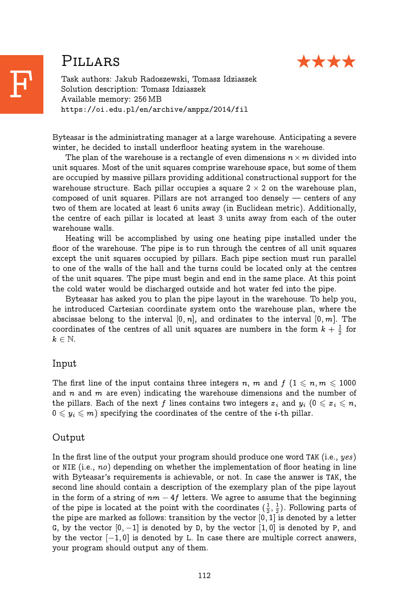F

<span id="page-125-0"></span>

Task authors: Jakub Radoszewski, Tomasz Idziaszek Solution description: Tomasz Idziaszek Available memory: 256 MB <https://oi.edu.pl/en/archive/amppz/2014/fil>

Byteasar is the administrating manager at a large warehouse. Anticipating a severe winter, he decided to install underfloor heating system in the warehouse.

The plan of the warehouse is a rectangle of even dimensions  $n \times m$  divided into unit squares. Most of the unit squares comprise warehouse space, but some of them are occupied by massive pillars providing additional constructional support for the warehouse structure. Each pillar occupies a square  $2 \times 2$  on the warehouse plan, composed of unit squares. Pillars are not arranged too densely — centers of any two of them are located at least 6 units away (in Euclidean metric). Additionally, the centre of each pillar is located at least 3 units away from each of the outer warehouse walls.

Heating will be accomplished by using one heating pipe installed under the floor of the warehouse. The pipe is to run through the centres of all unit squares except the unit squares occupied by pillars. Each pipe section must run parallel to one of the walls of the hall and the turns could be located only at the centres of the unit squares. The pipe must begin and end in the same place. At this point the cold water would be discharged outside and hot water fed into the pipe.

Byteasar has asked you to plan the pipe layout in the warehouse. To help you, he introduced Cartesian coordinate system onto the warehouse plan, where the abscissae belong to the interval  $[0, n]$ , and ordinates to the interval  $[0, m]$ . The coordinates of the centres of all unit squares are numbers in the form  $k+\frac{1}{2}$  for k *∈* N.

### Input

The first line of the input contains three integers n, m and  $f \ (1 \leqslant n, m \leqslant 1000)$ and  $n$  and  $m$  are even) indicating the warehouse dimensions and the number of the pillars. Each of the next f lines contains two integers  $x_i$  and  $y_i$  ( $0 \le x_i \le n$ ,  $0 \leq y_i \leq m$ ) specifying the coordinates of the centre of the *i*-th pillar.

### Output

In the first line of the output your program should produce one word TAK (i.e.,  $yes)$ ) or NIE (i.e., no) depending on whether the implementation of floor heating in line with Byteasar's requirements is achievable, or not. In case the answer is TAK, the second line should contain a description of the exemplary plan of the pipe layout in the form of a string of  $nm - 4f$  letters. We agree to assume that the beginning of the pipe is located at the point with the coordinates  $(\frac{1}{2},\frac{1}{2})$ . Following parts of the pipe are marked as follows: transition by the vector  $[0,1]$  is denoted by a letter G, by the vector  $[0, -1]$  is denoted by D, by the vector  $[1, 0]$  is denoted by P, and by the vector [*−*1; 0] is denoted by L. In case there are multiple correct answers, your program should output any of them.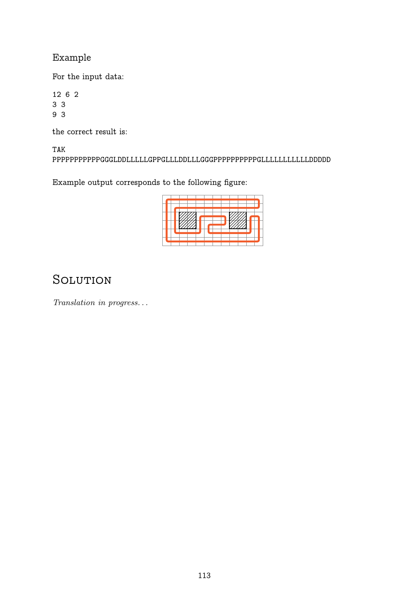For the input data:

12 6 2 3 3 9 3

the correct result is:

TAK

PPPPPPPPPPPGGGLDDLLLLLGPPGLLLDDLLLGGGPPPPPPPPPPGLLLLLLLLLLLDDDDD

Example output corresponds to the following figure:

# SOLUTION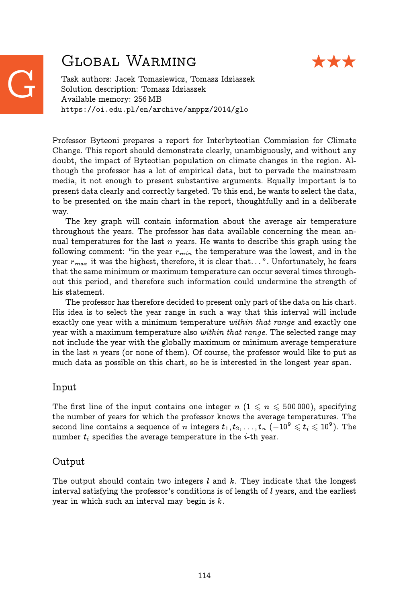# <span id="page-127-0"></span>GLOBAL WARMING FEB



Task authors: Jacek Tomasiewicz, Tomasz Idziaszek Solution description: Tomasz Idziaszek Available memory: 256 MB <https://oi.edu.pl/en/archive/amppz/2014/glo>

Professor Byteoni prepares a report for Interbyteotian Commission for Climate Change. This report should demonstrate clearly, unambiguously, and without any doubt, the impact of Byteotian population on climate changes in the region. Although the professor has a lot of empirical data, but to pervade the mainstream media, it not enough to present substantive arguments. Equally important is to present data clearly and correctly targeted. To this end, he wants to select the data, to be presented on the main chart in the report, thoughtfully and in a deliberate way.

The key graph will contain information about the average air temperature throughout the years. The professor has data available concerning the mean annual temperatures for the last  $n$  years. He wants to describe this graph using the following comment: "in the year  $r_{min}$  the temperature was the lowest, and in the year  $r_{max}$  it was the highest, therefore, it is clear that...". Unfortunately, he fears that the same minimum or maximum temperature can occur several times throughout this period, and therefore such information could undermine the strength of his statement.

The professor has therefore decided to present only part of the data on his chart. His idea is to select the year range in such a way that this interval will include exactly one year with a minimum temperature *within that range* and exactly one year with a maximum temperature also *within that range*. The selected range may not include the year with the globally maximum or minimum average temperature in the last  $n$  years (or none of them). Of course, the professor would like to put as much data as possible on this chart, so he is interested in the longest year span.

### Input

G

The first line of the input contains one integer  $n$  ( $1 \le n \le 500000$ ), specifying the number of years for which the professor knows the average temperatures. The second line contains a sequence of  $n$  integers  $t_1, t_2, \ldots, t_n\; (-10^9 \leqslant t_i \leqslant 10^9).$  The number  $t_i$  specifies the average temperature in the *i*-th year.

### Output

The output should contain two integers  $l$  and  $k$ . They indicate that the longest interval satisfying the professor's conditions is of length of  $l$  years, and the earliest year in which such an interval may begin is  $k$ .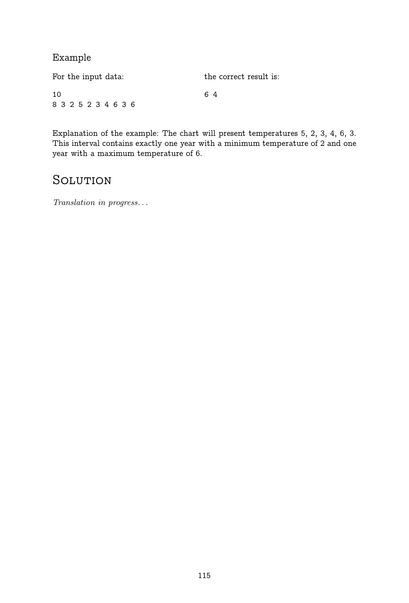For the input data: 10 8 3 2 5 2 3 4 6 3 6 the correct result is: 6 4

Explanation of the example: The chart will present temperatures 5, 2, 3, 4, 6, 3. This interval contains exactly one year with a minimum temperature of 2 and one year with a maximum temperature of 6.

# SOLUTION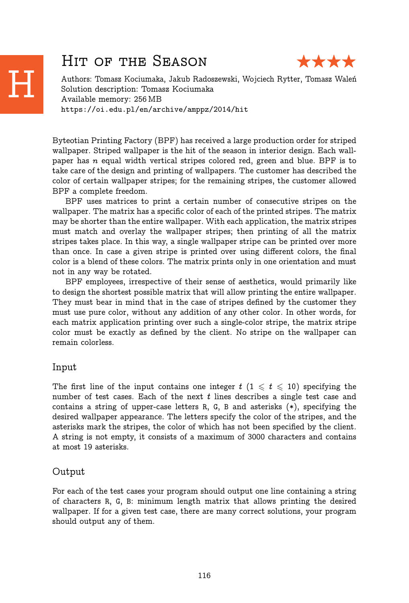# <span id="page-129-0"></span>HIT OF THE SEASON  $\star \star \star$



Authors: Tomasz Kociumaka, Jakub Radoszewski, Wojciech Rytter, Tomasz Waleń Solution description: Tomasz Kociumaka Available memory: 256 MB <https://oi.edu.pl/en/archive/amppz/2014/hit>

Byteotian Printing Factory (BPF) has received a large production order for striped wallpaper. Striped wallpaper is the hit of the season in interior design. Each wallpaper has n equal width vertical stripes colored red, green and blue. BPF is to take care of the design and printing of wallpapers. The customer has described the color of certain wallpaper stripes; for the remaining stripes, the customer allowed BPF a complete freedom.

BPF uses matrices to print a certain number of consecutive stripes on the wallpaper. The matrix has a specific color of each of the printed stripes. The matrix may be shorter than the entire wallpaper. With each application, the matrix stripes must match and overlay the wallpaper stripes; then printing of all the matrix stripes takes place. In this way, a single wallpaper stripe can be printed over more than once. In case a given stripe is printed over using different colors, the final color is a blend of these colors. The matrix prints only in one orientation and must not in any way be rotated.

BPF employees, irrespective of their sense of aesthetics, would primarily like to design the shortest possible matrix that will allow printing the entire wallpaper. They must bear in mind that in the case of stripes defined by the customer they must use pure color, without any addition of any other color. In other words, for each matrix application printing over such a single-color stripe, the matrix stripe color must be exactly as defined by the client. No stripe on the wallpaper can remain colorless.

### Input

H

The first line of the input contains one integer  $t$  ( $1 \leqslant t \leqslant 10$ ) specifying the number of test cases. Each of the next  $t$  lines describes a single test case and contains a string of upper-case letters R, G, B and asterisks  $(*)$ , specifying the desired wallpaper appearance. The letters specify the color of the stripes, and the asterisks mark the stripes, the color of which has not been specified by the client. A string is not empty, it consists of a maximum of 3000 characters and contains at most 19 asterisks.

### Output

For each of the test cases your program should output one line containing a string of characters R, G, B: minimum length matrix that allows printing the desired wallpaper. If for a given test case, there are many correct solutions, your program should output any of them.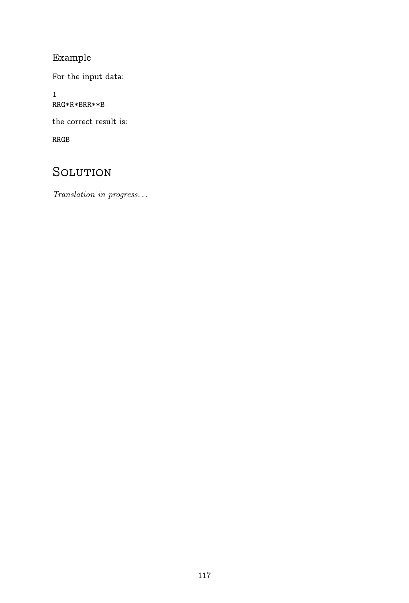For the input data:

1 RRG\*R\*BRR\*\*B

the correct result is:

RRGB

# Solution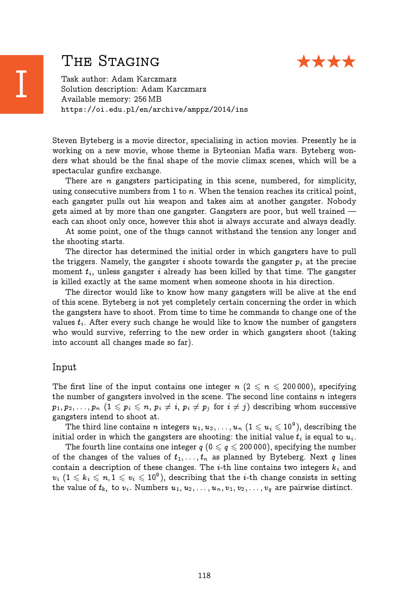# <span id="page-131-0"></span>THE STAGING  $\star \star \star$

I



Task author: Adam Karczmarz Solution description: Adam Karczmarz Available memory: 256 MB <https://oi.edu.pl/en/archive/amppz/2014/ins>

Steven Byteberg is a movie director, specialising in action movies. Presently he is working on a new movie, whose theme is Byteonian Mafia wars. Byteberg wonders what should be the final shape of the movie climax scenes, which will be a spectacular gunfire exchange.

There are  $n$  gangsters participating in this scene, numbered, for simplicity, using consecutive numbers from 1 to n. When the tension reaches its critical point, each gangster pulls out his weapon and takes aim at another gangster. Nobody gets aimed at by more than one gangster. Gangsters are poor, but well trained each can shoot only once, however this shot is always accurate and always deadly.

At some point, one of the thugs cannot withstand the tension any longer and the shooting starts.

The director has determined the initial order in which gangsters have to pull the triggers. Namely, the gangster i shoots towards the gangster  $p_i$  at the precise moment  $t_i$ , unless gangster i already has been killed by that time. The gangster is killed exactly at the same moment when someone shoots in his direction.

The director would like to know how many gangsters will be alive at the end of this scene. Byteberg is not yet completely certain concerning the order in which the gangsters have to shoot. From time to time he commands to change one of the values  $t_i$ . After every such change he would like to know the number of gangsters who would survive, referring to the new order in which gangsters shoot (taking into account all changes made so far).

### Input

The first line of the input contains one integer  $n (2 \leq n \leq 200000)$ , specifying the number of gangsters involved in the scene. The second line contains  $n$  integers  $p_1, p_2, \ldots, p_n$   $(1 \leq p_i \leq n, p_i \neq i, p_i \neq p_j \text{ for } i \neq j)$  describing whom successive gangsters intend to shoot at.

The third line contains  $n$  integers  $u_1,u_2,\ldots,u_n$   $(1\leqslant u_i\leqslant 10^9),$  describing the initial order in which the gangsters are shooting: the initial value  $t_i$  is equal to  $u_i$ .

The fourth line contains one integer  $q$  ( $0 \leqslant q \leqslant 200000$ ), specifying the number of the changes of the values of  $t_1, \ldots, t_n$  as planned by Byteberg. Next q lines contain a description of these changes. The *i*-th line contains two integers  $k_i$  and  $v_{\,}$   $(1\leqslant k_{i}\leqslant n,1\leqslant v_{i}\leqslant10^{9}),$  describing that the  $i\text{-th}$  change consists in setting the value of  $t_{k_i}$  to  $v_i$ . Numbers  $u_1, u_2, \ldots, u_n, v_1, v_2, \ldots, v_q$  are pairwise distinct.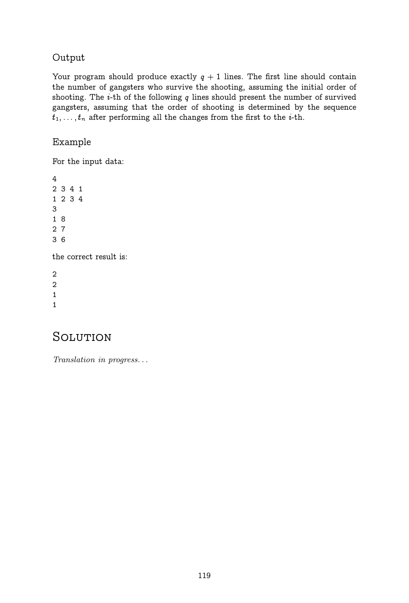# Output

Your program should produce exactly  $q + 1$  lines. The first line should contain the number of gangsters who survive the shooting, assuming the initial order of shooting. The *i*-th of the following  $q$  lines should present the number of survived gangsters, assuming that the order of shooting is determined by the sequence  $t_1, \ldots, t_n$  after performing all the changes from the first to the *i*-th.

## Example

For the input data:

# **SOLUTION**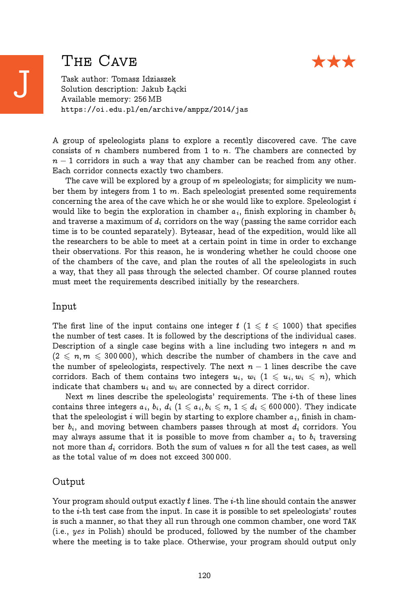# <span id="page-133-0"></span>THE CAVE  $\qquad \qquad \bullet \bullet \bullet$

J



Task author: Tomasz Idziaszek Solution description: Jakub Łącki Available memory: 256 MB <https://oi.edu.pl/en/archive/amppz/2014/jas>

A group of speleologists plans to explore a recently discovered cave. The cave consists of n chambers numbered from 1 to n. The chambers are connected by n *−* 1 corridors in such a way that any chamber can be reached from any other. Each corridor connects exactly two chambers.

The cave will be explored by a group of  $m$  speleologists; for simplicity we number them by integers from 1 to  $m$ . Each speleologist presented some requirements concerning the area of the cave which he or she would like to explore. Speleologist  $i$ would like to begin the exploration in chamber  $a_i$ , finish exploring in chamber  $b_i$ and traverse a maximum of  $d_i$  corridors on the way (passing the same corridor each time is to be counted separately). Byteasar, head of the expedition, would like all the researchers to be able to meet at a certain point in time in order to exchange their observations. For this reason, he is wondering whether he could choose one of the chambers of the cave, and plan the routes of all the speleologists in such a way, that they all pass through the selected chamber. Of course planned routes must meet the requirements described initially by the researchers.

### Input

The first line of the input contains one integer  $t$  ( $1 \leq t \leq 1000$ ) that specifies the number of test cases. It is followed by the descriptions of the individual cases. Description of a single case begins with a line including two integers n and  $m$  $(2 \leq n, m \leq 300000)$ , which describe the number of chambers in the cave and the number of speleologists, respectively. The next  $n - 1$  lines describe the cave corridors. Each of them contains two integers  $u_i$ ,  $w_i$   $(1 \leq u_i, w_i \leq n)$ , which indicate that chambers  $u_i$  and  $w_i$  are connected by a direct corridor.

Next m lines describe the speleologists' requirements. The  $i$ -th of these lines contains three integers  $a_i$ ,  $b_i$ ,  $d_i$   $(1 \leq a_i, b_i \leq n, 1 \leq d_i \leq 600000)$ . They indicate that the speleologist  $i$  will begin by starting to explore chamber  $a_i$ , finish in chamber  $b_i$ , and moving between chambers passes through at most  $d_i$  corridors. You may always assume that it is possible to move from chamber  $a_i$  to  $b_i$  traversing not more than  $d_i$  corridors. Both the sum of values n for all the test cases, as well as the total value of m does not exceed 300 000.

### Output

Your program should output exactly  $t$  lines. The  $i$ -th line should contain the answer to the i-th test case from the input. In case it is possible to set speleologists' routes is such a manner, so that they all run through one common chamber, one word TAK (i.e., yes in Polish) should be produced, followed by the number of the chamber where the meeting is to take place. Otherwise, your program should output only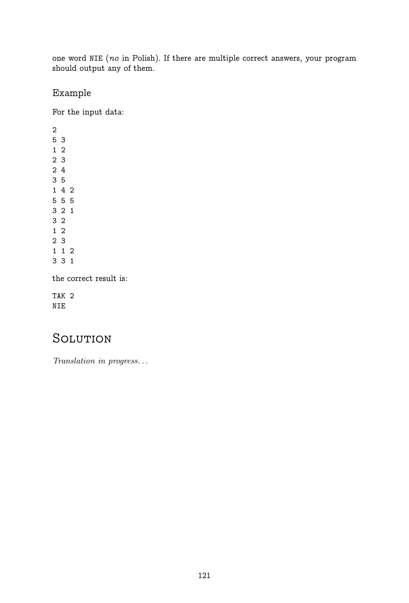one word NIE (no in Polish). If there are multiple correct answers, your program should output any of them.

## Example

For the input data:

the correct result is:

TAK 2 NIE

# SOLUTION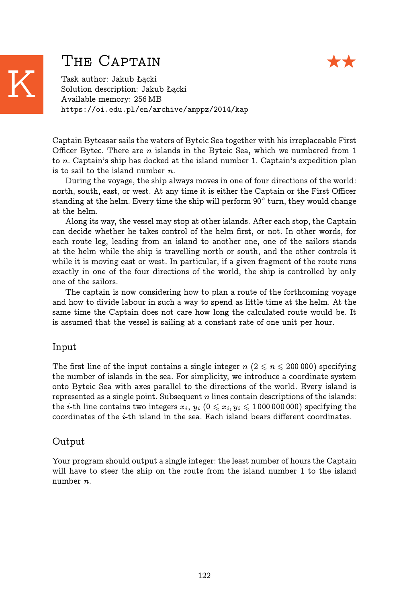# <span id="page-135-0"></span>THE CAPTAIN  $\star \star$

K



Task author: Jakub Łącki Solution description: Jakub Łącki Available memory: 256 MB <https://oi.edu.pl/en/archive/amppz/2014/kap>

Captain Byteasar sails the waters of Byteic Sea together with his irreplaceable First Officer Bytec. There are  $n$  islands in the Byteic Sea, which we numbered from 1 to n. Captain's ship has docked at the island number 1. Captain's expedition plan is to sail to the island number  $n$ .

During the voyage, the ship always moves in one of four directions of the world: north, south, east, or west. At any time it is either the Captain or the First Officer standing at the helm. Every time the ship will perform 90*◦* turn, they would change at the helm.

Along its way, the vessel may stop at other islands. After each stop, the Captain can decide whether he takes control of the helm first, or not. In other words, for each route leg, leading from an island to another one, one of the sailors stands at the helm while the ship is travelling north or south, and the other controls it while it is moving east or west. In particular, if a given fragment of the route runs exactly in one of the four directions of the world, the ship is controlled by only one of the sailors.

The captain is now considering how to plan a route of the forthcoming voyage and how to divide labour in such a way to spend as little time at the helm. At the same time the Captain does not care how long the calculated route would be. It is assumed that the vessel is sailing at a constant rate of one unit per hour.

### Input

The first line of the input contains a single integer  $n (2 \leq n \leq 200000)$  specifying the number of islands in the sea. For simplicity, we introduce a coordinate system onto Byteic Sea with axes parallel to the directions of the world. Every island is represented as a single point. Subsequent  $n$  lines contain descriptions of the islands: the *i*-th line contains two integers  $x_i$ ,  $y_i$  ( $0 \le x_i$ ,  $y_i \le 1000000000$ ) specifying the coordinates of the i-th island in the sea. Each island bears different coordinates.

### Output

Your program should output a single integer: the least number of hours the Captain will have to steer the ship on the route from the island number 1 to the island number n.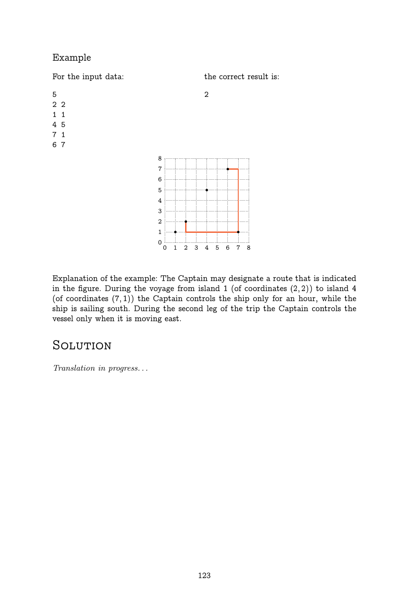For the input data:

the correct result is:

- 5 2 2
- 1 1
- 4 5
- 7 1
- 6 7



2

Explanation of the example: The Captain may designate a route that is indicated in the figure. During the voyage from island 1 (of coordinates  $(2, 2)$ ) to island 4 (of coordinates  $(7, 1)$ ) the Captain controls the ship only for an hour, while the ship is sailing south. During the second leg of the trip the Captain controls the vessel only when it is moving east.

# **SOLUTION**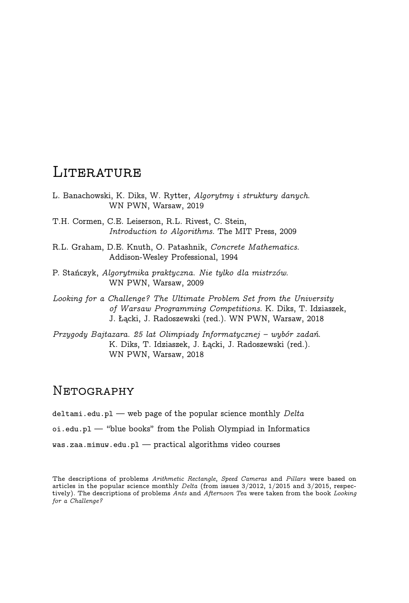# LITERATURE

- L. Banachowski, K. Diks, W. Rytter, Algorytmy i struktury danych. WN PWN, Warsaw, 2019
- T.H. Cormen, C.E. Leiserson, R.L. Rivest, C. Stein, Introduction to Algorithms. The MIT Press, 2009
- R.L. Graham, D.E. Knuth, O. Patashnik, Concrete Mathematics. Addison-Wesley Professional, 1994
- P. Stańczyk, Algorytmika praktyczna. Nie tylko dla mistrzów. WN PWN, Warsaw, 2009
- Looking for a Challenge? The Ultimate Problem Set from the University of Warsaw Programming Competitions. K. Diks, T. Idziaszek, J. Łącki, J. Radoszewski (red.). WN PWN, Warsaw, 2018
- Przygody Bajtazara. 25 lat Olimpiady Informatycznej wybór zadań. K. Diks, T. Idziaszek, J. Łącki, J. Radoszewski (red.). WN PWN, Warsaw, 2018

# Netography

- deltami.edu.pl web page of the popular science monthly  $Delta$
- oi.edu.pl "blue books" from the Polish Olympiad in Informatics

was.zaa.mimuw.edu.pl — practical algorithms video courses

The descriptions of problems Arithmetic Rectangle, Speed Cameras and Pillars were based on articles in the popular science monthly Delta (from issues 3/2012, 1/2015 and 3/2015, respectively). The descriptions of problems Ants and Afternoon Tea were taken from the book Looking for a Challenge?